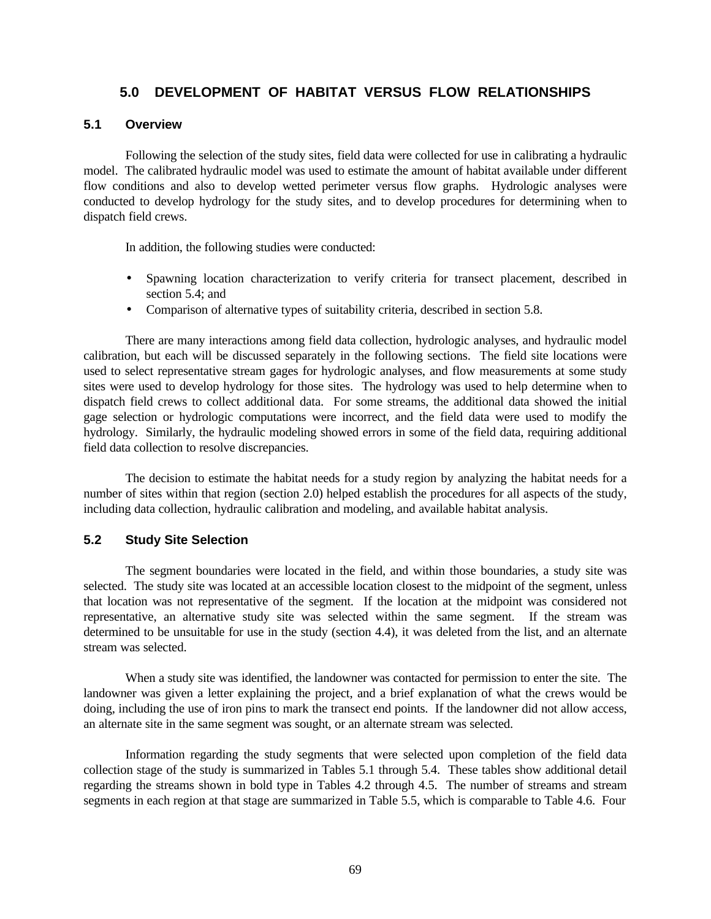# **5.0 DEVELOPMENT OF HABITAT VERSUS FLOW RELATIONSHIPS**

#### **5.1 Overview**

Following the selection of the study sites, field data were collected for use in calibrating a hydraulic model. The calibrated hydraulic model was used to estimate the amount of habitat available under different flow conditions and also to develop wetted perimeter versus flow graphs. Hydrologic analyses were conducted to develop hydrology for the study sites, and to develop procedures for determining when to dispatch field crews.

In addition, the following studies were conducted:

- Spawning location characterization to verify criteria for transect placement, described in section 5.4; and
- Comparison of alternative types of suitability criteria, described in section 5.8.

There are many interactions among field data collection, hydrologic analyses, and hydraulic model calibration, but each will be discussed separately in the following sections. The field site locations were used to select representative stream gages for hydrologic analyses, and flow measurements at some study sites were used to develop hydrology for those sites. The hydrology was used to help determine when to dispatch field crews to collect additional data. For some streams, the additional data showed the initial gage selection or hydrologic computations were incorrect, and the field data were used to modify the hydrology. Similarly, the hydraulic modeling showed errors in some of the field data, requiring additional field data collection to resolve discrepancies.

The decision to estimate the habitat needs for a study region by analyzing the habitat needs for a number of sites within that region (section 2.0) helped establish the procedures for all aspects of the study, including data collection, hydraulic calibration and modeling, and available habitat analysis.

## **5.2 Study Site Selection**

The segment boundaries were located in the field, and within those boundaries, a study site was selected. The study site was located at an accessible location closest to the midpoint of the segment, unless that location was not representative of the segment. If the location at the midpoint was considered not representative, an alternative study site was selected within the same segment. If the stream was determined to be unsuitable for use in the study (section 4.4), it was deleted from the list, and an alternate stream was selected.

When a study site was identified, the landowner was contacted for permission to enter the site. The landowner was given a letter explaining the project, and a brief explanation of what the crews would be doing, including the use of iron pins to mark the transect end points. If the landowner did not allow access, an alternate site in the same segment was sought, or an alternate stream was selected.

Information regarding the study segments that were selected upon completion of the field data collection stage of the study is summarized in Tables 5.1 through 5.4. These tables show additional detail regarding the streams shown in bold type in Tables 4.2 through 4.5. The number of streams and stream segments in each region at that stage are summarized in Table 5.5, which is comparable to Table 4.6. Four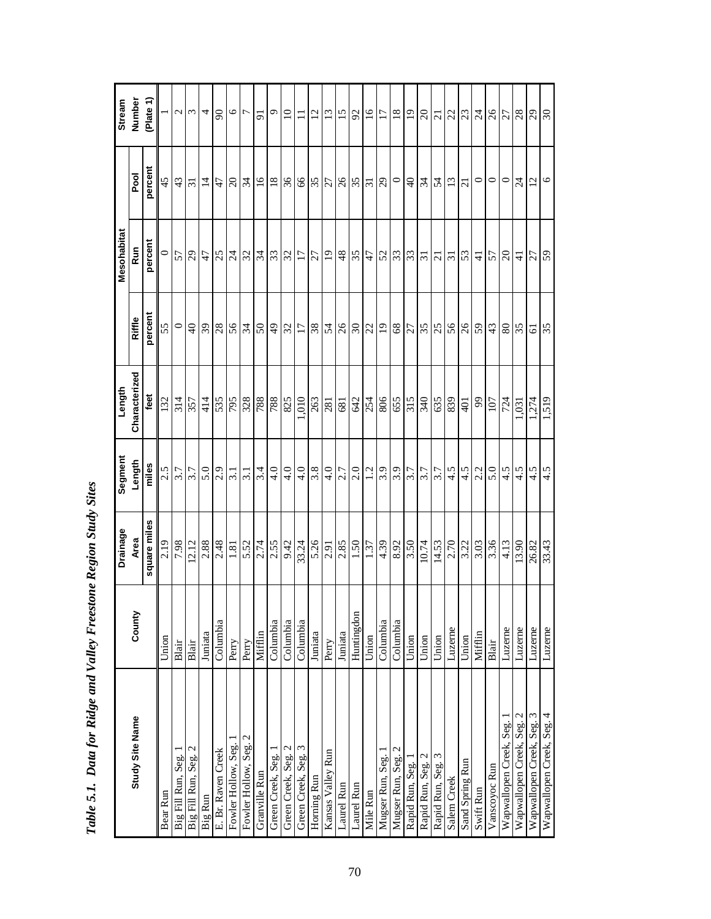|                           |            | Drainage            | Segment           | Length            |                                    | Mesohabitat                                                                                                                                                                                                                                                                                                                                                                                  |                 | Stream                        |
|---------------------------|------------|---------------------|-------------------|-------------------|------------------------------------|----------------------------------------------------------------------------------------------------------------------------------------------------------------------------------------------------------------------------------------------------------------------------------------------------------------------------------------------------------------------------------------------|-----------------|-------------------------------|
| Study Site Name           | County     | Area                | Length            | Characterized     | Riffle                             | <b>Run</b>                                                                                                                                                                                                                                                                                                                                                                                   | Pool            | Number                        |
|                           |            | square miles        | miles             | feet              | percent                            | percent                                                                                                                                                                                                                                                                                                                                                                                      | percent         | (Plate 1)                     |
| Bear Run                  | Union      | 2.19                | 2.5               | 132               | 55                                 | $\circ$                                                                                                                                                                                                                                                                                                                                                                                      | 45              |                               |
| Big Fill Run, Seg.        | Blair      | 7.98                |                   | 314               | $\circ$                            | 57                                                                                                                                                                                                                                                                                                                                                                                           |                 |                               |
| Big Fill Run, Seg. 2      | Blair      | 12.12               | $rac{7}{3.7}$     | 357               | $\overline{40}$                    | $^{29}$                                                                                                                                                                                                                                                                                                                                                                                      | $\frac{43}{51}$ | $\omega$ $\omega$             |
| Big Run                   | Juniata    | 2.88                | 5.0               | 414               |                                    | 47                                                                                                                                                                                                                                                                                                                                                                                           | $\overline{4}$  | 4                             |
| E. Br. Raven Creek        | Columbia   | 2.48                | 2.9               |                   | $\frac{8}{28}$                     | 25                                                                                                                                                                                                                                                                                                                                                                                           | 47              | $\infty$                      |
| Fowler Hollow, Seg.       | Perry      | 1.81                | $\overline{3.1}$  | 535               | 56                                 | $\frac{4}{3}$                                                                                                                                                                                                                                                                                                                                                                                | $\Omega$        |                               |
| Fowler Hollow, Seg. 2     | Perry      | $5.52$<br>$2.74$    | 3.1               | 328               | 34                                 | 32                                                                                                                                                                                                                                                                                                                                                                                           | $\frac{34}{3}$  | $\frac{1}{2}$                 |
| Granville Run             | Mifflin    |                     | 3.4               | 788               | $50\,$                             |                                                                                                                                                                                                                                                                                                                                                                                              |                 | $\overline{5}$                |
| Green Creek, Seg. 1       | Columbia   | 2.55                | $\frac{1}{4}$     | 788               |                                    |                                                                                                                                                                                                                                                                                                                                                                                              | $\frac{8}{10}$  | $\frac{9}{6}$                 |
| Green Creek, Seg. 2       | Columbia   | 9.42                | 4.0               | 825               | 3 2 2 8                            | $\frac{1}{2} \frac{1}{2} \frac{1}{2} \frac{1}{2} \frac{1}{2} \frac{1}{2} \frac{1}{2} \frac{1}{2} \frac{1}{2} \frac{1}{2} \frac{1}{2} \frac{1}{2} \frac{1}{2} \frac{1}{2} \frac{1}{2} \frac{1}{2} \frac{1}{2} \frac{1}{2} \frac{1}{2} \frac{1}{2} \frac{1}{2} \frac{1}{2} \frac{1}{2} \frac{1}{2} \frac{1}{2} \frac{1}{2} \frac{1}{2} \frac{1}{2} \frac{1}{2} \frac{1}{2} \frac{1}{2} \frac{$ | 36              |                               |
| Green Creek, Seg. 3       | Columbia   | 33.24               | 4.0               | 010               |                                    |                                                                                                                                                                                                                                                                                                                                                                                              | 66              | $\Box$                        |
| Horning Run               | Juniata    | 5.26                | 3.8               | $\frac{263}{281}$ |                                    |                                                                                                                                                                                                                                                                                                                                                                                              |                 |                               |
| Kansas Valley Run         | Perry      | 2.91                | 4.0               |                   |                                    | $\overline{0}$                                                                                                                                                                                                                                                                                                                                                                               |                 |                               |
| Laurel Run                | Juniata    | 2.85                | 7.7               | 681               |                                    | $48$                                                                                                                                                                                                                                                                                                                                                                                         |                 |                               |
| Laurel Run                | Huntingdon | 1.50                |                   | 642               |                                    |                                                                                                                                                                                                                                                                                                                                                                                              | $\frac{18}{26}$ | 2 2 2 8                       |
| Mile Run                  | Union      |                     | $\frac{2.0}{1.2}$ | 254               |                                    | $rac{25}{47}$                                                                                                                                                                                                                                                                                                                                                                                |                 | $\overline{5}$                |
| Mugser Run, Seg.          | Columbia   |                     | 3.9               |                   |                                    |                                                                                                                                                                                                                                                                                                                                                                                              | $\overline{62}$ |                               |
| Mugser Run, Seg. 2        | Columbia   | $\frac{4.39}{8.92}$ | 3.9               | $\frac{806}{65}$  |                                    | $2\sqrt{3}$                                                                                                                                                                                                                                                                                                                                                                                  | $\circ$         | $ E \overline{a} S S $        |
| Rapid Run, Seg.           | Union      | 3.50                | $\overline{3.7}$  |                   |                                    |                                                                                                                                                                                                                                                                                                                                                                                              | $\sqrt{4}$      |                               |
| Rapid Run, Seg. 2         | Union      | 10.74               |                   | 340               |                                    | $\overline{31}$                                                                                                                                                                                                                                                                                                                                                                              | 34              |                               |
| Rapid Run, Seg. 3         | Union      | 14.53               | 3.7               |                   | ដ $ z $ ន $ z z z z z z z z z z z$ | $\overline{21}$                                                                                                                                                                                                                                                                                                                                                                              | $\mathcal{L}$   |                               |
| Salem Creek               | Luzerne    | $2.70$<br>$3.22$    | 4.5               | 839               |                                    | 51                                                                                                                                                                                                                                                                                                                                                                                           | 13              | 2 2                           |
| Sand Spring Run           | Union      |                     | 4.5               | 401               |                                    | 53                                                                                                                                                                                                                                                                                                                                                                                           | $\overline{c}$  |                               |
| Swift Run                 | Mifflin    | 3.03                | 2.2               | $66\,$            |                                    | $\frac{4}{1}$                                                                                                                                                                                                                                                                                                                                                                                | $\circ$         |                               |
| Vanscoyoc Run             | Blair      | 3.36                | 5.0               | 107               | 43                                 | 57                                                                                                                                                                                                                                                                                                                                                                                           | $\circ$ $\circ$ |                               |
| Wapwallopen Creek, Seg.   | Luzerne    | 4.13                | 4.5               | 724               | $80\,$                             | $\Omega$                                                                                                                                                                                                                                                                                                                                                                                     |                 |                               |
| Wapwallopen Creek, Seg. 2 | Luzerne    | 13.90               | 4.5               | 1,031             | 35                                 | $\frac{4}{1}$                                                                                                                                                                                                                                                                                                                                                                                | $\overline{24}$ |                               |
| Wapwallopen Creek, Seg. 3 | Luzerne    | 26.82<br>33.43      | $rac{4.5}{4.5}$   | 1,274             | 61                                 | 27                                                                                                                                                                                                                                                                                                                                                                                           | $\frac{2}{6}$   | $\frac{8}{3}$ ମ $\frac{8}{3}$ |
| Wapwallopen Creek, Seg. 4 | Luzerne    |                     |                   | 1,519             | 35                                 | 59                                                                                                                                                                                                                                                                                                                                                                                           |                 |                               |

Table 5.1. Data for Ridge and Valley Freestone Region Study Sites *Table 5.1. Data for Ridge and Valley Freestone Region Study Sites*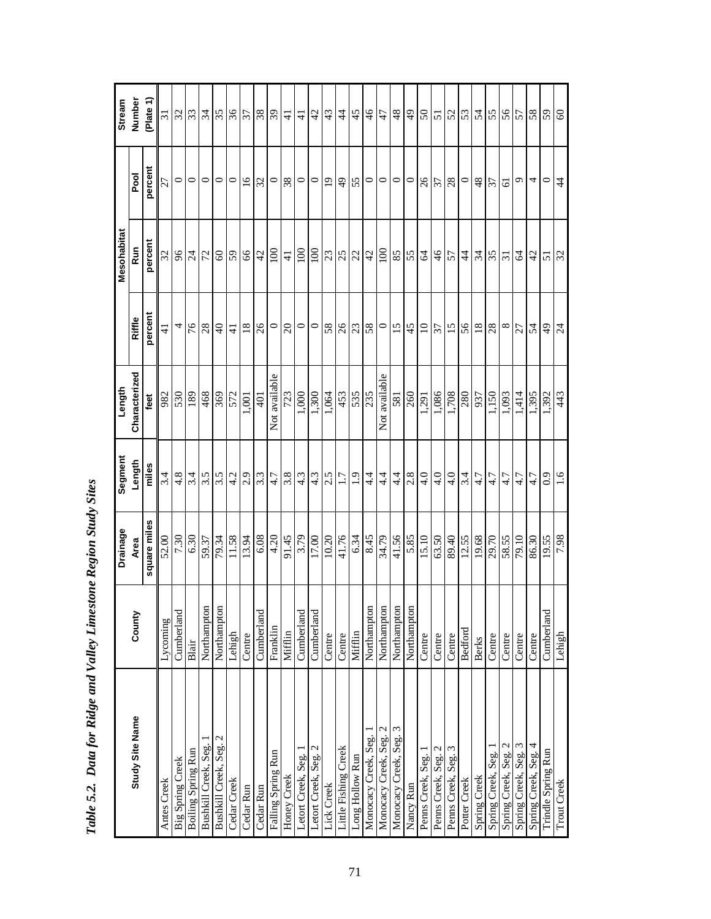|                                         |                | Drainage     | Segment       | Length              |                 | Mesohabitat         |                 | <b>Stream</b>   |
|-----------------------------------------|----------------|--------------|---------------|---------------------|-----------------|---------------------|-----------------|-----------------|
| Study Site Name                         | County         | Area         | Length        | Characterized       | Riffle          | <b>Run</b>          | Pool            | Number          |
|                                         |                | square miles | miles         | feet                | percent         | percent             | percent         | Plate 1         |
| Antes Creek                             | Lycoming       | 52.00        | 3.4           | 982                 | $\pm$           | 32                  | 27              | 51              |
| Big Spring Creek                        | Cumberland     | 7.30         | 4.8           | 530                 | 4               | $96$                | $\circ$         | 32              |
| <b>Boiling Spring Run</b>               | Blair          | 6.30         | 3.4           | 189                 | 76              | $\overline{24}$     | $\circ$         | 53              |
| Bushkill Creek, Seg.                    | Northampton    | 59.37        | 3.5           | 468                 | $28$            | 72                  | $\circ$         | $\mathfrak{z}$  |
| Bushkill Creek, Seg. 2                  | Northampton    | 79.34        | 3.5           | 369                 | $\Theta$        | $\pmb{\mathcal{S}}$ | $\circ$         | 35              |
| Cedar Creek                             | Lehigh         | 11.58        | 4.2           | 572                 | $\frac{4}{5}$   | 59                  | $\circ$         | $rac{26}{37}$   |
| Cedar Run                               | Centre         | 13.94        | 2.9           | 1,001               | 18              | $99$                | $\overline{16}$ |                 |
| Cedar Run                               | Cumberland     | 6.08         | 3.3           | 401                 | $\beta$         | 42                  | 32              |                 |
| Falling Spring Run                      | Franklin       | 4.20         | 4.7           | Not available       | $\circ$         | 100                 | $\circ$         | $rac{8}{3}$     |
| Honey Creek                             | Mifflin        | 91.45        | 3.8           | 723                 | $\Omega$        | $\frac{1}{4}$       | 38              | $\frac{4}{1}$   |
| Letort Creek, Seg.                      | Cumberland     | 3.79         | 4.3           | 1,000               | $\circ$         | 001                 | $\circ$         | $\overline{4}$  |
| Letort Creek, Seg. 2                    | Cumberland     | 17.00        | 4.3           | 1,300               |                 | 001                 | $\circ$         | 42              |
| Lick Creek                              | Centre         | 10.20        | 2.5           | 1,064               | 58              | 3 8 3 4             | $\overline{19}$ | 43              |
| Little Fishing Creek                    | Centre         | 41.76        | 1.7           | 453                 |                 |                     | $\frac{4}{9}$   | $\ddot{4}$      |
| Long Hollow Run                         | Mifflin        | 6.34         | $\ddot{0}$    | 535                 | $26$ $38$       |                     | 55              | 45              |
| Monocacy Creek, Seg.                    | Northampton    | 8.45         | $4\cdot$      | 235                 |                 |                     | $\circ$         | $\frac{4}{6}$   |
| $\mathbf{\sim}$<br>Monocacy Creek, Seg. | Northampton    | 34.79        | $4\cdot$      | Not available       | $\circ$         | 100                 | $\circ$         | 47              |
| ω<br>Monocacy Creek, Seg.               | Northampton    | 41.56        | $4\cdot$      | 581                 | $\overline{15}$ | 85                  | $\circ$         | 48              |
| Nancy Run                               | Northampton    | 5.85         | 2.8           | 260                 | 45              | 55                  | $\circ$         | $\frac{1}{2}$   |
| Penns Creek, Seg. 1                     | Centre         | 15.10        | 4.0           | 1,291               | $\overline{0}$  | $\mathcal{R}$       | 26              | $50\,$          |
| Penns Creek, Seg. 2                     | Centre         | 63.50        | $\frac{4}{1}$ | 1,086               | 57              | $\frac{4}{6}$       | $\frac{27}{28}$ |                 |
| Penns Creek, Seg. 3                     | Centre         | 89.40        | 4.0           | 1,708               | 15              | 57                  |                 | 5 2             |
| Potter Creek                            | <b>Bedford</b> | 12.55        | 3.4           | 280                 | 56              | $\ddot{4}$          | $\circ$         |                 |
| Spring Creek                            | <b>Berks</b>   | 19.68        | 4.7           | 937                 | $18\,$          | 34                  | 48              | 54              |
| Spring Creek, Seg.                      | Centre         | 29.70        | 4.7           | 1,150               | $28$            | 35                  | 37              | 55              |
| Spring Creek, Seg. 2                    | Centre         | 58.55        | 4.7           | 1,093               | $^{\circ}$      | $\overline{31}$     | 61              | 56              |
| Spring Creek, Seg. 3                    | Centre         | 79.10        | 4.7           | 1,414               | 27              | 2                   | Q               | 57              |
| Spring Creek, Seg. 4                    | Centre         | 86.30        | 4.7           | 1,395               | 54              | $\overline{c}$      | 4               | 58              |
| Trindle Spring Run                      | Cumberland     | 19.55        | 0.9           | $\frac{1,392}{443}$ | $\frac{4}{3}$   | 51                  | $\circ$         | $\frac{59}{60}$ |
| <b>Trout Creek</b>                      | Lehigh         | 7.98         | 0.1           |                     |                 | $\overline{32}$     | 4               |                 |

Table 5.2. Data for Ridge and Valley Limestone Region Study Sites *Table 5.2. Data for Ridge and Valley Limestone Region Study Sites*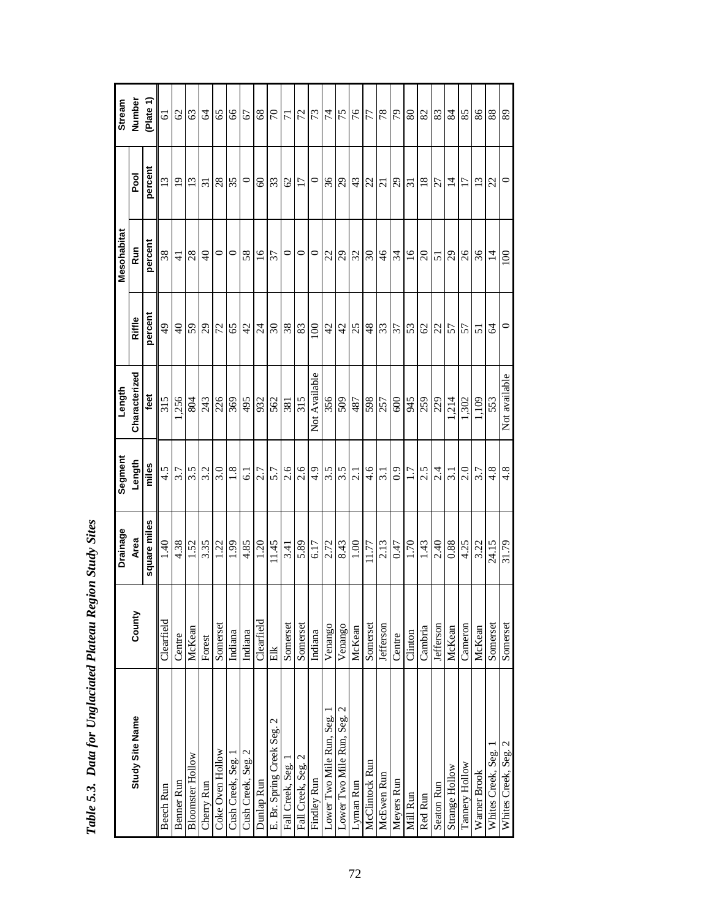|                            |                  | Drainage          | Segment          | Length            |                 | Mesohabitat     |                             | Stream         |
|----------------------------|------------------|-------------------|------------------|-------------------|-----------------|-----------------|-----------------------------|----------------|
| Study Site Name            | County           | Area              | Length           | Characterized     | Riffle          | <b>Run</b>      | Pool                        | Number         |
|                            |                  | square miles      | miles            | feet              | percent         | percent         | percent                     | (Plate 1)      |
| <b>Beech Run</b>           | Clearfield       | 1.40              | 4.5              | 315               | $\frac{4}{9}$   | 38              | 13                          | $\overline{6}$ |
| Benner Run                 | Centre           | 4.38              | 3.7              | 1,256             | $\overline{4}$  | $\frac{1}{4}$   | $\overline{0}$              | ${\cal C}$     |
| <b>Bloomster Hollow</b>    | McKean           | 1.52              | 3.5              | 804               | 59              | 28              | 13                          | 63             |
| Cherry Run                 | Forest           | 3.35              | 3.2              | 243               | $\overline{c}$  | $\Theta$        | $\overline{31}$             | $\mathcal{A}$  |
| Coke Oven Hollow           | Somerset         | 1.22              | 3.0              | 226               | 72              | $\circ$         | 28                          | 65             |
| Cush Creek, Seg. 1         | Indiana          | 1.99              | $1.8\,$          | 369               | 65              | $\circ$         | 35                          | $99$           |
| Cush Creek, Seg. 2         | Indiana          | 4.85              | 61               | 495               | 42              | 58              | $\circ$                     | 67             |
| Dunlap Run                 | Clearfield       | $\overline{1.20}$ | 2.7              | 932               | $\overline{24}$ | $\overline{16}$ | $\pmb{\mathcal{S}}$         |                |
| E. Br. Spring Creek Seg. 2 | Elk              | 11.45             | 5.7              | 562               | $\Im 0$         | 57              | 55                          | $\frac{5}{8}$  |
| Fall Creek, Seg.           | Somerset         | 3.41              | 2.6              | 381               | 38              | $\circ$         | $\mathcal{O}$               |                |
| Fall Creek, Seg. 2         | Somerset         | 5.89              | 2.6              | 315               | $83\,$          | $\circ$         | $\overline{17}$             | $\mathbb{Z}$   |
| Findley Run                | Indiana          | 6.17              | 4.9              | Not Available     | 100             | $\circ$         | $\circ$                     | 73             |
| Lower Two Mile Run, Seg.   | Venango          | 2.72              | 3.5              | 356               | 42              | 22              | 36                          | $\bar{z}$      |
| Lower Two Mile Run, Seg. 2 | Venango          | 8.43              | 3.5              | 509               | $\overline{d}$  | $\overline{29}$ | $\mathcal{L}^{\mathcal{G}}$ | 75             |
| Lyman Run                  | McKean           | 1.00              | $\overline{2.1}$ | 487               | 25              | 32              | 43                          | 76             |
| McClintock Run             | Somerset         | 11.77             | 4.6              | 598               | 48              | $\infty$        | 22                          | 77             |
| McEwen Run                 | Jefferson        | 2.13              | 3.1              | 257               | 53              | $\frac{4}{6}$   | $\overline{c}$              | $78\,$         |
| Meyers Run                 | Centre           | 0.47              | 0.9              | 600               | 37              | 34              | 29                          | 56             |
| Mill Run                   | Clinton          | 1.70              | 1.7              | 345               | 53              | $\overline{16}$ | $\overline{31}$             | 80             |
| Red Run                    | Cambria          | 1.43              | 2.5              | $\frac{259}{229}$ | 62              | $\Omega$        | $\overline{18}$             | 82             |
| <b>Seaton Run</b>          | <b>Jefferson</b> | 2.40              | 2.4              |                   | 22              | 51              | 27                          | 83             |
| Strange Hollow             | McKean           | $0.88\,$          | $\overline{3.1}$ | 214               | 57              | $^{29}$         | $\overline{4}$              | 84             |
| Tannery Hollow             | Cameron          | 4.25              | 2.0              | 1,302             | 57              | $\delta$        | $\overline{17}$             | 85             |
| Warner Brook               | McKean           | 3.22              | 3.7              | 1,109             | $\overline{5}$  | 36              | $\overline{13}$             | $86\,$         |
| Whites Creek, Seg.         | Somerset         | 24.15             | 4.8              | 553               | 2               | $\overline{4}$  | 22                          | 88             |
| Whites Creek, Seg. 2       | Somerset         | 31.79             | 4.8              | Not available     | $\circ$         | 100             | $\circ$                     | 89             |

Table 5.3. Data for Unglaciated Plateau Region Study Sites *Table 5.3. Data for Unglaciated Plateau Region Study Sites*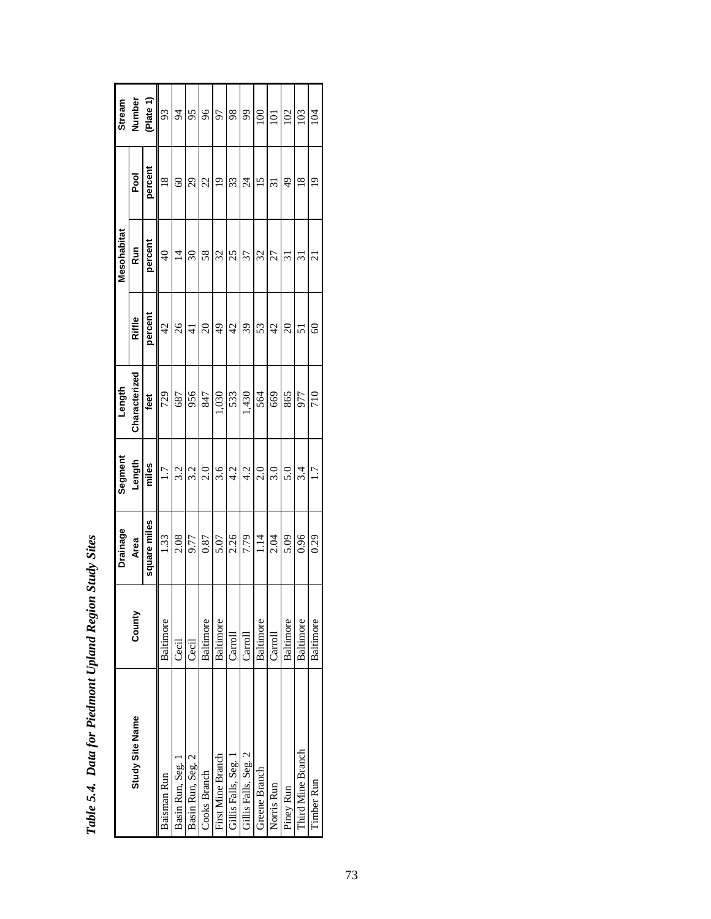|                      |           | <b>Drainage</b> | Segment | Length        |                | Mesohabitat               |                          | <b>Stream</b>  |
|----------------------|-----------|-----------------|---------|---------------|----------------|---------------------------|--------------------------|----------------|
| Study Site Name      | County    | Area            | Length  | Characterized | Riffle         | <b>Run</b>                | Pool                     | Number         |
|                      |           | square miles    | miles   | feet          | percent        | percent                   | percent                  | (Plate 1)      |
| Baisman Run          | Baltimore | 1.33            | 1.7     | 729           | $\frac{4}{2}$  | $\frac{1}{4}$             | $\frac{8}{18}$           | $\mathfrak{B}$ |
| Basin Run, Seg.      | Cecil     | 2.08            | 3.2     | 687           | 26             | $\overline{4}$            | $\odot$                  | $\beta$        |
| Basin Run, Seg. 2    | Cecil     | 9.77            | 3.2     | 956           | $\frac{4}{3}$  | $\Im$                     | 29                       | 95             |
| Cooks Branch         | Baltimore | 0.87            | 2.0     | 847           | $\Omega$       | 58                        | 22                       | 96             |
| First Mine Branch    | Baltimore | 5.07            | 3.6     | 1,030         | $\frac{49}{5}$ | 32                        | $\overline{0}$           | 97             |
| Gillis Falls, Seg. 1 | Carroll   | 2.26            | 4.2     | 533           | $\overline{4}$ | 25                        | 33                       | 98             |
| Gillis Falls, Seg. 2 | Carroll   | 7.79            | 4.2     | 1,430         | 39             | 37                        | $\overline{\mathcal{L}}$ | 99             |
| Greene Branch        | Baltimore | 1.14            | 2.0     | 564           | 53             | 32                        | 15                       | $\approx$      |
| Norris Run           | Carroll   | 2.04            | 3.0     | 669           | $\overline{4}$ | 27                        | $\overline{31}$          | 101            |
| Piney Run            | Baltimore | 5.09            | 5.0     | 865           | $\overline{c}$ | $\overline{\mathfrak{c}}$ | 49                       | 102            |
| Third Mine Branch    | Baltimore | 0.96            | 3.4     | 977           | 51             | $\Xi$                     | $\frac{8}{18}$           | 103            |
| Timber Run           | Baltimore | 0.29            | 1.7     | 710           | $\degree$      | ಸ                         | $\frac{0}{1}$            | 104            |

| i                                            |
|----------------------------------------------|
|                                              |
| <b>MAGES</b><br>١                            |
| in Mari<br>$\cdot$<br>Í                      |
|                                              |
| $\cdots$ tor Piedmant<br>.<br>ا<br>١         |
| $\ddot{\phantom{0}}$<br>$\tilde{\mathbf{z}}$ |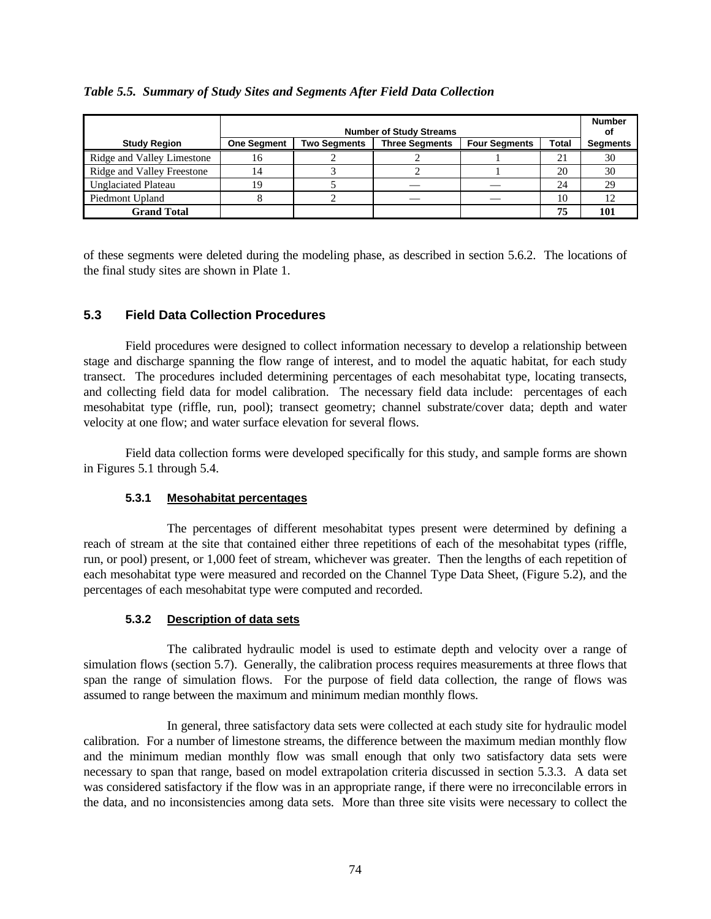|                            |                    |                     | <b>Number of Study Streams</b> |                      |              | <b>Number</b><br>οf |
|----------------------------|--------------------|---------------------|--------------------------------|----------------------|--------------|---------------------|
| <b>Study Region</b>        | <b>One Segment</b> | <b>Two Segments</b> | <b>Three Segments</b>          | <b>Four Segments</b> | <b>Total</b> | <b>Segments</b>     |
| Ridge and Valley Limestone | 16                 |                     |                                |                      | 21           | 30                  |
| Ridge and Valley Freestone | 14                 |                     |                                |                      | 20           | 30                  |
| <b>Unglaciated Plateau</b> | 19                 |                     |                                |                      | 24           | 29                  |
| Piedmont Upland            |                    |                     |                                |                      | 10           |                     |
| <b>Grand Total</b>         |                    |                     |                                |                      | 75           | 101                 |

## *Table 5.5. Summary of Study Sites and Segments After Field Data Collection*

of these segments were deleted during the modeling phase, as described in section 5.6.2. The locations of the final study sites are shown in Plate 1.

## **5.3 Field Data Collection Procedures**

Field procedures were designed to collect information necessary to develop a relationship between stage and discharge spanning the flow range of interest, and to model the aquatic habitat, for each study transect. The procedures included determining percentages of each mesohabitat type, locating transects, and collecting field data for model calibration. The necessary field data include: percentages of each mesohabitat type (riffle, run, pool); transect geometry; channel substrate/cover data; depth and water velocity at one flow; and water surface elevation for several flows.

Field data collection forms were developed specifically for this study, and sample forms are shown in Figures 5.1 through 5.4.

## **5.3.1 Mesohabitat percentages**

The percentages of different mesohabitat types present were determined by defining a reach of stream at the site that contained either three repetitions of each of the mesohabitat types (riffle, run, or pool) present, or 1,000 feet of stream, whichever was greater. Then the lengths of each repetition of each mesohabitat type were measured and recorded on the Channel Type Data Sheet, (Figure 5.2), and the percentages of each mesohabitat type were computed and recorded.

## **5.3.2 Description of data sets**

The calibrated hydraulic model is used to estimate depth and velocity over a range of simulation flows (section 5.7). Generally, the calibration process requires measurements at three flows that span the range of simulation flows. For the purpose of field data collection, the range of flows was assumed to range between the maximum and minimum median monthly flows.

In general, three satisfactory data sets were collected at each study site for hydraulic model calibration. For a number of limestone streams, the difference between the maximum median monthly flow and the minimum median monthly flow was small enough that only two satisfactory data sets were necessary to span that range, based on model extrapolation criteria discussed in section 5.3.3. A data set was considered satisfactory if the flow was in an appropriate range, if there were no irreconcilable errors in the data, and no inconsistencies among data sets. More than three site visits were necessary to collect the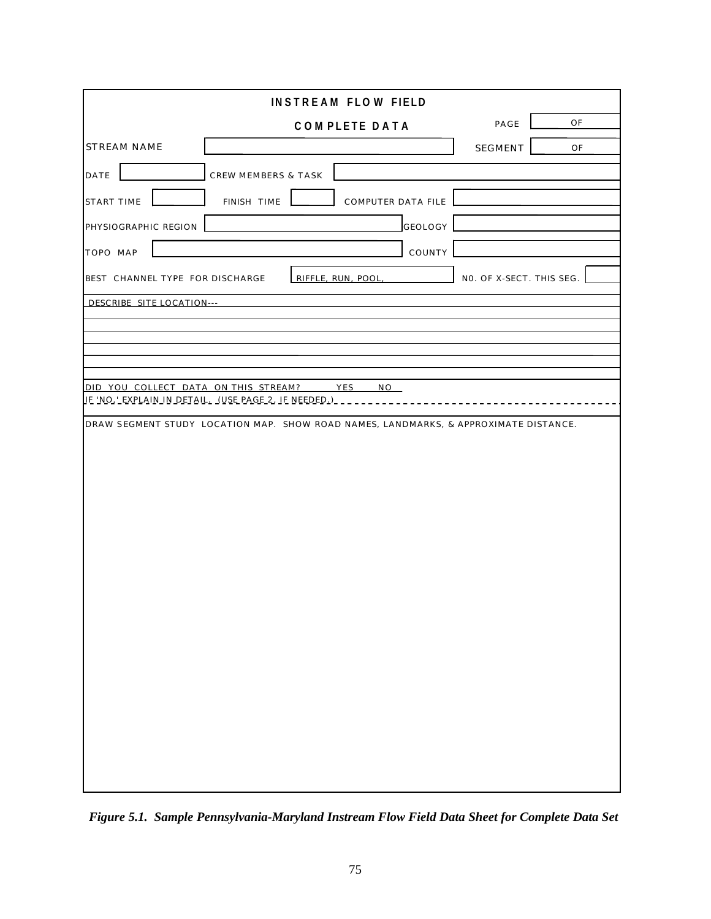|                                      | <b>INSTREAM FLOW FIELD</b>                                                             |                          |    |
|--------------------------------------|----------------------------------------------------------------------------------------|--------------------------|----|
|                                      | <b>COMPLETE DATA</b>                                                                   | PAGE                     | OF |
| <b>STREAM NAME</b>                   |                                                                                        | SEGMENT                  | OF |
| DATE                                 | CREW MEMBERS & TASK                                                                    |                          |    |
| <b>START TIME</b>                    | FINISH TIME<br>COMPUTER DATA FILE                                                      |                          |    |
| PHYSIOGRAPHIC REGION                 | GEOLOGY                                                                                |                          |    |
| TOPO MAP                             | COUNTY                                                                                 |                          |    |
| BEST CHANNEL TYPE FOR DISCHARGE      | RIFFLE, RUN, POOL,                                                                     | NO. OF X-SECT. THIS SEG. |    |
| DESCRIBE SITE LOCATION---            |                                                                                        |                          |    |
|                                      |                                                                                        |                          |    |
|                                      |                                                                                        |                          |    |
|                                      |                                                                                        |                          |    |
| DID YOU COLLECT DATA ON THIS STREAM? | YES<br>NO<br><u>IE 'NO,' EXPLAIN IN DETAIL. (USE PAGE 2, IE NEEDED.) _ _ _ _ _ _ _</u> |                          |    |
|                                      | DRAW SEGMENT STUDY LOCATION MAP. SHOW ROAD NAMES, LANDMARKS, & APPROXIMATE DISTANCE.   |                          |    |
|                                      |                                                                                        |                          |    |
|                                      |                                                                                        |                          |    |
|                                      |                                                                                        |                          |    |
|                                      |                                                                                        |                          |    |
|                                      |                                                                                        |                          |    |
|                                      |                                                                                        |                          |    |
|                                      |                                                                                        |                          |    |
|                                      |                                                                                        |                          |    |
|                                      |                                                                                        |                          |    |
|                                      |                                                                                        |                          |    |
|                                      |                                                                                        |                          |    |
|                                      |                                                                                        |                          |    |
|                                      |                                                                                        |                          |    |
|                                      |                                                                                        |                          |    |
|                                      |                                                                                        |                          |    |

*Figure 5.1. Sample Pennsylvania-Maryland Instream Flow Field Data Sheet for Complete Data Set*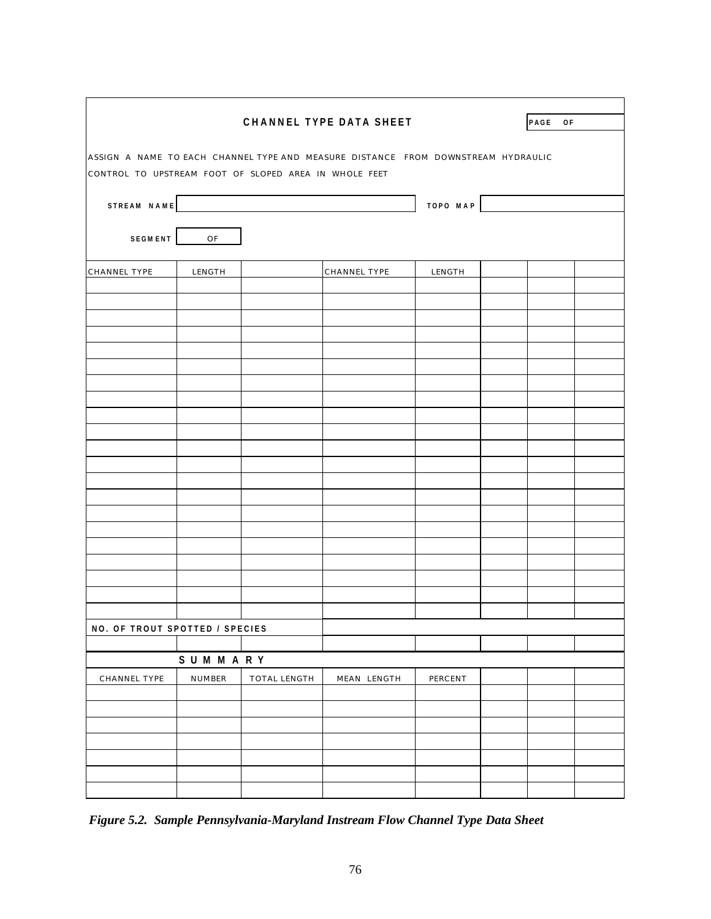|                                                       |         |              | CHANNEL TYPE DATA SHEET                                                           |          | PAGE OF |  |
|-------------------------------------------------------|---------|--------------|-----------------------------------------------------------------------------------|----------|---------|--|
| CONTROL TO UPSTREAM FOOT OF SLOPED AREA IN WHOLE FEET |         |              | ASSIGN A NAME TO EACH CHANNEL TYPE AND MEASURE DISTANCE FROM DOWNSTREAM HYDRAULIC |          |         |  |
|                                                       |         | STREAM NAME  |                                                                                   | TOPO MAP |         |  |
| <b>SEGMENT</b>                                        | OF      |              |                                                                                   |          |         |  |
| CHANNEL TYPE                                          | LENGTH  |              | CHANNEL TYPE                                                                      | LENGTH   |         |  |
|                                                       |         |              |                                                                                   |          |         |  |
|                                                       |         |              |                                                                                   |          |         |  |
|                                                       |         |              |                                                                                   |          |         |  |
|                                                       |         |              |                                                                                   |          |         |  |
|                                                       |         |              |                                                                                   |          |         |  |
|                                                       |         |              |                                                                                   |          |         |  |
|                                                       |         |              |                                                                                   |          |         |  |
|                                                       |         |              |                                                                                   |          |         |  |
|                                                       |         |              |                                                                                   |          |         |  |
|                                                       |         |              |                                                                                   |          |         |  |
|                                                       |         |              |                                                                                   |          |         |  |
|                                                       |         |              |                                                                                   |          |         |  |
|                                                       |         |              |                                                                                   |          |         |  |
| NO. OF TROUT SPOTTED / SPECIES                        |         |              |                                                                                   |          |         |  |
|                                                       | SUMMARY |              |                                                                                   |          |         |  |
| CHANNEL TYPE                                          | NUMBER  | TOTAL LENGTH | MEAN LENGTH                                                                       | PERCENT  |         |  |
|                                                       |         |              |                                                                                   |          |         |  |
|                                                       |         |              |                                                                                   |          |         |  |
|                                                       |         |              |                                                                                   |          |         |  |
|                                                       |         |              |                                                                                   |          |         |  |

*Figure 5.2. Sample Pennsylvania-Maryland Instream Flow Channel Type Data Sheet*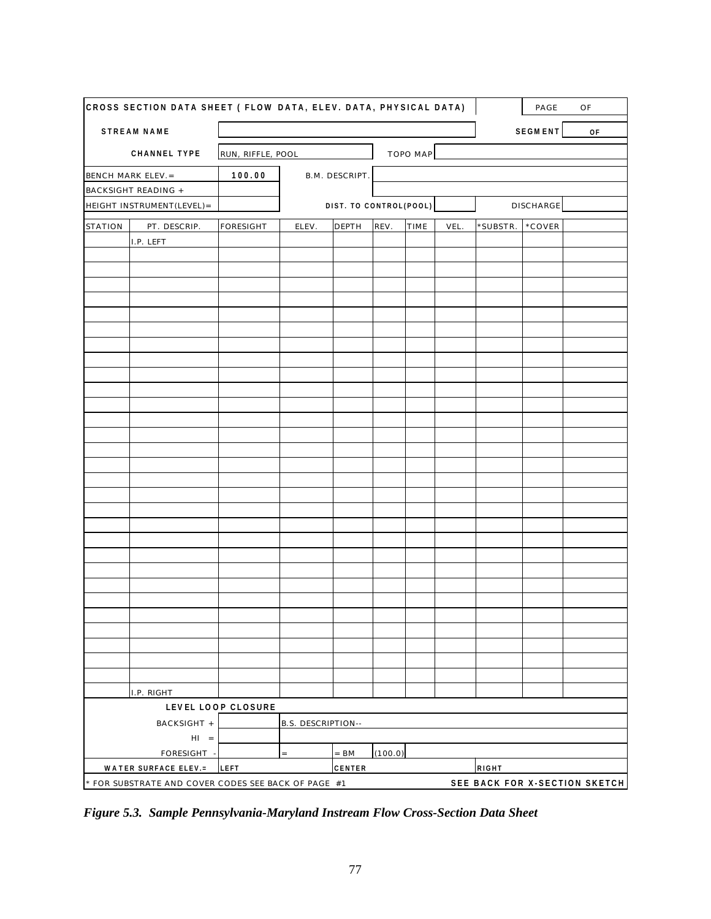| CROSS SECTION DATA SHEET ( FLOW DATA, ELEV. DATA, PHYSICAL DATA) |                    |                           |                        |         |          |      |          | PAGE           | OF                            |
|------------------------------------------------------------------|--------------------|---------------------------|------------------------|---------|----------|------|----------|----------------|-------------------------------|
| <b>STREAM NAME</b>                                               |                    |                           |                        |         |          |      |          | <b>SEGMENT</b> | 0F                            |
| CHANNEL TYPE                                                     | RUN, RIFFLE, POOL  |                           |                        |         | TOPO MAP |      |          |                |                               |
| BENCH MARK ELEV.=                                                | 100.00             |                           | B.M. DESCRIPT.         |         |          |      |          |                |                               |
| <b>BACKSIGHT READING +</b>                                       |                    |                           |                        |         |          |      |          |                |                               |
| HEIGHT INSTRUMENT(LEVEL)=                                        |                    |                           | DIST. TO CONTROL(POOL) |         |          |      |          | DISCHARGE      |                               |
| PT. DESCRIP.<br><b>STATION</b>                                   | <b>FORESIGHT</b>   | ELEV.                     | DEPTH                  | REV.    | TIME     | VEL. | *SUBSTR. | *COVER         |                               |
| I.P. LEFT                                                        |                    |                           |                        |         |          |      |          |                |                               |
|                                                                  |                    |                           |                        |         |          |      |          |                |                               |
|                                                                  |                    |                           |                        |         |          |      |          |                |                               |
|                                                                  |                    |                           |                        |         |          |      |          |                |                               |
|                                                                  |                    |                           |                        |         |          |      |          |                |                               |
|                                                                  |                    |                           |                        |         |          |      |          |                |                               |
|                                                                  |                    |                           |                        |         |          |      |          |                |                               |
|                                                                  |                    |                           |                        |         |          |      |          |                |                               |
|                                                                  |                    |                           |                        |         |          |      |          |                |                               |
|                                                                  |                    |                           |                        |         |          |      |          |                |                               |
|                                                                  |                    |                           |                        |         |          |      |          |                |                               |
|                                                                  |                    |                           |                        |         |          |      |          |                |                               |
|                                                                  |                    |                           |                        |         |          |      |          |                |                               |
|                                                                  |                    |                           |                        |         |          |      |          |                |                               |
|                                                                  |                    |                           |                        |         |          |      |          |                |                               |
|                                                                  |                    |                           |                        |         |          |      |          |                |                               |
|                                                                  |                    |                           |                        |         |          |      |          |                |                               |
|                                                                  |                    |                           |                        |         |          |      |          |                |                               |
|                                                                  |                    |                           |                        |         |          |      |          |                |                               |
|                                                                  |                    |                           |                        |         |          |      |          |                |                               |
|                                                                  |                    |                           |                        |         |          |      |          |                |                               |
|                                                                  |                    |                           |                        |         |          |      |          |                |                               |
|                                                                  |                    |                           |                        |         |          |      |          |                |                               |
|                                                                  |                    |                           |                        |         |          |      |          |                |                               |
|                                                                  |                    |                           |                        |         |          |      |          |                |                               |
|                                                                  |                    |                           |                        |         |          |      |          |                |                               |
|                                                                  |                    |                           |                        |         |          |      |          |                |                               |
|                                                                  |                    |                           |                        |         |          |      |          |                |                               |
| I.P. RIGHT                                                       |                    |                           |                        |         |          |      |          |                |                               |
|                                                                  | LEVEL LOOP CLOSURE |                           |                        |         |          |      |          |                |                               |
| BACKSIGHT +                                                      |                    | <b>B.S. DESCRIPTION--</b> |                        |         |          |      |          |                |                               |
| $HI =$                                                           |                    |                           |                        |         |          |      |          |                |                               |
| FORESIGHT -                                                      |                    | $=$                       | $=$ BM                 | (100.0) |          |      |          |                |                               |
| WATER SURFACE ELEV.=                                             | LEFT               |                           | CENTER                 |         |          |      | RIGHT    |                |                               |
| * FOR SUBSTRATE AND COVER CODES SEE BACK OF PAGE #1              |                    |                           |                        |         |          |      |          |                | SEE BACK FOR X-SECTION SKETCH |

*Figure 5.3. Sample Pennsylvania-Maryland Instream Flow Cross-Section Data Sheet*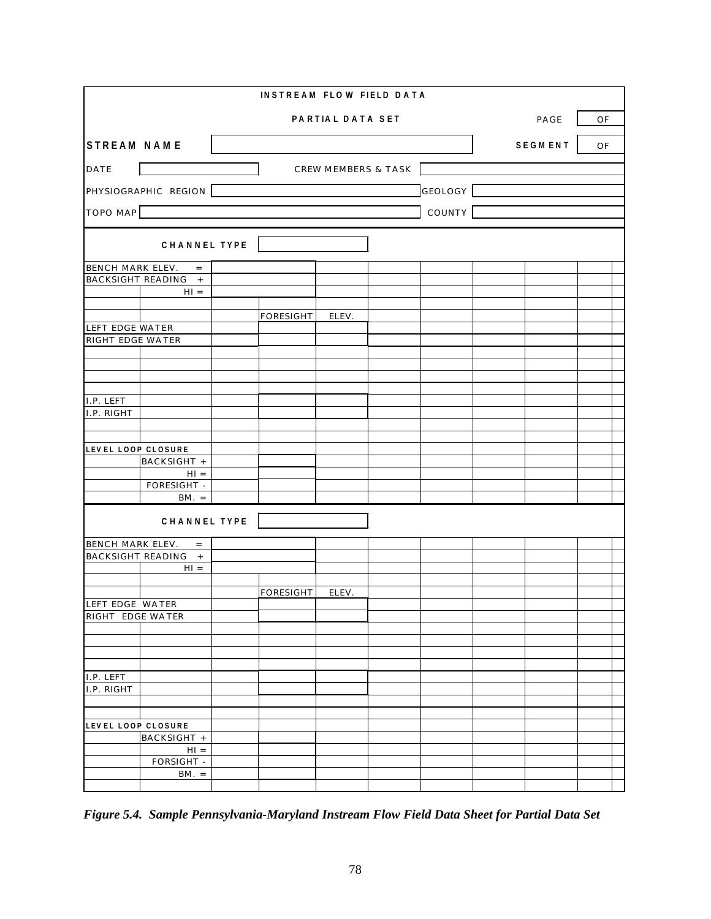|                                     |                       | <b>INSTREAM FLOW FIELD DATA</b> |                                |         |                |    |  |
|-------------------------------------|-----------------------|---------------------------------|--------------------------------|---------|----------------|----|--|
|                                     |                       |                                 | PARTIAL DATA SET               |         | PAGE           | OF |  |
| <b>STREAM NAME</b>                  |                       |                                 |                                |         | <b>SEGMENT</b> | OF |  |
| DATE                                |                       |                                 | <b>CREW MEMBERS &amp; TASK</b> |         |                |    |  |
|                                     | PHYSIOGRAPHIC REGION  |                                 |                                | GEOLOGY |                |    |  |
| <b>TOPO MAP</b>                     |                       |                                 |                                | COUNTY  |                |    |  |
|                                     | CHANNEL TYPE          |                                 |                                |         |                |    |  |
| BENCH MARK ELEV.                    | $\equiv$              |                                 |                                |         |                |    |  |
|                                     | BACKSIGHT READING +   |                                 |                                |         |                |    |  |
|                                     | $H1 =$                |                                 |                                |         |                |    |  |
|                                     |                       |                                 |                                |         |                |    |  |
| LEFT EDGE WATER                     |                       | <b>FORESIGHT</b>                | ELEV.                          |         |                |    |  |
| RIGHT EDGE WATER                    |                       |                                 |                                |         |                |    |  |
|                                     |                       |                                 |                                |         |                |    |  |
|                                     |                       |                                 |                                |         |                |    |  |
|                                     |                       |                                 |                                |         |                |    |  |
| I.P. LEFT                           |                       |                                 |                                |         |                |    |  |
| I.P. RIGHT                          |                       |                                 |                                |         |                |    |  |
|                                     |                       |                                 |                                |         |                |    |  |
|                                     |                       |                                 |                                |         |                |    |  |
| LEVEL LOOP CLOSURE                  |                       |                                 |                                |         |                |    |  |
|                                     | BACKSIGHT +<br>$H1 =$ |                                 |                                |         |                |    |  |
|                                     | FORESIGHT -           |                                 |                                |         |                |    |  |
|                                     | $BM. =$               |                                 |                                |         |                |    |  |
|                                     | CHANNEL TYPE          |                                 |                                |         |                |    |  |
| BENCH MARK ELEV.                    | $\equiv$              |                                 |                                |         |                |    |  |
|                                     | BACKSIGHT READING +   |                                 |                                |         |                |    |  |
|                                     | $H1 =$                |                                 |                                |         |                |    |  |
|                                     |                       |                                 |                                |         |                |    |  |
|                                     |                       | FORESIGHT                       | ELEV.                          |         |                |    |  |
| LEFT EDGE WATER<br>RIGHT EDGE WATER |                       |                                 |                                |         |                |    |  |
|                                     |                       |                                 |                                |         |                |    |  |
|                                     |                       |                                 |                                |         |                |    |  |
|                                     |                       |                                 |                                |         |                |    |  |
|                                     |                       |                                 |                                |         |                |    |  |
| I.P. LEFT<br>I.P. RIGHT             |                       |                                 |                                |         |                |    |  |
|                                     |                       |                                 |                                |         |                |    |  |
|                                     |                       |                                 |                                |         |                |    |  |
| LEVEL LOOP CLOSURE                  |                       |                                 |                                |         |                |    |  |
|                                     | BACKSIGHT +           |                                 |                                |         |                |    |  |
|                                     | $HI =$                |                                 |                                |         |                |    |  |
|                                     | FORSIGHT -<br>$BM. =$ |                                 |                                |         |                |    |  |
|                                     |                       |                                 |                                |         |                |    |  |

*Figure 5.4. Sample Pennsylvania-Maryland Instream Flow Field Data Sheet for Partial Data Set*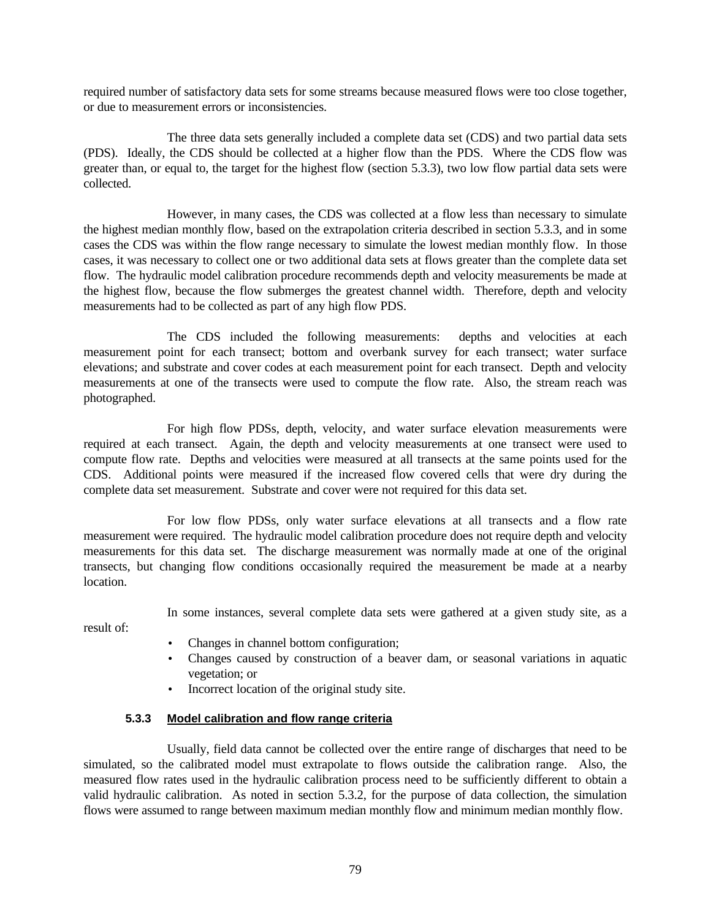required number of satisfactory data sets for some streams because measured flows were too close together, or due to measurement errors or inconsistencies.

The three data sets generally included a complete data set (CDS) and two partial data sets (PDS). Ideally, the CDS should be collected at a higher flow than the PDS. Where the CDS flow was greater than, or equal to, the target for the highest flow (section 5.3.3), two low flow partial data sets were collected.

However, in many cases, the CDS was collected at a flow less than necessary to simulate the highest median monthly flow, based on the extrapolation criteria described in section 5.3.3, and in some cases the CDS was within the flow range necessary to simulate the lowest median monthly flow. In those cases, it was necessary to collect one or two additional data sets at flows greater than the complete data set flow. The hydraulic model calibration procedure recommends depth and velocity measurements be made at the highest flow, because the flow submerges the greatest channel width. Therefore, depth and velocity measurements had to be collected as part of any high flow PDS.

The CDS included the following measurements: depths and velocities at each measurement point for each transect; bottom and overbank survey for each transect; water surface elevations; and substrate and cover codes at each measurement point for each transect. Depth and velocity measurements at one of the transects were used to compute the flow rate. Also, the stream reach was photographed.

For high flow PDSs, depth, velocity, and water surface elevation measurements were required at each transect. Again, the depth and velocity measurements at one transect were used to compute flow rate. Depths and velocities were measured at all transects at the same points used for the CDS. Additional points were measured if the increased flow covered cells that were dry during the complete data set measurement. Substrate and cover were not required for this data set.

For low flow PDSs, only water surface elevations at all transects and a flow rate measurement were required. The hydraulic model calibration procedure does not require depth and velocity measurements for this data set. The discharge measurement was normally made at one of the original transects, but changing flow conditions occasionally required the measurement be made at a nearby location.

In some instances, several complete data sets were gathered at a given study site, as a

result of:

- Changes in channel bottom configuration;
- Changes caused by construction of a beaver dam, or seasonal variations in aquatic vegetation; or
- Incorrect location of the original study site.

## **5.3.3 Model calibration and flow range criteria**

Usually, field data cannot be collected over the entire range of discharges that need to be simulated, so the calibrated model must extrapolate to flows outside the calibration range. Also, the measured flow rates used in the hydraulic calibration process need to be sufficiently different to obtain a valid hydraulic calibration. As noted in section 5.3.2, for the purpose of data collection, the simulation flows were assumed to range between maximum median monthly flow and minimum median monthly flow.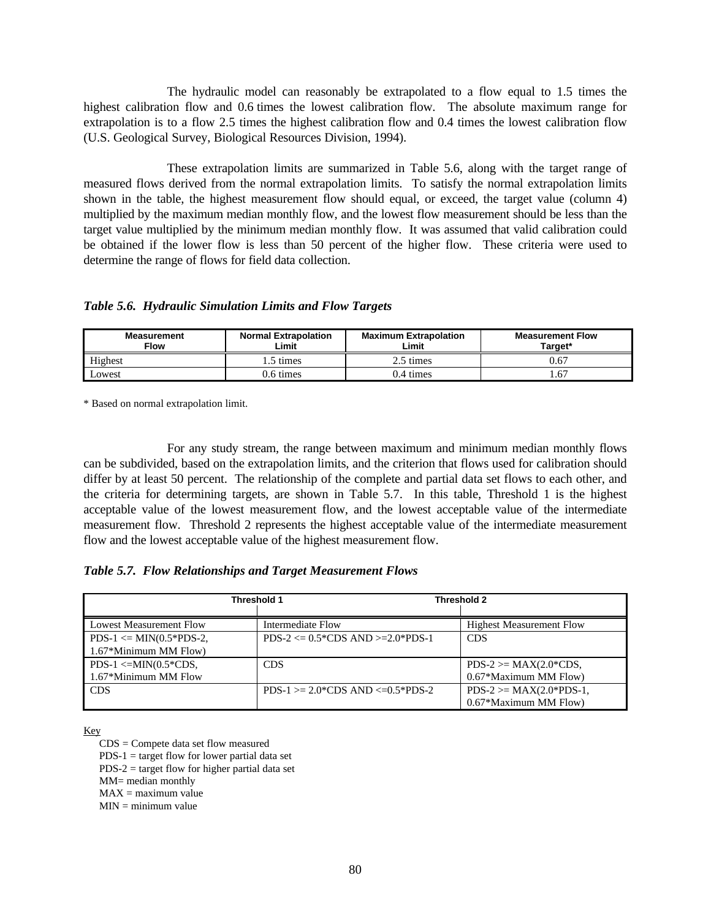The hydraulic model can reasonably be extrapolated to a flow equal to 1.5 times the highest calibration flow and 0.6 times the lowest calibration flow. The absolute maximum range for extrapolation is to a flow 2.5 times the highest calibration flow and 0.4 times the lowest calibration flow (U.S. Geological Survey, Biological Resources Division, 1994).

These extrapolation limits are summarized in Table 5.6, along with the target range of measured flows derived from the normal extrapolation limits. To satisfy the normal extrapolation limits shown in the table, the highest measurement flow should equal, or exceed, the target value (column 4) multiplied by the maximum median monthly flow, and the lowest flow measurement should be less than the target value multiplied by the minimum median monthly flow. It was assumed that valid calibration could be obtained if the lower flow is less than 50 percent of the higher flow. These criteria were used to determine the range of flows for field data collection.

*Table 5.6. Hydraulic Simulation Limits and Flow Targets*

| <b>Measurement</b><br>Flow | <b>Normal Extrapolation</b><br>Limit | <b>Maximum Extrapolation</b><br>Limit | <b>Measurement Flow</b><br>Target* |
|----------------------------|--------------------------------------|---------------------------------------|------------------------------------|
| Highest                    | 1.5 times                            | 2.5 times                             | 0.67                               |
| Lowest                     | 0.6 times                            | .4 times                              | 1.67                               |

\* Based on normal extrapolation limit.

For any study stream, the range between maximum and minimum median monthly flows can be subdivided, based on the extrapolation limits, and the criterion that flows used for calibration should differ by at least 50 percent. The relationship of the complete and partial data set flows to each other, and the criteria for determining targets, are shown in Table 5.7. In this table, Threshold 1 is the highest acceptable value of the lowest measurement flow, and the lowest acceptable value of the intermediate measurement flow. Threshold 2 represents the highest acceptable value of the intermediate measurement flow and the lowest acceptable value of the highest measurement flow.

*Table 5.7. Flow Relationships and Target Measurement Flows*

|                                | Threshold 1                                         | <b>Threshold 2</b>              |
|--------------------------------|-----------------------------------------------------|---------------------------------|
|                                |                                                     |                                 |
| <b>Lowest Measurement Flow</b> | Intermediate Flow                                   | <b>Highest Measurement Flow</b> |
| $PDS-1 \leq MIN(0.5*PDS-2,$    | $PDS-2 \leq 0.5^{\ast}CDS AND \geq 2.0^{\ast}PDS-1$ | <b>CDS</b>                      |
| 1.67*Minimum MM Flow)          |                                                     |                                 |
| PDS-1 $\leq$ -MIN(0.5*CDS,     | <b>CDS</b>                                          | $PDS-2 \geq MAX(2.0*CDS,$       |
| 1.67*Minimum MM Flow           |                                                     | 0.67*Maximum MM Flow)           |
| <b>CDS</b>                     | $PDS-1 \ge 2.0$ CDS AND $\le 0.5$ PDS-2             | $PDS-2 \geq MAX(2.0*PDS-1,$     |
|                                |                                                     | 0.67*Maximum MM Flow)           |

Key

CDS = Compete data set flow measured

 $PDS-1 = \text{target flow}$  for lower partial data set

 $PDS-2$  = target flow for higher partial data set

MM= median monthly

 $MAX = maximum value$ 

 $MIN = minimum value$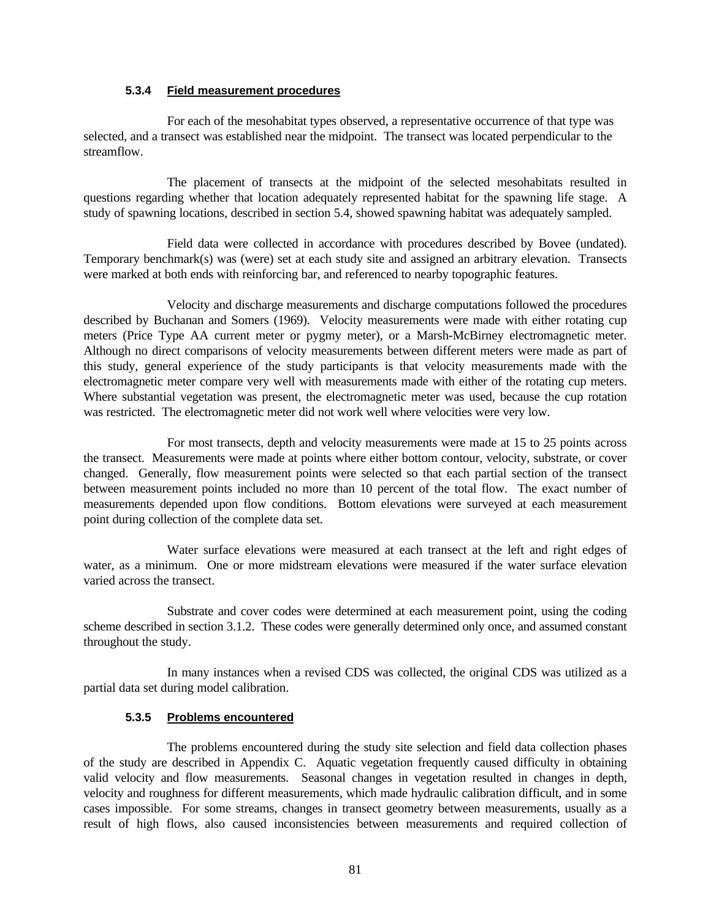#### **5.3.4 Field measurement procedures**

For each of the mesohabitat types observed, a representative occurrence of that type was selected, and a transect was established near the midpoint. The transect was located perpendicular to the streamflow.

The placement of transects at the midpoint of the selected mesohabitats resulted in questions regarding whether that location adequately represented habitat for the spawning life stage. A study of spawning locations, described in section 5.4, showed spawning habitat was adequately sampled.

Field data were collected in accordance with procedures described by Bovee (undated). Temporary benchmark(s) was (were) set at each study site and assigned an arbitrary elevation. Transects were marked at both ends with reinforcing bar, and referenced to nearby topographic features.

Velocity and discharge measurements and discharge computations followed the procedures described by Buchanan and Somers (1969). Velocity measurements were made with either rotating cup meters (Price Type AA current meter or pygmy meter), or a Marsh-McBirney electromagnetic meter. Although no direct comparisons of velocity measurements between different meters were made as part of this study, general experience of the study participants is that velocity measurements made with the electromagnetic meter compare very well with measurements made with either of the rotating cup meters. Where substantial vegetation was present, the electromagnetic meter was used, because the cup rotation was restricted. The electromagnetic meter did not work well where velocities were very low.

For most transects, depth and velocity measurements were made at 15 to 25 points across the transect. Measurements were made at points where either bottom contour, velocity, substrate, or cover changed. Generally, flow measurement points were selected so that each partial section of the transect between measurement points included no more than 10 percent of the total flow. The exact number of measurements depended upon flow conditions. Bottom elevations were surveyed at each measurement point during collection of the complete data set.

Water surface elevations were measured at each transect at the left and right edges of water, as a minimum. One or more midstream elevations were measured if the water surface elevation varied across the transect.

Substrate and cover codes were determined at each measurement point, using the coding scheme described in section 3.1.2. These codes were generally determined only once, and assumed constant throughout the study.

In many instances when a revised CDS was collected, the original CDS was utilized as a partial data set during model calibration.

## **5.3.5 Problems encountered**

The problems encountered during the study site selection and field data collection phases of the study are described in Appendix C. Aquatic vegetation frequently caused difficulty in obtaining valid velocity and flow measurements. Seasonal changes in vegetation resulted in changes in depth, velocity and roughness for different measurements, which made hydraulic calibration difficult, and in some cases impossible. For some streams, changes in transect geometry between measurements, usually as a result of high flows, also caused inconsistencies between measurements and required collection of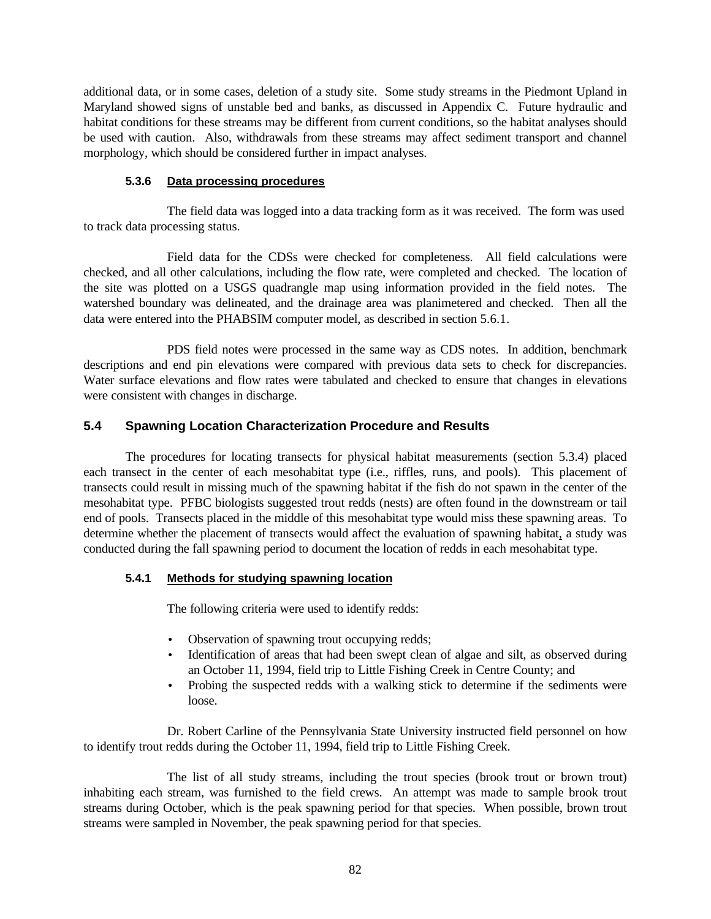additional data, or in some cases, deletion of a study site. Some study streams in the Piedmont Upland in Maryland showed signs of unstable bed and banks, as discussed in Appendix C. Future hydraulic and habitat conditions for these streams may be different from current conditions, so the habitat analyses should be used with caution. Also, withdrawals from these streams may affect sediment transport and channel morphology, which should be considered further in impact analyses.

## **5.3.6 Data processing procedures**

The field data was logged into a data tracking form as it was received. The form was used to track data processing status.

Field data for the CDSs were checked for completeness. All field calculations were checked, and all other calculations, including the flow rate, were completed and checked. The location of the site was plotted on a USGS quadrangle map using information provided in the field notes. The watershed boundary was delineated, and the drainage area was planimetered and checked. Then all the data were entered into the PHABSIM computer model, as described in section 5.6.1.

PDS field notes were processed in the same way as CDS notes. In addition, benchmark descriptions and end pin elevations were compared with previous data sets to check for discrepancies. Water surface elevations and flow rates were tabulated and checked to ensure that changes in elevations were consistent with changes in discharge.

## **5.4 Spawning Location Characterization Procedure and Results**

The procedures for locating transects for physical habitat measurements (section 5.3.4) placed each transect in the center of each mesohabitat type (i.e., riffles, runs, and pools). This placement of transects could result in missing much of the spawning habitat if the fish do not spawn in the center of the mesohabitat type. PFBC biologists suggested trout redds (nests) are often found in the downstream or tail end of pools. Transects placed in the middle of this mesohabitat type would miss these spawning areas. To determine whether the placement of transects would affect the evaluation of spawning habitat, a study was conducted during the fall spawning period to document the location of redds in each mesohabitat type.

## **5.4.1 Methods for studying spawning location**

The following criteria were used to identify redds:

- Observation of spawning trout occupying redds;
- Identification of areas that had been swept clean of algae and silt, as observed during an October 11, 1994, field trip to Little Fishing Creek in Centre County; and
- Probing the suspected redds with a walking stick to determine if the sediments were loose.

Dr. Robert Carline of the Pennsylvania State University instructed field personnel on how to identify trout redds during the October 11, 1994, field trip to Little Fishing Creek.

The list of all study streams, including the trout species (brook trout or brown trout) inhabiting each stream, was furnished to the field crews. An attempt was made to sample brook trout streams during October, which is the peak spawning period for that species. When possible, brown trout streams were sampled in November, the peak spawning period for that species.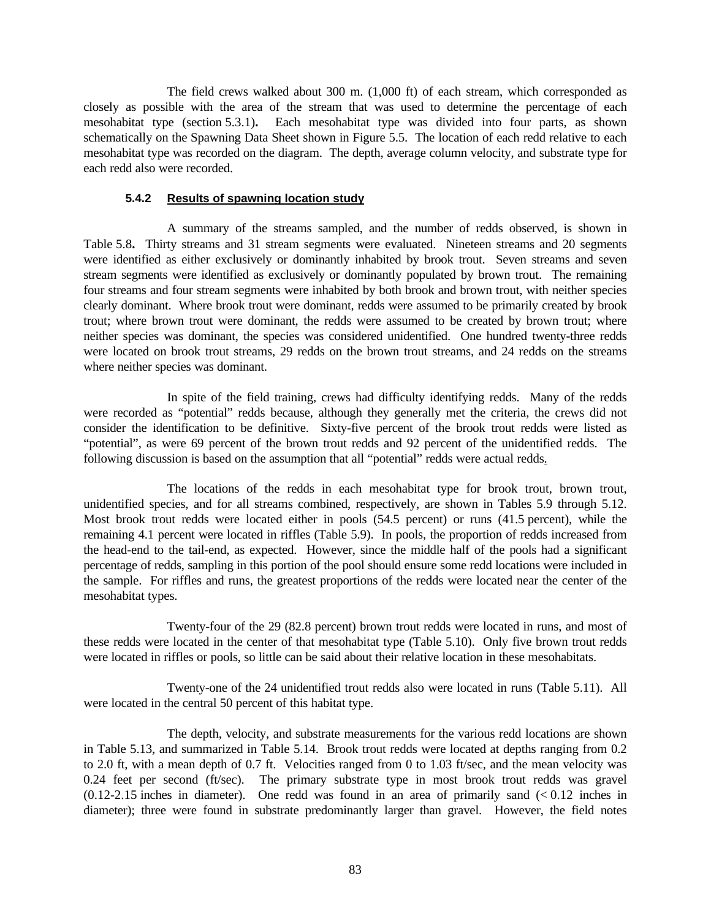The field crews walked about 300 m. (1,000 ft) of each stream, which corresponded as closely as possible with the area of the stream that was used to determine the percentage of each mesohabitat type (section 5.3.1)**.** Each mesohabitat type was divided into four parts, as shown schematically on the Spawning Data Sheet shown in Figure 5.5. The location of each redd relative to each mesohabitat type was recorded on the diagram. The depth, average column velocity, and substrate type for each redd also were recorded.

## **5.4.2 Results of spawning location study**

A summary of the streams sampled, and the number of redds observed, is shown in Table 5.8**.** Thirty streams and 31 stream segments were evaluated. Nineteen streams and 20 segments were identified as either exclusively or dominantly inhabited by brook trout. Seven streams and seven stream segments were identified as exclusively or dominantly populated by brown trout. The remaining four streams and four stream segments were inhabited by both brook and brown trout, with neither species clearly dominant. Where brook trout were dominant, redds were assumed to be primarily created by brook trout; where brown trout were dominant, the redds were assumed to be created by brown trout; where neither species was dominant, the species was considered unidentified. One hundred twenty-three redds were located on brook trout streams, 29 redds on the brown trout streams, and 24 redds on the streams where neither species was dominant.

In spite of the field training, crews had difficulty identifying redds. Many of the redds were recorded as "potential" redds because, although they generally met the criteria, the crews did not consider the identification to be definitive. Sixty-five percent of the brook trout redds were listed as "potential", as were 69 percent of the brown trout redds and 92 percent of the unidentified redds. The following discussion is based on the assumption that all "potential" redds were actual redds.

The locations of the redds in each mesohabitat type for brook trout, brown trout, unidentified species, and for all streams combined, respectively, are shown in Tables 5.9 through 5.12. Most brook trout redds were located either in pools (54.5 percent) or runs (41.5 percent), while the remaining 4.1 percent were located in riffles (Table 5.9). In pools, the proportion of redds increased from the head-end to the tail-end, as expected. However, since the middle half of the pools had a significant percentage of redds, sampling in this portion of the pool should ensure some redd locations were included in the sample. For riffles and runs, the greatest proportions of the redds were located near the center of the mesohabitat types.

Twenty-four of the 29 (82.8 percent) brown trout redds were located in runs, and most of these redds were located in the center of that mesohabitat type (Table 5.10). Only five brown trout redds were located in riffles or pools, so little can be said about their relative location in these mesohabitats.

Twenty-one of the 24 unidentified trout redds also were located in runs (Table 5.11). All were located in the central 50 percent of this habitat type.

The depth, velocity, and substrate measurements for the various redd locations are shown in Table 5.13, and summarized in Table 5.14. Brook trout redds were located at depths ranging from 0.2 to 2.0 ft, with a mean depth of 0.7 ft. Velocities ranged from 0 to 1.03 ft/sec, and the mean velocity was 0.24 feet per second (ft/sec). The primary substrate type in most brook trout redds was gravel  $(0.12-2.15$  inches in diameter). One redd was found in an area of primarily sand  $( $0.12$  inches in$ diameter); three were found in substrate predominantly larger than gravel. However, the field notes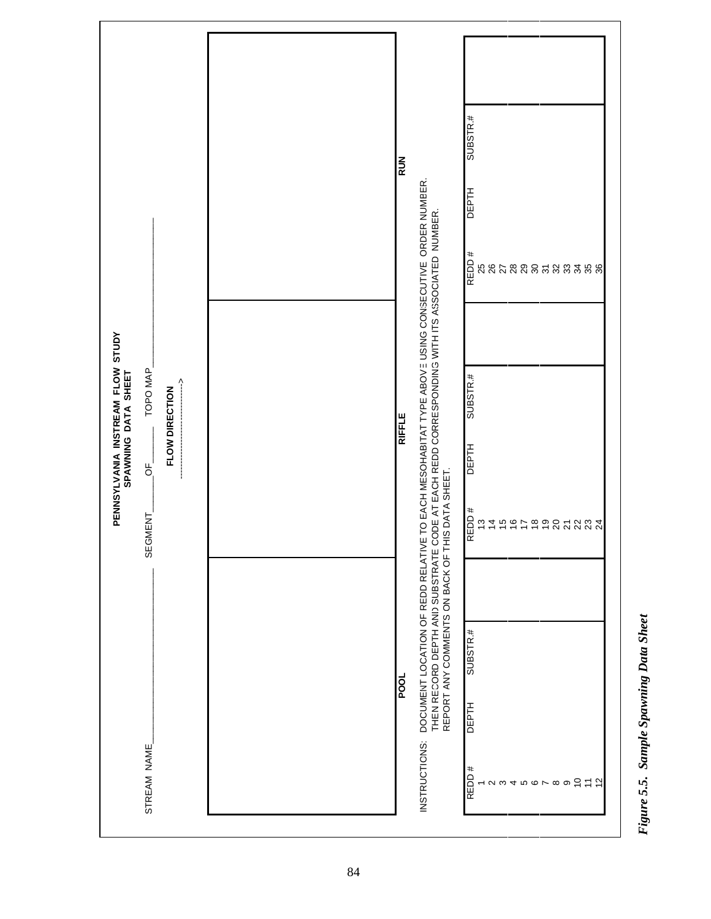|                                                                                                                         | <b>RUN</b>    |                                                                                                                                                                                                                                                     | SUBSTR.#<br><b>DEPTH</b><br>REDD#<br><b>ងនកន្លួន</b> ទី<br>28.3788 |
|-------------------------------------------------------------------------------------------------------------------------|---------------|-----------------------------------------------------------------------------------------------------------------------------------------------------------------------------------------------------------------------------------------------------|--------------------------------------------------------------------|
| PENNSYLVANIA INSTREAM FLOW STUDY<br>SPANNING DATA SHEET<br>TOPO MAP<br>$\frac{1}{1}$<br>FLOW DIRECTION<br>₽,<br>SEGMENT | <b>RIFFLE</b> | DOCUMENT LOCATION OF REDD RELATIVE TO EACH MESOHABITAT TYPE ABOVE USING CONSECUTIVE ORDER NUMBER.<br>THEN RECORD DEPTH AND SUBSTRATE CODE AT EACH REDD CORRESPONDING WITH ITS ASSOCIATED NUMBER.<br>REPORT ANY COMMENTS ON BACK OF THIS DATA SHEET. | SUBSTR.#<br><b>DEPTH</b><br>REDD#<br>t 4 5 6 5 6 5 6 2 7 3 3 4     |
| STREAM NAME                                                                                                             | <b>POOL</b>   | INSTRUCTIONS:                                                                                                                                                                                                                                       | SUBSTR.#<br>DEPTH<br>REDD#<br>555<br>$4000000$<br>$\sim$ $\sim$    |

Figure 5.5. Sample Spawning Data Sheet *Figure 5.5. Sample Spawning Data Sheet*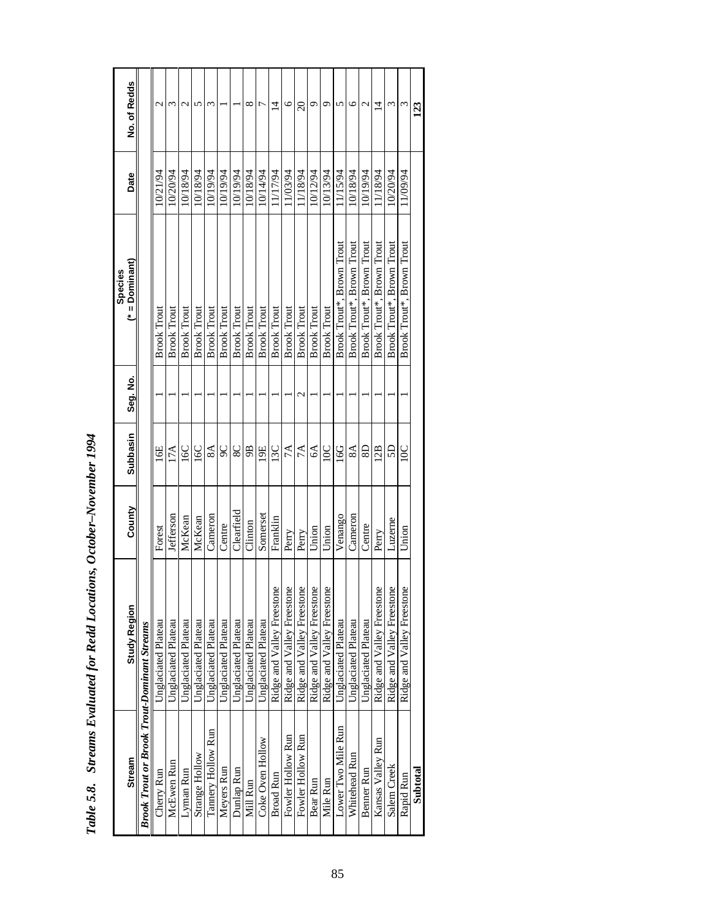| $\ddot{\phantom{0}}$    |
|-------------------------|
|                         |
| ;                       |
|                         |
| י<br>נ                  |
| l<br>I                  |
|                         |
|                         |
| $\vdots$<br>l           |
| $\frac{1}{2}$<br>Ì      |
| م<br>ا<br>$\frac{1}{2}$ |
| ;<br>;<br>Š<br>i        |

| <b>Stream</b>                                      | <b>Study Region</b>        | County     | Subbasin                | Seg. No.         | $(*)$ = Dominant<br>Species | Date     | No. of Redds     |
|----------------------------------------------------|----------------------------|------------|-------------------------|------------------|-----------------------------|----------|------------------|
| <b>Brook Trout or Brook Trout-Dominant Streams</b> |                            |            |                         |                  |                             |          |                  |
| Cherry Run                                         | Unglaciated Plateau        | Forest     | 16E                     |                  | <b>Brook Trout</b>          | 10/21/94 | $\mathcal{C}$    |
| McEwen Run                                         | Unglaciated Plateau        | Jefferson  | 17A                     |                  | <b>Brook Trout</b>          | 10/20/94 | 3                |
| Lyman Run                                          | Unglaciated Plateau        | McKean     | 16C                     |                  | <b>Brook Trout</b>          | 10/18/94 | $\mathcal{L}$    |
| Strange Hollow                                     | Unglaciated Plateau        | McKean     | 16C                     |                  | <b>Brook Trout</b>          | 10/18/94 | 5                |
| Tannery Hollow Run                                 | Unglaciated Plateau        | Cameron    | 8A                      |                  | <b>Brook Trout</b>          | 10/19/94 | 3                |
| Meyers Run                                         | Unglaciated Plateau        | Centre     | 90                      |                  | <b>Brook Trout</b>          | 10/19/94 |                  |
| Dunlap Run                                         | Unglaciated Plateau        | Clearfield | 8 <sup>C</sup>          |                  | <b>Brook Trout</b>          | 10/19/94 |                  |
| Mill Run                                           | Unglaciated Plateau        | Clinton    | 9B                      |                  | <b>Brook Trout</b>          | 10/18/94 | ${}^{\circ}$     |
| Coke Oven Hollow                                   | Unglaciated Plateau        | Somerset   | 19E                     |                  | <b>Brook Trout</b>          | 10/14/94 |                  |
| <b>Broad Run</b>                                   | Ridge and Valley Freestone | Franklin   | 13C                     |                  | <b>Brook Trout</b>          | 11/17/94 | $\overline{4}$   |
| Fowler Hollow Run                                  | Ridge and Valley Freestone | Perry      | 7A                      |                  | <b>Brook Trout</b>          | 11/03/94 | $\circ$          |
| Fowler Hollow Run                                  | Ridge and Valley Freestone | Perry      | 7A                      | $\mathrel{\sim}$ | <b>Brook Trout</b>          | 1178/94  | $\overline{20}$  |
| Bear Run                                           | Ridge and Valley Freestone | Union      | $6\AA$                  |                  | <b>Brook Trout</b>          | 10/12/94 | ᡋ                |
| Mile Run                                           | Ridge and Valley Freestone | Union      | 10C                     |                  | <b>Brook Trout</b>          | 10/13/94 | ᡋ                |
| Lower Two Mile Run                                 | Unglaciated Plateau        | Venango    | 16G                     |                  | Brook Trout*, Brown Trout   | 11/15/94 | 5                |
| Whitehead Run                                      | Unglaciated Plateau        | Cameron    | 8A                      |                  | Brook Trout*, Brown Trout   | 10/18/94 | ७                |
| <b>Benner Run</b>                                  | Unglaciated Plateau        | Centre     | $\overline{\mathbf{S}}$ |                  | Brook Trout*, Brown Trout   | 10/19/94 | $\mathrel{\sim}$ |
| Kansas Valley Run                                  | Ridge and Valley Freestone | Perry      | 12B                     |                  | Brook Trout*, Brown Trout   | 11/18/94 | $\overline{4}$   |
| Salem Creek                                        | Ridge and Valley Freestone | Luzerne    | SD <sub>1</sub>         |                  | Brook Trout*, Brown Trout   | 10/20/94 | ς                |
| Rapid Run                                          | Ridge and Valley Freestone | Union      | $\overline{10}$ C       |                  | Brook Trout*, Brown Trout   | 11/09/94 |                  |
| Subtotal                                           |                            |            |                         |                  |                             |          | 123              |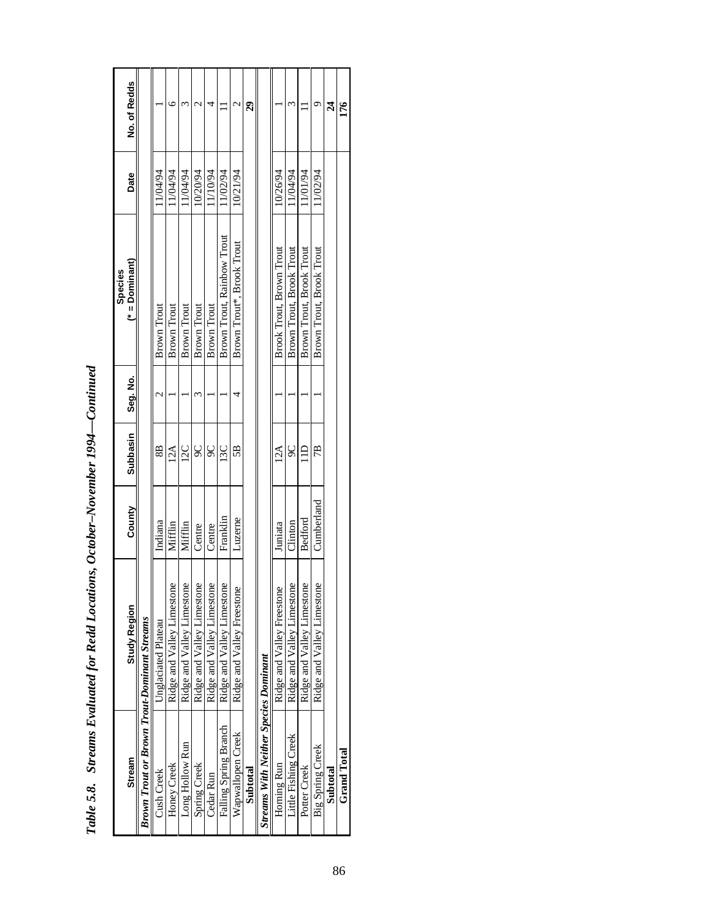| Stream                                             | <b>Study Region</b>                         | County     | Subbasin | Seg. No. | $(*)$ = Dominant)<br><b>Species</b> | Date     | No. of Redds    |
|----------------------------------------------------|---------------------------------------------|------------|----------|----------|-------------------------------------|----------|-----------------|
| <b>Brown Trout or Brown Trout-Dominant Streams</b> |                                             |            |          |          |                                     |          |                 |
| Cush Creek                                         | Unglaciated Plateau                         | Indiana    | 8B       |          | <b>Brown Trout</b>                  | 1/04/94  |                 |
| Honey Creek                                        | $\overline{Q}$<br>Ridge and Valley Limeston | Mifflin    | 12A      |          | Brown Trout                         | 1/04/94  | c               |
| Long Hollow Run                                    | $\overline{Q}$<br>Ridge and Valley Limeston | Mifflin    | 12C      |          | <b>Brown Trout</b>                  | 11/04/94 |                 |
| Spring Creek                                       | $\overline{0}$<br>Ridge and Valley Limeston | Centre     | 90       |          | <b>Brown Trout</b>                  | 10/20/94 | $\sim$          |
| Cedar Run                                          | $\overline{0}$<br>Ridge and Valley Limeston | Centre     | 90       |          | <b>Brown Trout</b>                  | 1/10/94  |                 |
| Falling Spring Branch                              | $\overline{Q}$<br>Ridge and Valley Limeston | Franklin   | 13C      |          | Brown Trout, Rainbow Trout          | 1/02/94  |                 |
| Wapwallopen Creek                                  | Ridge and Valley Freestone                  | Luzerne    | 5B       |          | Brown Trout*, Brook Trout           | 10/21/94 | c               |
| Subtotal                                           |                                             |            |          |          |                                     |          | $\overline{29}$ |
| <b>Streams With Neither Species Dominant</b>       |                                             |            |          |          |                                     |          |                 |
| Horning Run                                        | Ridge and Valley Freestone                  | Juniata    | 12A      |          | Brook Trout, Brown Trout            | 10/26/94 |                 |
| Little Fishing Creek                               | $\overline{0}$<br>Ridge and Valley Limeston | Clinton    | 9C       |          | Brown Trout, Brook Trout            | 11/04/94 |                 |
| Potter Creek                                       | $\overline{Q}$<br>Ridge and Valley Limeston | Bedford    |          |          | Brown Trout, Brook Trout            | 11/01/94 |                 |
| <b>Big Spring Creek</b>                            | $\overline{Q}$<br>Ridge and Valley Limeston | Cumberland | 7B       |          | Brown Trout, Brook Trout            | 1/02/94  |                 |
| Subtotal                                           |                                             |            |          |          |                                     |          | র               |
| <b>Grand Total</b>                                 |                                             |            |          |          |                                     |          | 176             |

| $\sim$                                                                           |  |
|----------------------------------------------------------------------------------|--|
|                                                                                  |  |
|                                                                                  |  |
|                                                                                  |  |
| $\frac{1}{2}$                                                                    |  |
|                                                                                  |  |
|                                                                                  |  |
|                                                                                  |  |
|                                                                                  |  |
|                                                                                  |  |
|                                                                                  |  |
|                                                                                  |  |
|                                                                                  |  |
|                                                                                  |  |
|                                                                                  |  |
|                                                                                  |  |
| ٦                                                                                |  |
|                                                                                  |  |
|                                                                                  |  |
|                                                                                  |  |
|                                                                                  |  |
|                                                                                  |  |
|                                                                                  |  |
|                                                                                  |  |
|                                                                                  |  |
|                                                                                  |  |
|                                                                                  |  |
|                                                                                  |  |
|                                                                                  |  |
| ֧֧֧֧֧֧֧֧֧֪֛֪֛֪֛֪֛֪֛֪֛֛֪֛֪֛֚֚֚֚֚֚֚֚֚֚֚֚֚֡֕֝֝֕֝֟֓֝֟֓֝֬֝֓֕֝֟֓֟֓֝֬֝֓֝֬֝֟֓֝֬֝֓֝֬֝֝֝֝֝ |  |
|                                                                                  |  |
|                                                                                  |  |
|                                                                                  |  |
|                                                                                  |  |
|                                                                                  |  |
|                                                                                  |  |
|                                                                                  |  |
|                                                                                  |  |
| $\overline{\phantom{a}}$                                                         |  |
| י ההת <del>ו</del> ת היה ו                                                       |  |
|                                                                                  |  |
|                                                                                  |  |
|                                                                                  |  |
|                                                                                  |  |
|                                                                                  |  |
|                                                                                  |  |
|                                                                                  |  |
|                                                                                  |  |
|                                                                                  |  |
|                                                                                  |  |
|                                                                                  |  |
|                                                                                  |  |
|                                                                                  |  |
|                                                                                  |  |
| ファンキ アンチ アンチン                                                                    |  |
|                                                                                  |  |
|                                                                                  |  |
|                                                                                  |  |
|                                                                                  |  |
|                                                                                  |  |
|                                                                                  |  |
|                                                                                  |  |
|                                                                                  |  |
| $\ddot{ }$                                                                       |  |
|                                                                                  |  |
|                                                                                  |  |
|                                                                                  |  |
|                                                                                  |  |
|                                                                                  |  |
|                                                                                  |  |
|                                                                                  |  |
|                                                                                  |  |
|                                                                                  |  |
|                                                                                  |  |
| )<br>)<br>)                                                                      |  |
|                                                                                  |  |
|                                                                                  |  |
|                                                                                  |  |
| ,<br>,<br>,<br>Iabl                                                              |  |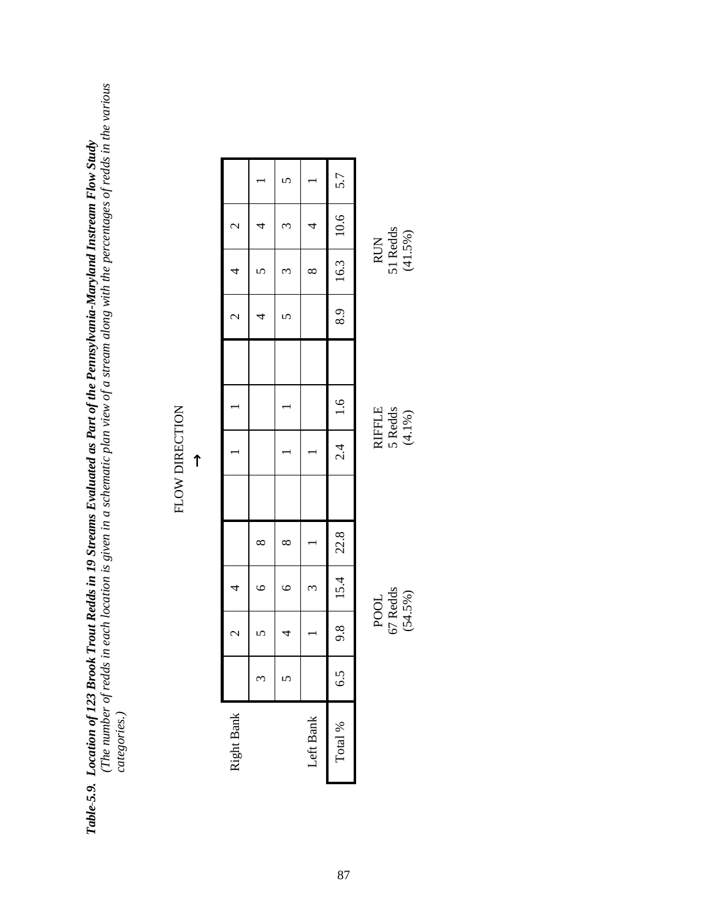*Table 5.9. Location of 123 Brook Trout Redds in 19 Streams Evaluated as Part of the Pennsylvania-Maryland Instream Flow Study (The number of redds in each location is given in a schematic plan view of a stream along with the percentages of redds in the various* **Table-5.9. Location of 123 Brook Trout Redds in 19 Streams Evaluated as Part of the Pennsylvania-Maryland Instream Flow Study<br>(The number of redds in each location is given in a schematic plan view of a stream along with** 

# FLOW DIRECTION FLOW DIRECTION

|                |          |              |           | 5.7               |               |
|----------------|----------|--------------|-----------|-------------------|---------------|
| $\mathcal{L}$  | 4        | $\omega$     | 4         |                   |               |
| $\overline{4}$ |          | $\omega$     | $\infty$  | 8.9   16.3   10.6 | <b>RUN</b>    |
| $\sim$         | 4        | $\mathbf{c}$ |           |                   |               |
|                |          |              |           |                   |               |
|                |          |              |           |                   | <b>RIFFLE</b> |
|                |          |              |           | $2.4$ 1.6         |               |
|                |          |              |           |                   |               |
|                | $\infty$ | $\infty$     |           |                   |               |
| 4              | $\circ$  | $\circ$      | $\omega$  | 9.8   15.4   22.8 |               |
| $\mathcal{L}$  |          | 4            |           |                   | <b>POOL</b>   |
|                | ξ        | 5            |           | $\tilde{c}$       |               |
| Right Bank     |          |              | Left Bank | Total %           |               |

67 Redds<br>(54.5%)

67 Redds 5 Redds 51 Redds  $(54.5\%)$  (54.1%)  $5$  Redds<br> $(4.1\%)$ 

51 Redds<br>(41.5%)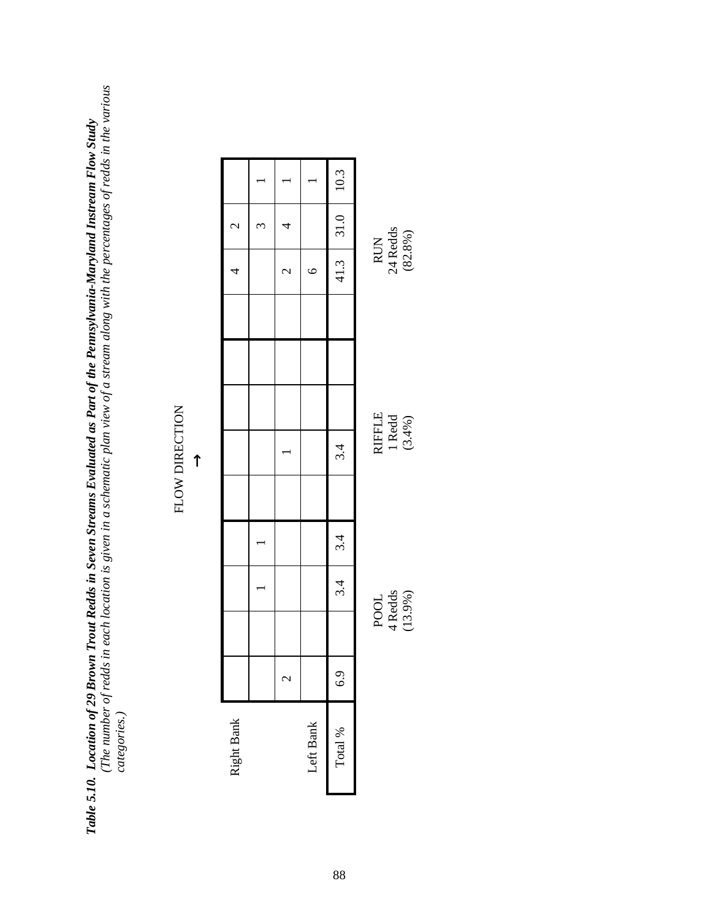*Table 5.10. Location of 29 Brown Trout Redds in Seven Streams Evaluated as Part of the Pennsylvania-Maryland Instream Flow Study (The number of redds in each location is given in a schematic plan view of a stream along with the percentages of redds in the various* **Table 5.10. Location of 29 Brown Trout Redds in Seven Streams Evaluated as Part of the Pennsylvania-Maryland Instream Flow Study<br>(The number of redds in each location is given in a schematic plan view of a stream along wi** 

# FLOW DIRECTION FLOW DIRECTION

| Right Bank |                          |                            |     |                 |                            |  | 4                          | $\overline{\mathcal{C}}$ |      |
|------------|--------------------------|----------------------------|-----|-----------------|----------------------------|--|----------------------------|--------------------------|------|
|            |                          |                            |     |                 |                            |  |                            |                          |      |
|            | $\overline{\mathcal{C}}$ |                            |     |                 |                            |  | $\mathcal{C}$              | 4                        |      |
| Left Bank  |                          |                            |     |                 |                            |  | $\circ$                    |                          |      |
| Total $\%$ | 6.9                      |                            | 3.4 | $\frac{3.4}{ }$ | 3.4                        |  |                            | $41.3$ 31.0              | 10.3 |
|            |                          | POOL<br>4 Redds<br>(13.9%) |     |                 | RIFFLE<br>1 Redd<br>13.4%) |  | RUN<br>24 Redds<br>(82.8%) |                          |      |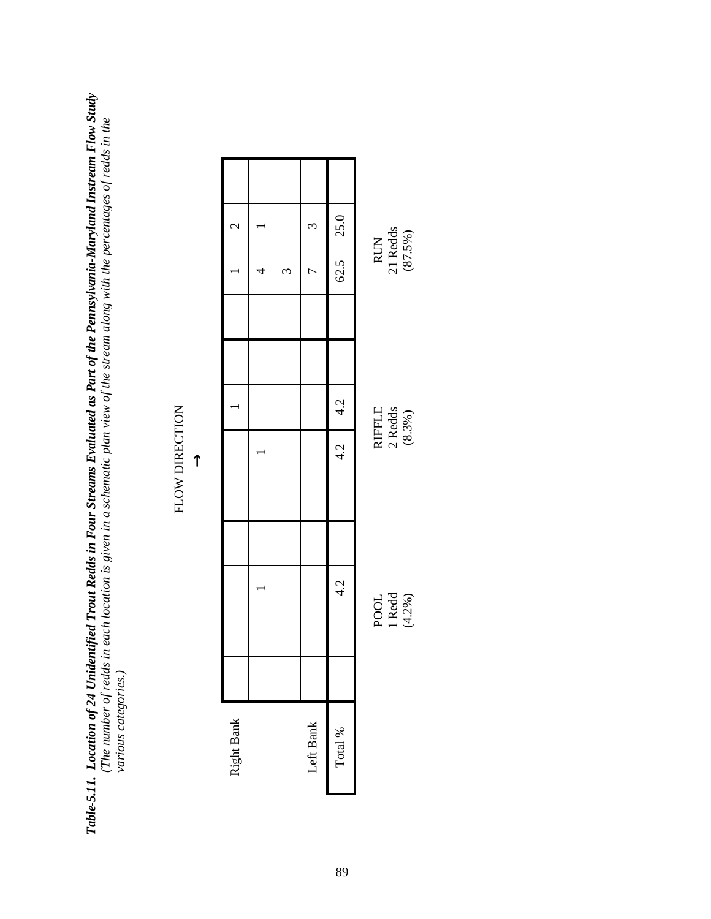**Table-5.11.** Location of 24 Unidentified Trout Redds in Four Streams Evaluated as Part of the Pennsylvania-Maryland Instream Flow Study<br>(The number of redds in each location is given in a schematic plan view of the stream *Table 5.11. Location of 24 Unidentified Trout Redds in Four Streams Evaluated as Part of the Pennsylvania-Maryland Instream Flow Study (The number of redds in each location is given in a schematic plan view of the stream along with the percentages of redds in the* various categories.) *various categories.)*

# FLOW DIRECTION FLOW DIRECTION

| $\overline{c}$ |   |                       | $\omega$  | $62.5$ 25.0 |               |
|----------------|---|-----------------------|-----------|-------------|---------------|
|                | 4 | $\tilde{\phantom{0}}$ | ŗ         |             | RUN           |
|                |   |                       |           |             |               |
|                |   |                       |           |             |               |
|                |   |                       |           | 4.2         | <b>RIFFLE</b> |
|                |   |                       |           | 4.2         |               |
|                |   |                       |           |             |               |
|                |   |                       |           |             |               |
|                |   |                       |           | 4.2         |               |
|                |   |                       |           |             | POOL          |
|                |   |                       |           |             |               |
| Right Bank     |   |                       | Left Bank | Total $\%$  |               |
|                |   |                       |           |             |               |

1 Redd<br> $(4.2%)$ 

1 Redd 2 Redds 21 Redds  $(4.2\%)$  (8.3%)  $\begin{array}{c} \text{2 Redds} \\ \text{(8.3%)} \end{array}$ 

21 Redds<br>(87.5%)

89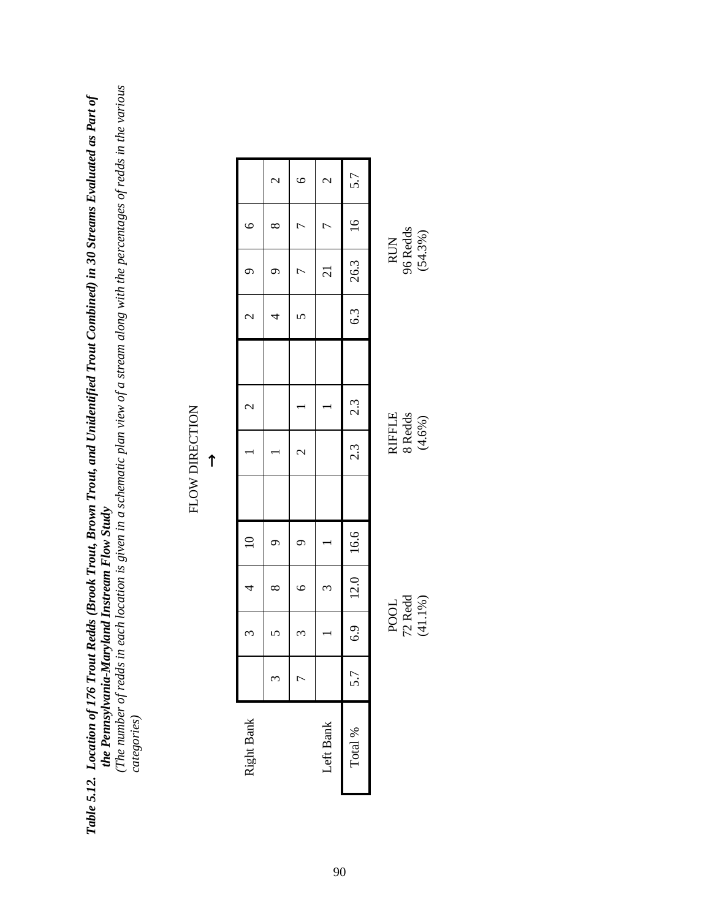*Table 5.12. Location of 176 Trout Redds (Brook Trout, Brown Trout, and Unidentified Trout Combined) in 30 Streams Evaluated as Part of the Pennsylvania-Maryland Instream Flow Study* **Table 5.12.** Loc**ation of 176 Trout Redds (Brook Trout, Brown Trout, and Unidentified Trout Combined) in 30 Streams Evaluated as Part of<br>the Pennsylvania-Maryland Instream Flow Study<br>(The number of redds in each location** 

*(The number of redds in each location is given in a schematic plan view of a stream along with the percentages of redds in the various*

| ٦ |  |
|---|--|
|   |  |

|                          | $\overline{\mathcal{C}}$ | $\bullet$                | $\mathcal{C}$   | 5.7               |                             |
|--------------------------|--------------------------|--------------------------|-----------------|-------------------|-----------------------------|
|                          |                          |                          |                 |                   |                             |
| $\circ$                  | $\infty$                 |                          | r               | 16                |                             |
|                          |                          | L                        | $\overline{21}$ | 26.3              | RUN<br>96 Redds<br>(54.3%)  |
| $\overline{c}$           | 4                        |                          |                 | 6.3               |                             |
|                          |                          |                          |                 |                   |                             |
| $\overline{\mathcal{C}}$ |                          |                          |                 | 2.3               |                             |
|                          |                          | $\overline{\mathcal{C}}$ |                 | $\overline{2.3}$  | RIFFLE<br>8 Redds<br>(4.6%) |
|                          |                          |                          |                 |                   |                             |
| $\overline{10}$          |                          | σ                        |                 |                   |                             |
| 4                        | ∞                        | $\circ$                  | 3               | 6.9   12.0   16.6 |                             |
| ᡤ                        |                          | Σ                        |                 |                   | POOL<br>72 Redd<br>(41.1%)  |
|                          | ω                        | ŗ                        |                 | 5.7               |                             |
| Right Bank               |                          |                          | Left Bank       | Total %           |                             |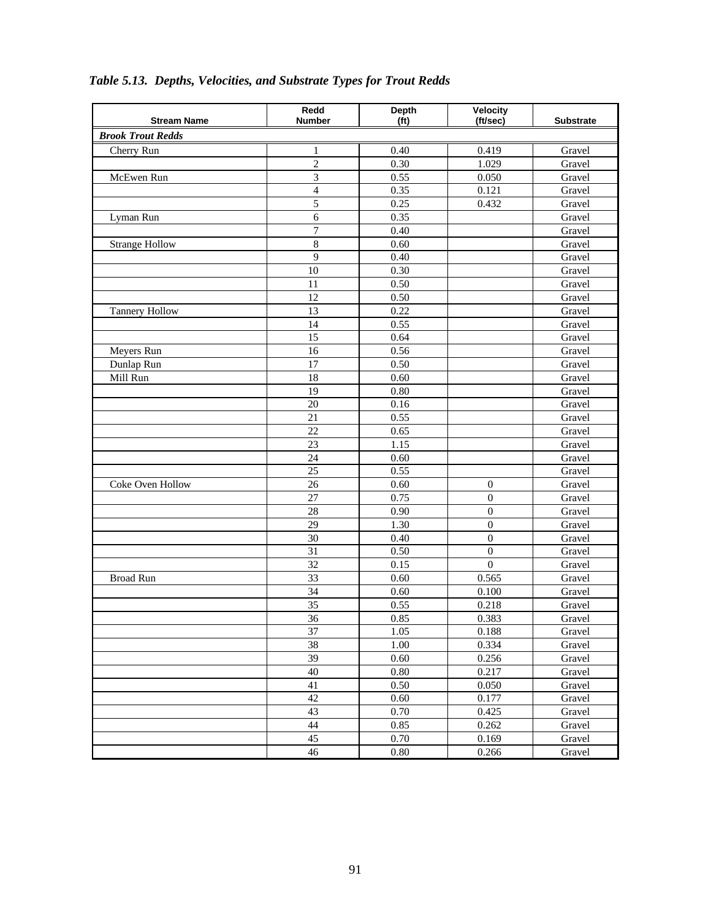| <b>Stream Name</b>       | Redd<br><b>Number</b> | <b>Depth</b><br>(f <sup>t</sup> ) | Velocity<br>(ft/sec) | <b>Substrate</b> |
|--------------------------|-----------------------|-----------------------------------|----------------------|------------------|
| <b>Brook Trout Redds</b> |                       |                                   |                      |                  |
| Cherry Run               | $\,1\,$               | 0.40                              | 0.419                | Gravel           |
|                          | $\overline{c}$        | 0.30                              | 1.029                | Gravel           |
| McEwen Run               | 3                     | 0.55                              | 0.050                | Gravel           |
|                          | $\overline{4}$        | 0.35                              | 0.121                | Gravel           |
|                          | 5                     | 0.25                              | 0.432                | Gravel           |
| Lyman Run                | $\overline{6}$        | 0.35                              |                      | Gravel           |
|                          | $\overline{7}$        | 0.40                              |                      | Gravel           |
| <b>Strange Hollow</b>    | 8                     | 0.60                              |                      | Gravel           |
|                          | $\overline{9}$        | 0.40                              |                      | Gravel           |
|                          | 10                    | 0.30                              |                      | Gravel           |
|                          | 11                    | 0.50                              |                      | Gravel           |
|                          | $\overline{12}$       | 0.50                              |                      | Gravel           |
| <b>Tannery Hollow</b>    | 13                    | 0.22                              |                      | Gravel           |
|                          | 14                    | 0.55                              |                      | Gravel           |
|                          | 15                    | 0.64                              |                      | Gravel           |
| Meyers Run               | 16                    | 0.56                              |                      | Gravel           |
| Dunlap Run               | 17                    | 0.50                              |                      | Gravel           |
| Mill Run                 | 18                    | 0.60                              |                      | Gravel           |
|                          | 19                    | 0.80                              |                      | Gravel           |
|                          | 20                    | 0.16                              |                      | Gravel           |
|                          | $\overline{21}$       | 0.55                              |                      | Gravel           |
|                          | 22                    | 0.65                              |                      | Gravel           |
|                          | 23                    | 1.15                              |                      | Gravel           |
|                          | $\overline{24}$       | 0.60                              |                      | Gravel           |
|                          | 25                    | 0.55                              |                      | Gravel           |
| Coke Oven Hollow         | $\overline{26}$       | 0.60                              | $\boldsymbol{0}$     | Gravel           |
|                          | 27                    | 0.75                              | $\overline{0}$       | Gravel           |
|                          | 28                    | 0.90                              | $\boldsymbol{0}$     | Gravel           |
|                          | 29                    | 1.30                              | $\boldsymbol{0}$     | Gravel           |
|                          | 30                    | 0.40                              | $\boldsymbol{0}$     | Gravel           |
|                          | $\overline{31}$       | 0.50                              | $\boldsymbol{0}$     | Gravel           |
|                          | 32                    | 0.15                              | $\overline{0}$       | Gravel           |
| <b>Broad Run</b>         | $\overline{33}$       | 0.60                              | 0.565                | Gravel           |
|                          | 34                    | 0.60                              | 0.100                | Gravel           |
|                          | 35                    | 0.55                              | 0.218                | Gravel           |
|                          | 36                    | 0.85                              | 0.383                | Gravel           |
|                          | 37                    | 1.05                              | 0.188                | Gravel           |
|                          | 38                    | 1.00                              | 0.334                | Gravel           |
|                          | 39                    | 0.60                              | 0.256                | Gravel           |
|                          | 40                    | 0.80                              | 0.217                | Gravel           |
|                          | 41                    | 0.50                              | 0.050                | Gravel           |
|                          | 42                    | 0.60                              | 0.177                | Gravel           |
|                          | 43                    | 0.70                              | 0.425                | Gravel           |
|                          | 44                    | 0.85                              | 0.262                | Gravel           |
|                          | 45                    | 0.70                              | 0.169                | Gravel           |
|                          | 46                    | $0.80\,$                          | 0.266                | Gravel           |

# *Table 5.13. Depths, Velocities, and Substrate Types for Trout Redds*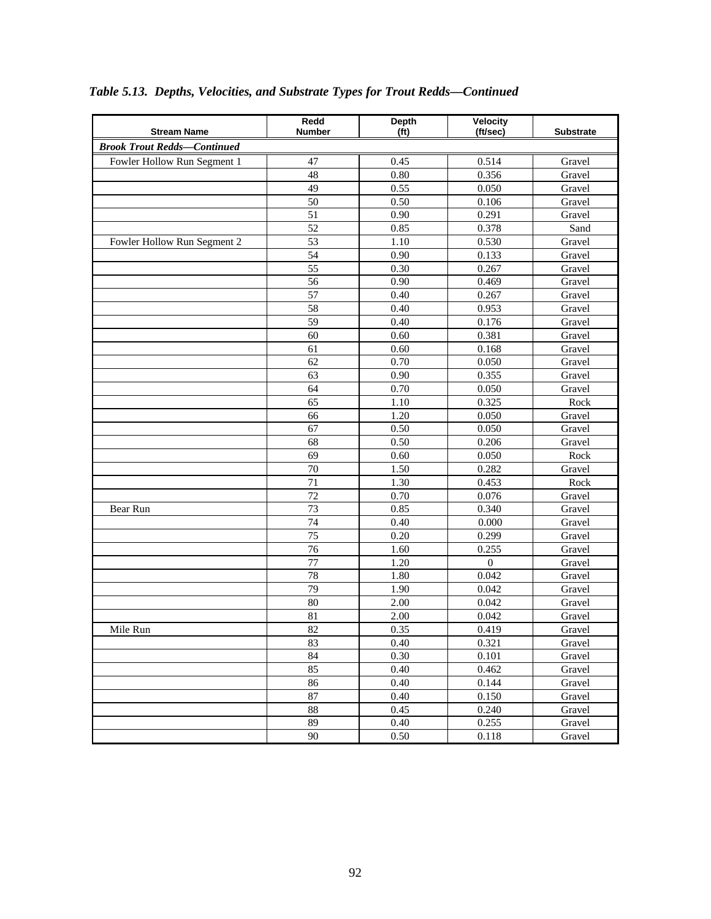| <b>Stream Name</b>                 | Redd<br><b>Number</b> | <b>Depth</b><br>(f <sup>t</sup> ) | Velocity<br>(ft/sec) | <b>Substrate</b> |
|------------------------------------|-----------------------|-----------------------------------|----------------------|------------------|
| <b>Brook Trout Redds-Continued</b> |                       |                                   |                      |                  |
| Fowler Hollow Run Segment 1        | 47                    | 0.45                              | 0.514                | Gravel           |
|                                    | 48                    | 0.80                              | 0.356                | Gravel           |
|                                    | $\overline{49}$       | 0.55                              | 0.050                | Gravel           |
|                                    | 50                    | 0.50                              | 0.106                | Gravel           |
|                                    | 51                    | 0.90                              | 0.291                | Gravel           |
|                                    | 52                    | 0.85                              | 0.378                | Sand             |
| Fowler Hollow Run Segment 2        | 53                    | 1.10                              | 0.530                | Gravel           |
|                                    | 54                    | 0.90                              | 0.133                | Gravel           |
|                                    | $\overline{55}$       | 0.30                              | 0.267                | Gravel           |
|                                    | 56                    | 0.90                              | 0.469                | Gravel           |
|                                    | $\overline{57}$       | 0.40                              | 0.267                | Gravel           |
|                                    | 58                    | 0.40                              | 0.953                | Gravel           |
|                                    | 59                    | 0.40                              | 0.176                | Gravel           |
|                                    | $\overline{60}$       | 0.60                              | 0.381                | Gravel           |
|                                    | 61                    | 0.60                              | 0.168                | Gravel           |
|                                    | 62                    | 0.70                              | 0.050                | Gravel           |
|                                    | $\overline{63}$       | 0.90                              | 0.355                | Gravel           |
|                                    | 64                    | 0.70                              | 0.050                | Gravel           |
|                                    | 65                    | 1.10                              | 0.325                | Rock             |
|                                    | 66                    | 1.20                              | 0.050                | Gravel           |
|                                    | 67                    | 0.50                              | 0.050                | Gravel           |
|                                    | 68                    | 0.50                              | 0.206                | Gravel           |
|                                    | 69                    | 0.60                              | 0.050                | Rock             |
|                                    | $\overline{70}$       | 1.50                              | 0.282                | Gravel           |
|                                    | 71                    | 1.30                              | 0.453                | Rock             |
|                                    | $\overline{72}$       | 0.70                              | 0.076                | Gravel           |
| Bear Run                           | 73                    | 0.85                              | 0.340                | Gravel           |
|                                    | $\overline{74}$       | 0.40                              | 0.000                | Gravel           |
|                                    | $\overline{75}$       | 0.20                              | 0.299                | Gravel           |
|                                    | 76                    | 1.60                              | 0.255                | Gravel           |
|                                    | 77                    | 1.20                              | $\boldsymbol{0}$     | Gravel           |
|                                    | 78                    | 1.80                              | 0.042                | Gravel           |
|                                    | 79<br>80              | 1.90<br>2.00                      | 0.042<br>0.042       | Gravel<br>Gravel |
|                                    | 81                    |                                   |                      |                  |
|                                    |                       | 2.00                              | 0.042                | Gravel           |
| Mile Run                           | 82                    | 0.35                              | 0.419<br>0.321       | Gravel           |
|                                    | 83<br>84              | 0.40<br>0.30                      | 0.101                | Gravel<br>Gravel |
|                                    | 85                    | 0.40                              | 0.462                | Gravel           |
|                                    | 86                    | 0.40                              | 0.144                | Gravel           |
|                                    | 87                    | 0.40                              | 0.150                | Gravel           |
|                                    | 88                    | 0.45                              | 0.240                | Gravel           |
|                                    | 89                    | 0.40                              | 0.255                | Gravel           |
|                                    | 90                    | 0.50                              | 0.118                | Gravel           |
|                                    |                       |                                   |                      |                  |

# *Table 5.13. Depths, Velocities, and Substrate Types for Trout Redds—Continued*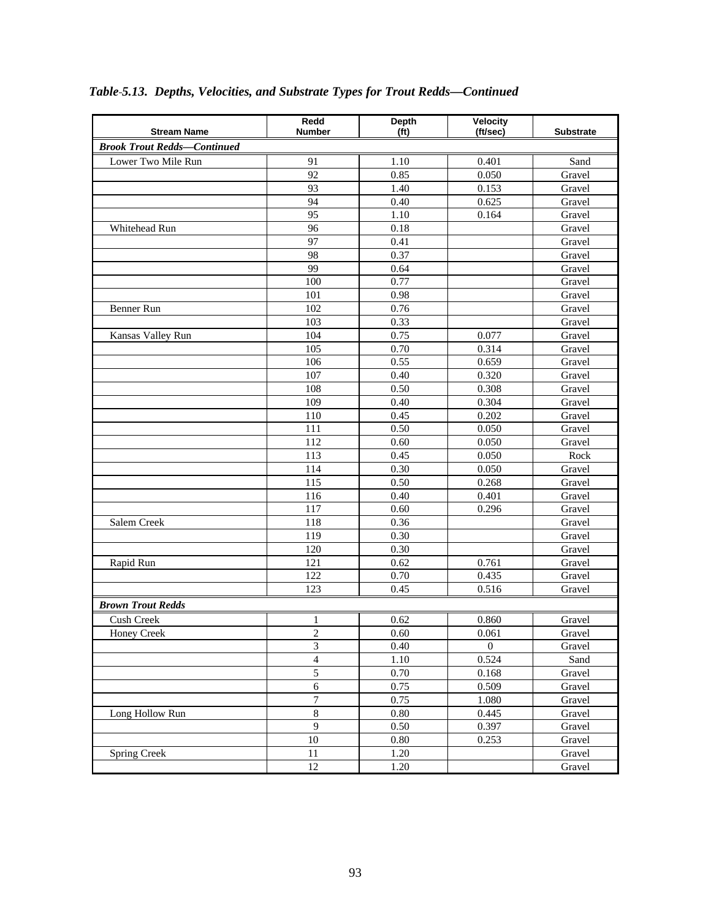| <b>Stream Name</b>                 | Redd<br><b>Number</b>   | Depth<br>(f <sub>t</sub> ) | Velocity<br>(ft/sec) | <b>Substrate</b> |
|------------------------------------|-------------------------|----------------------------|----------------------|------------------|
| <b>Brook Trout Redds-Continued</b> |                         |                            |                      |                  |
|                                    |                         |                            |                      |                  |
| Lower Two Mile Run                 | 91<br>$\overline{92}$   | 1.10<br>0.85               | 0.401<br>0.050       | Sand             |
|                                    | 93                      | 1.40                       | 0.153                | Gravel<br>Gravel |
|                                    | 94                      | 0.40                       | 0.625                |                  |
|                                    | 95                      | 1.10                       | 0.164                | Gravel<br>Gravel |
| Whitehead Run                      | 96                      | 0.18                       |                      | Gravel           |
|                                    | 97                      | 0.41                       |                      | Gravel           |
|                                    | 98                      | 0.37                       |                      | Gravel           |
|                                    | 99                      | 0.64                       |                      | Gravel           |
|                                    | 100                     | 0.77                       |                      | Gravel           |
|                                    | 101                     | 0.98                       |                      | Gravel           |
| Benner Run                         | 102                     | 0.76                       |                      | Gravel           |
|                                    | 103                     | 0.33                       |                      | Gravel           |
|                                    | 104                     | 0.75                       | 0.077                | Gravel           |
| Kansas Valley Run                  | $\overline{105}$        | 0.70                       | 0.314                |                  |
|                                    | 106                     | 0.55                       | 0.659                | Gravel<br>Gravel |
|                                    | 107                     | 0.40                       | 0.320                |                  |
|                                    | 108                     | 0.50                       |                      | Gravel           |
|                                    | 109                     | 0.40                       | 0.308<br>0.304       | Gravel<br>Gravel |
|                                    | 110                     | 0.45                       | 0.202                |                  |
|                                    | 111                     | 0.50                       |                      | Gravel           |
|                                    |                         |                            | 0.050                | Gravel           |
|                                    | 112<br>113              | 0.60                       | 0.050<br>0.050       | Gravel<br>Rock   |
|                                    | 114                     | 0.45<br>0.30               |                      |                  |
|                                    | 115                     | 0.50                       | 0.050<br>0.268       | Gravel<br>Gravel |
|                                    | 116                     | 0.40                       |                      | Gravel           |
|                                    | $\overline{117}$        | 0.60                       | 0.401<br>0.296       | Gravel           |
| Salem Creek                        | 118                     | 0.36                       |                      | Gravel           |
|                                    | 119                     | 0.30                       |                      | Gravel           |
|                                    | 120                     | 0.30                       |                      | Gravel           |
| Rapid Run                          | 121                     | 0.62                       | 0.761                | Gravel           |
|                                    | 122                     | 0.70                       | 0.435                | Gravel           |
|                                    | 123                     | 0.45                       | 0.516                | Gravel           |
|                                    |                         |                            |                      |                  |
| <b>Brown Trout Redds</b>           |                         |                            |                      |                  |
| Cush Creek                         | 1                       | 0.62                       | 0.860                | Gravel           |
| Honey Creek                        | $\overline{\mathbf{c}}$ | 0.60                       | 0.061                | Gravel           |
|                                    | 3                       | 0.40                       | $\boldsymbol{0}$     | Gravel           |
|                                    | $\overline{4}$          | 1.10                       | 0.524                | Sand             |
|                                    | 5                       | 0.70                       | 0.168                | Gravel           |
|                                    | $\sqrt{6}$              | 0.75                       | 0.509                | Gravel           |
|                                    | $\boldsymbol{7}$        | 0.75                       | 1.080                | Gravel           |
| Long Hollow Run                    | 8                       | 0.80                       | 0.445                | Gravel           |
|                                    | $\overline{9}$          | 0.50                       | 0.397                | Gravel           |
|                                    | $10\,$                  | $0.80\,$                   | 0.253                | Gravel           |
| <b>Spring Creek</b>                | $1\,1$                  | 1.20                       |                      | Gravel           |
|                                    | $\overline{12}$         | 1.20                       |                      | Gravel           |

# *Table 5.13. Depths, Velocities, and Substrate Types for Trout Redds—Continued*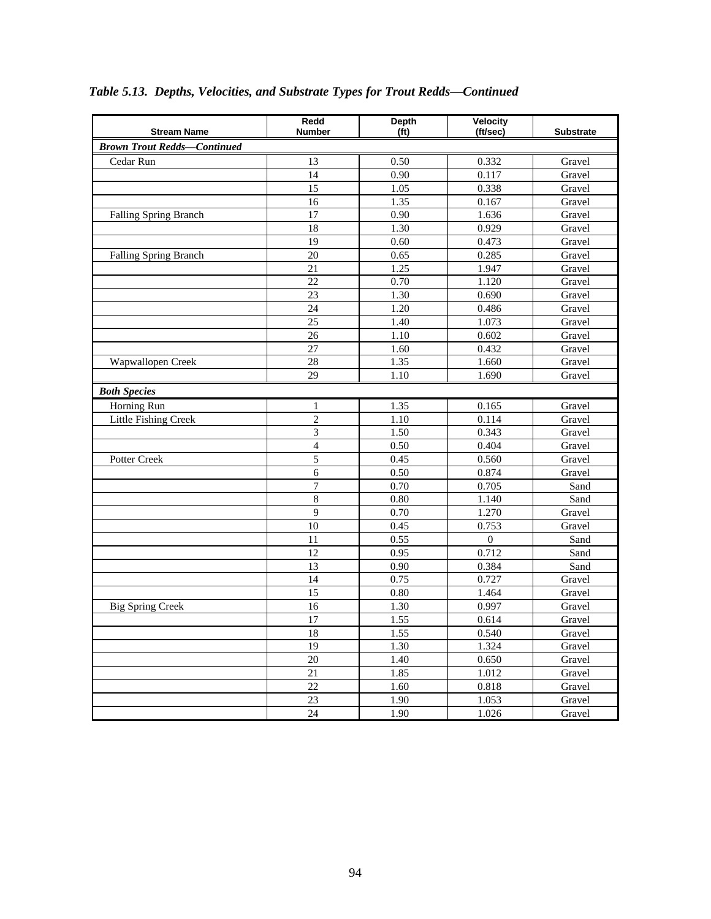| <b>Stream Name</b>                 | Redd<br><b>Number</b> | <b>Depth</b><br>(f <sup>t</sup> ) | Velocity<br>(ft/sec) | <b>Substrate</b> |
|------------------------------------|-----------------------|-----------------------------------|----------------------|------------------|
| <b>Brown Trout Redds-Continued</b> |                       |                                   |                      |                  |
| Cedar Run                          | 13                    | 0.50                              | 0.332                | Gravel           |
|                                    | $\overline{14}$       | 0.90                              | 0.117                | Gravel           |
|                                    | 15                    | 1.05                              | 0.338                | Gravel           |
|                                    | 16                    | 1.35                              | 0.167                | Gravel           |
| Falling Spring Branch              | $\overline{17}$       | 0.90                              | 1.636                | Gravel           |
|                                    | 18                    | 1.30                              | 0.929                | Gravel           |
|                                    | 19                    | 0.60                              | 0.473                | Gravel           |
| Falling Spring Branch              | 20                    | 0.65                              | 0.285                | Gravel           |
|                                    | 21                    | 1.25                              | 1.947                | Gravel           |
|                                    | $\overline{22}$       | 0.70                              | 1.120                | Gravel           |
|                                    | 23                    | 1.30                              | 0.690                | Gravel           |
|                                    | 24                    | 1.20                              | 0.486                | Gravel           |
|                                    | $\overline{25}$       | 1.40                              | 1.073                | Gravel           |
|                                    | 26                    | 1.10                              | 0.602                | Gravel           |
|                                    | 27                    | 1.60                              | 0.432                | Gravel           |
| Wapwallopen Creek                  | 28                    | 1.35                              | 1.660                | Gravel           |
|                                    | 29                    | $\overline{1.10}$                 | 1.690                | Gravel           |
| <b>Both Species</b>                |                       |                                   |                      |                  |
| Horning Run                        | 1                     | 1.35                              | 0.165                | Gravel           |
| <b>Little Fishing Creek</b>        | $\overline{2}$        | 1.10                              | 0.114                | Gravel           |
|                                    | 3                     | 1.50                              | 0.343                | Gravel           |
|                                    | $\overline{4}$        | 0.50                              | 0.404                | Gravel           |
| Potter Creek                       | $\overline{5}$        | 0.45                              | 0.560                | Gravel           |
|                                    | $\sqrt{6}$            | 0.50                              | 0.874                | Gravel           |
|                                    | $\overline{7}$        | 0.70                              | 0.705                | Sand             |
|                                    | 8                     | 0.80                              | 1.140                | Sand             |
|                                    | 9                     | 0.70                              | 1.270                | Gravel           |
|                                    | 10                    | 0.45                              | 0.753                | Gravel           |
|                                    | $\overline{11}$       | 0.55                              | $\overline{0}$       | Sand             |
|                                    | 12                    | 0.95                              | 0.712                | Sand             |
|                                    | 13                    | 0.90                              | 0.384                | Sand             |
|                                    | 14                    | 0.75                              | 0.727                | Gravel           |
|                                    | $\overline{15}$       | 0.80                              | 1.464                | Gravel           |
| <b>Big Spring Creek</b>            | $\overline{16}$       | 1.30                              | 0.997                | Gravel           |
|                                    | 17                    | 1.55                              | 0.614                | Gravel           |
|                                    | 18                    | 1.55                              | 0.540                | Gravel           |
|                                    | 19                    | 1.30                              | 1.324                | Gravel           |
|                                    | 20                    | 1.40                              | 0.650                | Gravel           |
|                                    | $\overline{21}$       | 1.85                              | 1.012                | Gravel           |
|                                    | $\overline{22}$       | 1.60                              | 0.818                | Gravel           |
|                                    | 23                    | 1.90                              | 1.053                | Gravel           |
|                                    | 24                    | 1.90                              | 1.026                | Gravel           |

# *Table 5.13. Depths, Velocities, and Substrate Types for Trout Redds—Continued*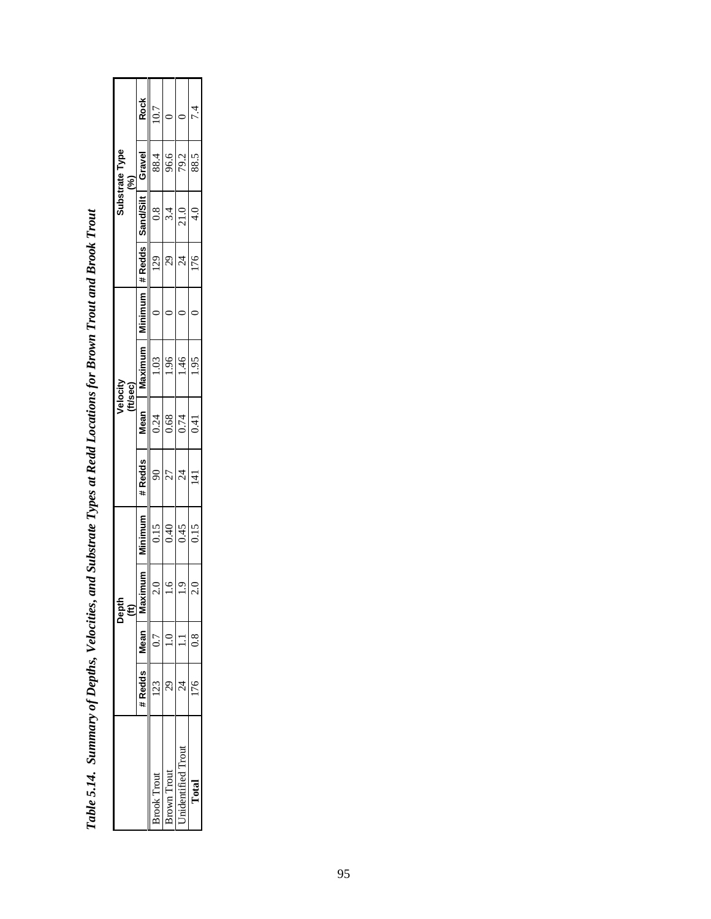|                  |        |      | Depth<br>$\widehat{\mathbf{H}}$ |                |                |       | Velocity<br>(ft/sec) |         |                          |                    | Substrate Type<br>S) |                     |  |
|------------------|--------|------|---------------------------------|----------------|----------------|-------|----------------------|---------|--------------------------|--------------------|----------------------|---------------------|--|
|                  | #Redds | lean | dimum<br>ĝ                      | <b>Minimum</b> | #Redds         | Vlean | Maximum              | Minimum |                          | #Redds   Sand/Silt | Gravel               | <b>Rock</b>         |  |
| rook Trout       | ć      | ŗ    | $\frac{0}{2}$                   | 0.15           | 8              | 0.24  | 1.03                 |         | 29                       | $\frac{8}{3}$      | 88.4                 | 10.7                |  |
| rown Trout       |        |      | $\frac{6}{1}$                   | 0.40           | 27             | 0.68  | 1.96                 |         | 29                       | 3.4                | 96.6                 |                     |  |
| nidentified Trom |        |      | $\ddot{6}$ .                    | 0.45           | $\overline{z}$ | 0.74  | .46                  |         | $\overline{\mathcal{A}}$ | 21.0               | 79.2                 |                     |  |
|                  |        |      | 2.0                             | 0.15           | $\overline{4}$ | 0.41  | 1.95                 |         | 176                      | $\frac{1}{4}$      | 88.5                 | $\ddot{\cdot}$<br>t |  |
|                  |        |      |                                 |                |                |       |                      |         |                          |                    |                      |                     |  |

Table 5.14. Summary of Depths, Velocities, and Substrate Types at Redd Locations for Brown Trout and Brook Trout *Table 5.14. Summary of Depths, Velocities, and Substrate Types at Redd Locations for Brown Trout and Brook Trout*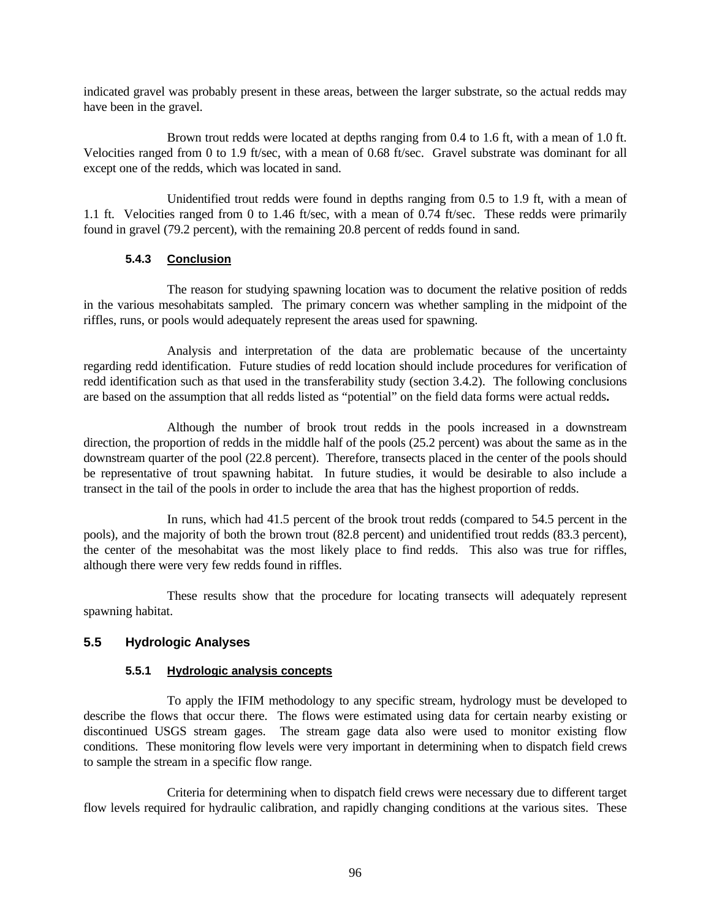indicated gravel was probably present in these areas, between the larger substrate, so the actual redds may have been in the gravel.

Brown trout redds were located at depths ranging from 0.4 to 1.6 ft, with a mean of 1.0 ft. Velocities ranged from 0 to 1.9 ft/sec, with a mean of 0.68 ft/sec. Gravel substrate was dominant for all except one of the redds, which was located in sand.

Unidentified trout redds were found in depths ranging from 0.5 to 1.9 ft, with a mean of 1.1 ft. Velocities ranged from 0 to 1.46 ft/sec, with a mean of 0.74 ft/sec. These redds were primarily found in gravel (79.2 percent), with the remaining 20.8 percent of redds found in sand.

## **5.4.3 Conclusion**

The reason for studying spawning location was to document the relative position of redds in the various mesohabitats sampled. The primary concern was whether sampling in the midpoint of the riffles, runs, or pools would adequately represent the areas used for spawning.

Analysis and interpretation of the data are problematic because of the uncertainty regarding redd identification. Future studies of redd location should include procedures for verification of redd identification such as that used in the transferability study (section 3.4.2).The following conclusions are based on the assumption that all redds listed as "potential" on the field data forms were actual redds**.**

Although the number of brook trout redds in the pools increased in a downstream direction, the proportion of redds in the middle half of the pools (25.2 percent) was about the same as in the downstream quarter of the pool (22.8 percent). Therefore, transects placed in the center of the pools should be representative of trout spawning habitat. In future studies, it would be desirable to also include a transect in the tail of the pools in order to include the area that has the highest proportion of redds.

In runs, which had 41.5 percent of the brook trout redds (compared to 54.5 percent in the pools), and the majority of both the brown trout (82.8 percent) and unidentified trout redds (83.3 percent), the center of the mesohabitat was the most likely place to find redds. This also was true for riffles, although there were very few redds found in riffles.

These results show that the procedure for locating transects will adequately represent spawning habitat.

## **5.5 Hydrologic Analyses**

## **5.5.1 Hydrologic analysis concepts**

To apply the IFIM methodology to any specific stream, hydrology must be developed to describe the flows that occur there. The flows were estimated using data for certain nearby existing or discontinued USGS stream gages. The stream gage data also were used to monitor existing flow conditions. These monitoring flow levels were very important in determining when to dispatch field crews to sample the stream in a specific flow range.

Criteria for determining when to dispatch field crews were necessary due to different target flow levels required for hydraulic calibration, and rapidly changing conditions at the various sites. These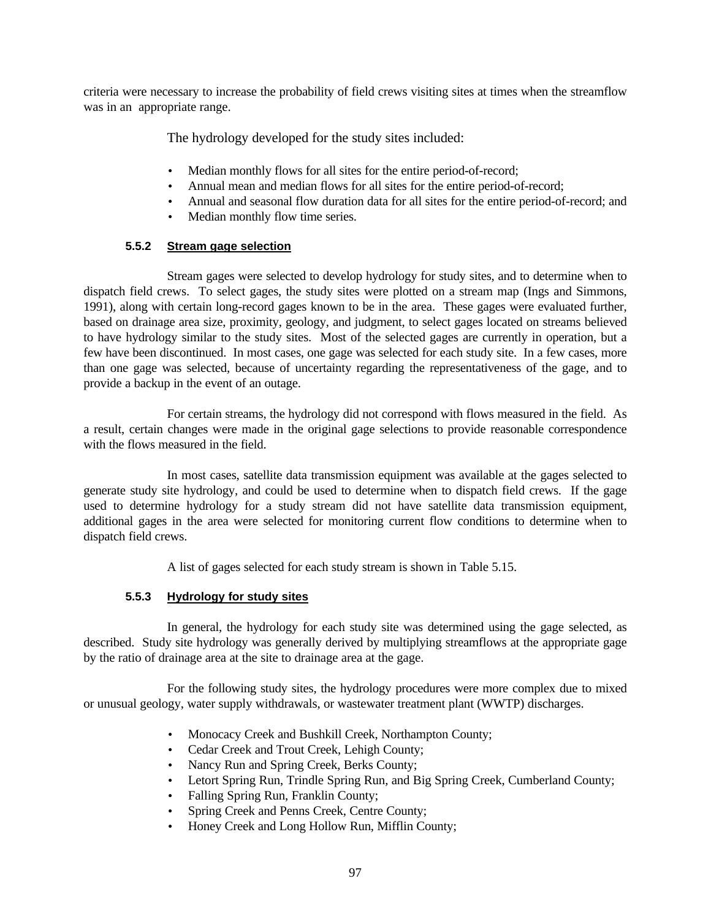criteria were necessary to increase the probability of field crews visiting sites at times when the streamflow was in an appropriate range.

The hydrology developed for the study sites included:

- Median monthly flows for all sites for the entire period-of-record;
- Annual mean and median flows for all sites for the entire period-of-record;
- Annual and seasonal flow duration data for all sites for the entire period-of-record; and
- Median monthly flow time series.

## **5.5.2 Stream gage selection**

Stream gages were selected to develop hydrology for study sites, and to determine when to dispatch field crews. To select gages, the study sites were plotted on a stream map (Ings and Simmons, 1991), along with certain long-record gages known to be in the area. These gages were evaluated further, based on drainage area size, proximity, geology, and judgment, to select gages located on streams believed to have hydrology similar to the study sites. Most of the selected gages are currently in operation, but a few have been discontinued. In most cases, one gage was selected for each study site. In a few cases, more than one gage was selected, because of uncertainty regarding the representativeness of the gage, and to provide a backup in the event of an outage.

For certain streams, the hydrology did not correspond with flows measured in the field. As a result, certain changes were made in the original gage selections to provide reasonable correspondence with the flows measured in the field.

In most cases, satellite data transmission equipment was available at the gages selected to generate study site hydrology, and could be used to determine when to dispatch field crews. If the gage used to determine hydrology for a study stream did not have satellite data transmission equipment, additional gages in the area were selected for monitoring current flow conditions to determine when to dispatch field crews.

A list of gages selected for each study stream is shown in Table 5.15.

## **5.5.3 Hydrology for study sites**

In general, the hydrology for each study site was determined using the gage selected, as described. Study site hydrology was generally derived by multiplying streamflows at the appropriate gage by the ratio of drainage area at the site to drainage area at the gage.

For the following study sites, the hydrology procedures were more complex due to mixed or unusual geology, water supply withdrawals, or wastewater treatment plant (WWTP) discharges.

- Monocacy Creek and Bushkill Creek, Northampton County;
- Cedar Creek and Trout Creek, Lehigh County;
- Nancy Run and Spring Creek, Berks County;
- Letort Spring Run, Trindle Spring Run, and Big Spring Creek, Cumberland County;
- Falling Spring Run, Franklin County;
- Spring Creek and Penns Creek, Centre County;
- Honey Creek and Long Hollow Run, Mifflin County;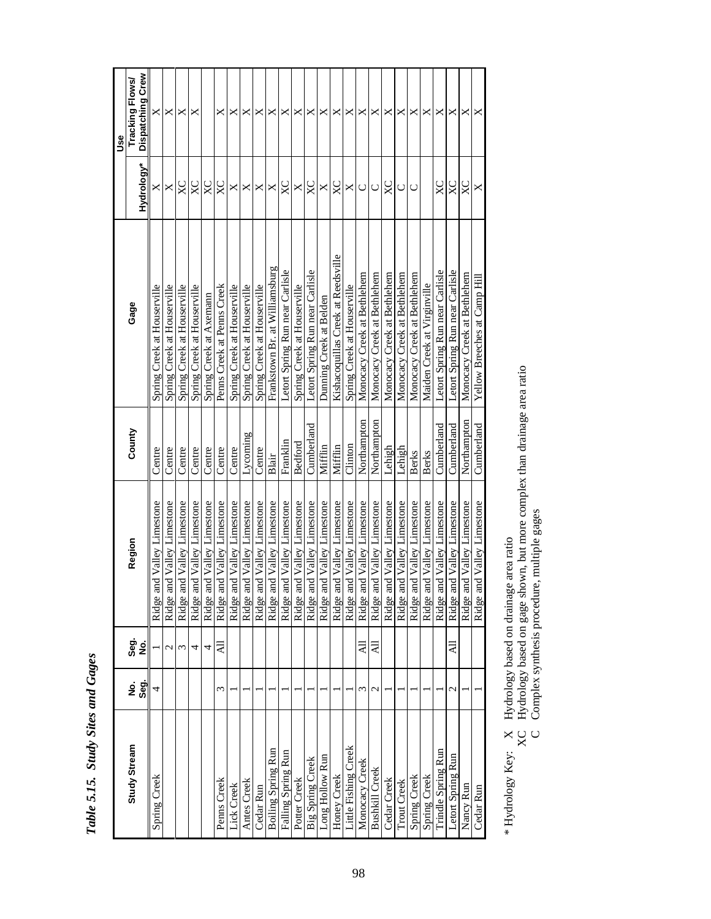|                           |               |               |                                 |                |                                    |               | <b>Jse</b>                                 |
|---------------------------|---------------|---------------|---------------------------------|----------------|------------------------------------|---------------|--------------------------------------------|
| Study Stream              | Seg.<br>ġ     | င်း<br>၁<br>ş | Region                          | County         | Gage                               | Hydrology*    | <b>Dispatching Crew</b><br>Tracking Flows/ |
| Spring Creek              | 4             |               | and Valley Limestone<br>Ridge   | Centre         | Spring Creek at Houserville        | ×             | X                                          |
|                           |               | $\mathcal{C}$ | and Valley Limestone<br>Ridge:  | Centre         | Spring Creek at Houserville        | X             | X                                          |
|                           |               | 3             | and Valley Limestone<br>Ridge:  | Centre         | Spring Creek at Houserville        | XC            | ×                                          |
|                           |               | 4             | Ridge and Valley Limestone      | Centre         | Spring Creek at Houserville        | $X_{\rm C}$   | ×                                          |
|                           |               | 4             | and Valley Limestone<br>Ridge   | Centre         | Spring Creek at Axemann            | $X\mathbb{C}$ |                                            |
| Penns Creek               | ξ             | ₹             | Ridge and Valley Limestone      | Centre         | Penns Creek at Penns Creek         | $X_{\rm C}$   | ×                                          |
| Lick Creek                |               |               | and Valley Limestone<br>Ridge   | Centre         | Spring Creek at Houserville        | $\times$      | ×                                          |
| Antes Creek               |               |               | and Valley Limestone<br>Ridge:  | Lycoming       | Spring Creek at Houserville        | X             | ×                                          |
| Cedar Run                 |               |               | Ridge and Valley Limestone      | Centre         | Spring Creek at Houserville        | X             | X                                          |
| <b>Boiling Spring Run</b> |               |               | and Valley Limestone<br>Ridge   | Blair          | Frankstown Br. at Williamsburg     | X             | ×                                          |
| Falling Spring Run        |               |               | and Valley Limestone<br>Ridge:  | Franklin       | Letort Spring Run near Carlisle    | $X_{\rm C}$   | ×                                          |
| Potter Creek              |               |               | and Valley Limestone<br>Ridge   | <b>Bedford</b> | Spring Creek at Houserville        | ×             | ×                                          |
| <b>Big Spring Creek</b>   |               |               | Ridge and Valley Limestone      | Cumberland     | Letort Spring Run near Carlisle    | $X_{\rm C}$   | ×                                          |
| Long Hollow Run           |               |               | and Valley Limestone<br>Ridge   | Mifflin        | Dunning Creek at Belden            | ×             | ×                                          |
| Honey Creek               |               |               | and Valley Limestone<br>Ridge:  | Mifflin        | Kishacoquillas Creek at Reedsville | $_{\rm XC}$   | ×                                          |
| Little Fishing Creek      |               |               | Ridge and Valley Limestone      | Clinton        | Spring Creek at Houserville        | X             | ×                                          |
| Monocacy Creek            | ξ             | ₹             | and Valley Limestone<br>Ridge   | Northampton    | Monocacy Creek at Bethlehem        | $\cup$        | ×                                          |
| <b>Bushkill Creek</b>     | $\mathcal{C}$ | ₹             | Ridge and Valley Limestone      | Northampton    | Monocacy Creek at Bethlehem        | $\cup$        | ×                                          |
| Cedar Creek               |               |               | and Valley Limestone<br>Ridge 2 | Lehigh         | Monocacy Creek at Bethlehem        | $X_{\rm C}$   | ×                                          |
| <b>Trout Creek</b>        |               |               | and Valley Limestone<br>Ridge:  | Lehigh         | Monocacy Creek at Bethlehem        | $\cup$        | ×                                          |
| Spring Creek              |               |               | Ridge and Valley Limestone      | <b>Berks</b>   | Monocacy Creek at Bethlehem        | $\cup$        | ×                                          |
| Spring Creek              |               |               | and Valley Limestone<br>Ridge:  | Berks          | Maiden Creek at Virginville        |               | ×                                          |
| Trindle Spring Run        |               |               | Ridge and Valley Limestone      | Cumberland     | Letort Spring Run near Carlisle    | $X_{\rm C}$   | X                                          |
| Letort Spring Run         | $\mathcal{C}$ | 둬             | and Valley Limestone<br>Ridge   | Cumberland     | Letort Spring Run near Carlisle    | XC            | ×                                          |
| Nancy Run                 |               |               | Ridge and Valley Limestone      | Northampton    | Monocacy Creek at Bethlehem        | $X_{\rm C}$   | ×                                          |
| Cedar Run                 |               |               | Ridge and Valley Limestone      | Cumberland     | Yellow Breeches at Camp Hill       | X             | ×                                          |

Table 5.15. Study Sites and Gages *Table 5.15. Study Sites and Gages*

\* Hydrology Key: X Hydrology based on drainage area ratio

\* Hydrology Key: X Hydrology based on drainage area ratio<br>XC Hydrology based on gage shown, but more complex than drainage area ratio<br>C Complex synthesis procedure, multiple gages XC Hydrology based on gage shown, but more complex than drainage area ratio

C Complex synthesis procedure, multiple gages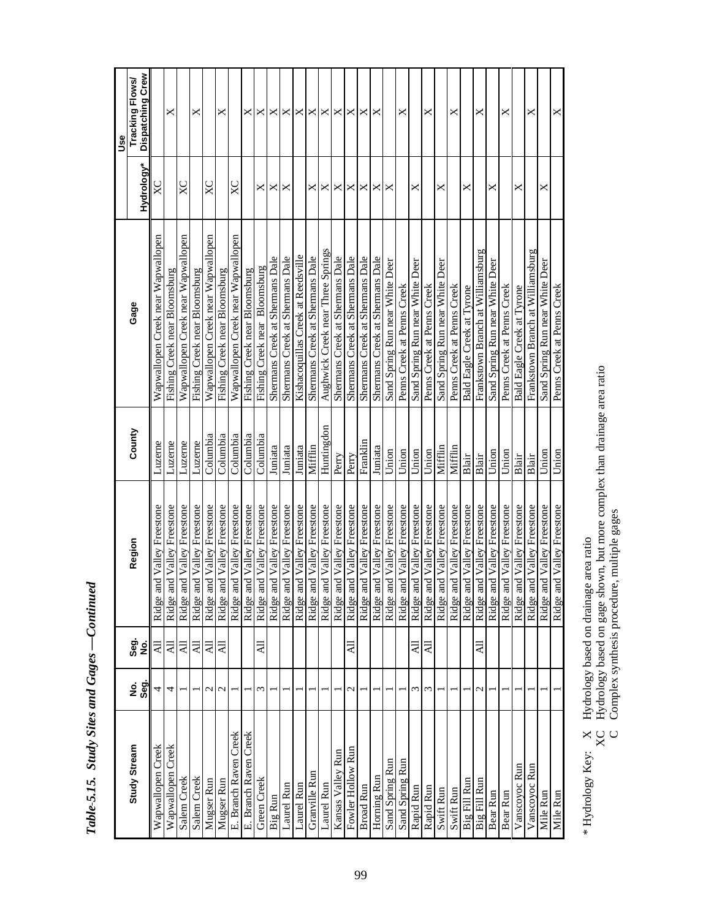|                       |                  |                      |                            |            |                                    |                       | Use                                 |
|-----------------------|------------------|----------------------|----------------------------|------------|------------------------------------|-----------------------|-------------------------------------|
| Study Stream          | န်<br>၁၉<br>ş    | င်္တ<br>မီ<br>غ<br>ع | Region                     | County     | Gage                               | Hydrology*            | Dispatching Crew<br>Tracking Flows/ |
| Wapwallopen Creek     |                  | $\overline{a}$       | Ridge and Valley Freestone | Luzerne    | Wapwallopen Creek near Wapwallopen | $_{\rm XC}$           |                                     |
| Wapwallopen Creek     | 4                | ₹                    | Ridge and Valley Freestone | Luzerne    | Fishing Creek near Bloomsburg      |                       | ×                                   |
| Salem Creek           |                  | ₹                    | Ridge and Valley Freestone | Luzerne    | Wapwallopen Creek near Wapwallopen | $X_{\rm C}$           |                                     |
| Salem Creek           |                  | ξŔ                   | Ridge and Valley Freestone | Luzerne    | Fishing Creek near Bloomsburg      |                       | ×                                   |
| Mugser Run            | $\mathbf{\sim}$  | $\overline{a}$       | Ridge and Valley Freestone | Columbia   | Wapwallopen Creek near Wapwallopen | $X_{\rm C}$           |                                     |
| Mugser Run            | $\mathbf 2$      | $\overline{A}$       | Ridge and Valley Freestone | Columbia   | Fishing Creek near Bloomsburg      |                       | ×                                   |
| E. Branch Raven Creek |                  |                      | Ridge and Valley Freestone | Columbia   | Wapwallopen Creek near Wapwallopen | XC                    |                                     |
| E. Branch Raven Creek |                  |                      | Ridge and Valley Freestone | Columbia   | Fishing Creek near Bloomsburg      |                       | ×                                   |
| Green Creek           | 3                | ₹                    | Ridge and Valley Freestone | Columbia   | Fishing Creek near Bloomsburg      | ×                     | ×                                   |
| Big Run               |                  |                      | Ridge and Valley Freestone | Juniata    | Shermans Creek at Shermans Dale    | ×                     |                                     |
| Laurel Run            |                  |                      | Ridge and Valley Freestone | Juniata    | Shermans Creek at Shermans Dale    | $\boldsymbol{\times}$ | $\times$ $\times$                   |
| Laurel Run            |                  |                      | Ridge and Valley Freestone | Juniata    | Kishacoquillas Creek at Reedsville |                       | ×                                   |
| Granville Run         |                  |                      | Ridge and Valley Freestone | Mifflin    | Shermans Creek at Shermans Dale    | ×                     | ×                                   |
| Laurel Run            |                  |                      | Ridge and Valley Freestone | Huntingdon | Aughwick Creek near Three Springs  | ×                     | ×                                   |
| Kansas Valley Run     |                  |                      | Ridge and Valley Freestone | Perry      | Shermans Creek at Shermans Dale    | X                     | ×                                   |
| Fowler Hollow Run     | $\mathrel{\sim}$ | ₹                    | Ridge and Valley Freestone | Perry      | Shermans Creek at Shermans Dale    | ×                     | ×                                   |
| <b>Broad Run</b>      |                  |                      | Ridge and Valley Freestone | Franklin   | Shermans Creek at Shermans Dale    | ×                     | $\boldsymbol{\times}$               |
| Horning Run           |                  |                      | Ridge and Valley Freestone | Juniata    | Shermans Creek at Shermans Dale    | ×                     | ×                                   |
| Sand Spring Run       |                  |                      | Ridge and Valley Freestone | Union      | Sand Spring Run near White Deer    | ×                     |                                     |
| Sand Spring Run       |                  |                      | Ridge and Valley Freestone | Union      | Penns Creek at Penns Creek         |                       | ×                                   |
| Rapid Run             | ω                | ╕                    | Ridge and Valley Freestone | Union      | Sand Spring Run near White Deer    | ×                     |                                     |
| Rapid Run             | S                | $\overline{a}$       | Ridge and Valley Freestone | Union      | Penns Creek at Penns Creek         |                       | ×                                   |
| Swift Run             |                  |                      | Ridge and Valley Freestone | Mifflir    | Sand Spring Run near White Deer    | ×                     |                                     |
| Swift Run             |                  |                      | Ridge and Valley Freestone | Mifflin    | Penns Creek at Penns Creek         |                       | ×                                   |
| Big Fill Run          |                  |                      | Ridge and Valley Freestone | Blair      | Bald Eagle Creek at Tyrone         | ×                     |                                     |
| Big Fill Run          | $\mathbf{\sim}$  | 딌                    | Ridge and Valley Freestone | Blair      | Frankstown Branch at Williamsburg  |                       | ×                                   |
| Bear Run              |                  |                      | Ridge and Valley Freestone | Union      | Sand Spring Run near White Deer    | ×                     |                                     |
| Bear Run              |                  |                      | Ridge and Valley Freestone | Union      | Penns Creek at Penns Creek         |                       | ×                                   |
| Vanscoyoc Run         |                  |                      | Ridge and Valley Freestone | Blair      | Bald Eagle Creek at Tyrone         | ×                     |                                     |
| Vanscoyoc Run         |                  |                      | Ridge and Valley Freestone | Blair      | Frankstown Branch at Williamsburg  |                       | ×                                   |
| Mile Run              |                  |                      | Ridge and Valley Freestone | $U$ nior   | Sand Spring Run near White Deer    | ×                     |                                     |
| Mile Run              |                  |                      | Ridge and Valley Freestone | Union      | Penns Creek at Penns Creek         |                       | ×                                   |

Table-5.15. Study Sites and Gages -Continued *Table 5.15. Study Sites and Gages —Continued*

\* Hydrology Key: X Hydrology based on drainage area ratio

\* Hydrology Key: X Hydrology based on drainage area ratio<br>XC Hydrology based on gage shown, but more complex than drainage area ratio<br>C Complex synthesis procedure, multiple gages XC Hydrology based on gage shown, but more complex than drainage area ratio

C Complex synthesis procedure, multiple gages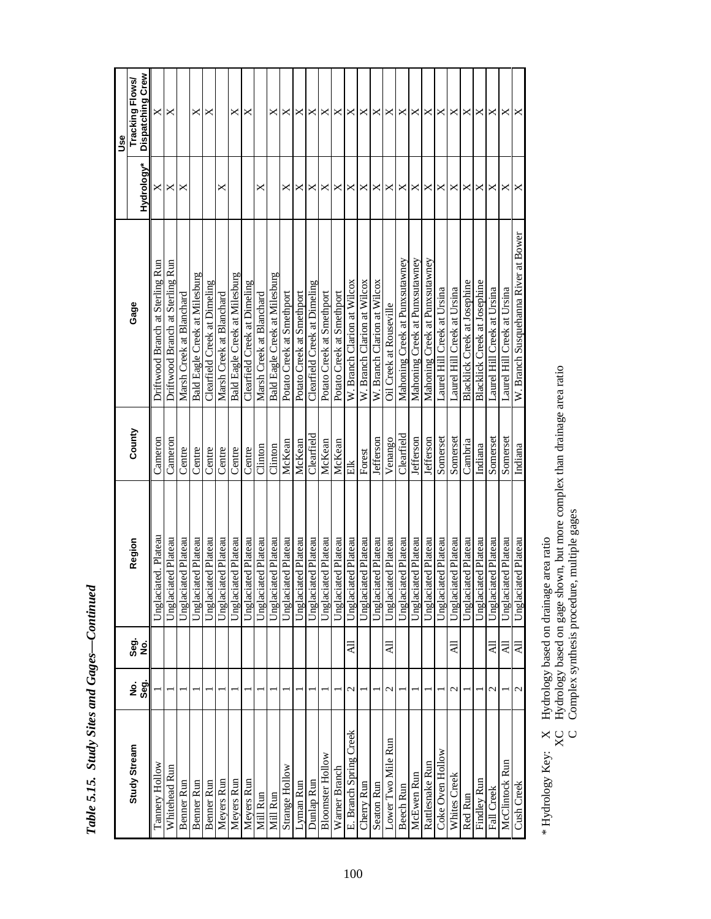|                        |                   |                 |                      |            |                                      |                       | 9se                                 |
|------------------------|-------------------|-----------------|----------------------|------------|--------------------------------------|-----------------------|-------------------------------------|
| Study Stream           | Seg.<br>ş         | Seg.<br>ş       | Region               | County     | Gage                                 | Hydrology*            | Dispatching Crew<br>Tracking Flows/ |
| Tannery Hollow         |                   |                 | Unglaciated. Plateau | Cameron    | Driftwood Branch at Sterling Run     | ×                     | $\times$                            |
| Whitehead Run          |                   |                 | Jnglaciated Plateau  | Cameron    | Driftwood Branch at Sterling Run     | $\boldsymbol{\times}$ | X                                   |
| Benner Run             |                   |                 | Unglaciated Plateau  | Centre     | Marsh Creek at Blanchard             | ×                     |                                     |
| Benner Run             |                   |                 | Unglaciated Plateau  | Centre     | Bald Eagle Creek at Milesburg        |                       | ×                                   |
| Benner Run             |                   |                 | Unglaciated Plateau  | Centre     | Clearfield Creek at Dimeling         |                       | ×                                   |
| Meyers Run             |                   |                 | Unglaciated Plateau  | Centre     | Marsh Creek at Blanchard             | ×                     |                                     |
| Meyers Run             |                   |                 | Unglaciated Plateau  | Centre     | Bald Eagle Creek at Milesburg        |                       | ×                                   |
| Meyers Run             |                   |                 | Unglaciated Plateau  | Centre     | Clearfield Creek at Dimeling         |                       | ×                                   |
| Mill Run               |                   |                 | Unglaciated Plateau  | Clinton    | Marsh Creek at Blanchard             | ×                     |                                     |
| Mill Run               |                   |                 | Unglaciated Plateau  | Clinton    | Bald Eagle Creek at Milesburg        |                       | ×                                   |
| Strange Hollow         |                   |                 | Unglaciated Plateau  | McKean     | Potato Creek at Smethport            | ×                     | ×                                   |
| Lyman Run              |                   |                 | Unglaciated Plateau  | McKean     | Potato Creek at Smethport            | ×                     | ×                                   |
| Dunlap Run             |                   |                 | Unglaciated Plateau  | Clearfield | Clearfield Creek at Dimeling         | ×                     | ×                                   |
| Bloomster Hollow       |                   |                 | Unglaciated Plateau  | McKean     | Potato Creek at Smethport            | $\times$              | X                                   |
| Warner Branch          |                   |                 | Unglaciated Plateau  | McKean     | Potato Creek at Smethport            | ×                     | ×                                   |
| E. Branch Spring Creek | $\mathrel{\sim}$  | 둬               | Unglaciated Plateau  | 旨          | W. Branch Clarion at Wilcox          | ×                     | ×                                   |
| Cherry Run             |                   |                 | Unglaciated Plateau  | Forest     | W. Branch Clarion at Wilcox          | ×                     | X                                   |
| <b>Seaton Run</b>      |                   |                 | Unglaciated Plateau  | Jefferson  | W. Branch Clarion at Wilcox          | ×                     | ×                                   |
| Lower Two Mile Run     | $\mathbf{\sim}$   | ₹               | Unglaciated Plateau  | Venango    | Oil Creek at Rouseville              | ×                     | ×                                   |
| Beech Run              |                   |                 | Unglaciated Plateau  | Clearly    | Mahoning Creek at Punxsutawney       | ×                     | $\times$                            |
| McEwen Run             |                   |                 | Unglaciated Plateau  | Jefferson  | Mahoning Creek at Punxsutawney       | ×                     | ×                                   |
| Rattlesnake Run        |                   |                 | Unglaciated Plateau  | Jefferson  | Mahoning Creek at Punxsutawney       | ×                     | ×                                   |
| Coke Oven Hollow       |                   |                 | Unglaciated Plateau  | Somerset   | Laurel Hill Creek at Ursina          | ×                     | ×                                   |
| Whites Creek           | $\mathcal{C}$     | 딌               | Unglaciated Plateau  | Somerset   | Laurel Hill Creek at Ursina          | ×                     | ×                                   |
| <b>Red Run</b>         |                   |                 | Unglaciated Plateau  | Cambria    | Blacklick Creek at Josephine         | ×                     | ×                                   |
| Findley Run            |                   |                 | Unglaciated Plateau  | Indiana    | Blacklick Creek at Josephine         | X                     | $\Join$                             |
| Fall Creek             | $\mathbf{\Omega}$ | ĮК              | Unglaciated Plateau  | Somerset   | Laurel Hill Creek at Ursina          | ×                     | ×                                   |
| McClintock Run         |                   | 둬               | Unglaciated Plateau  | Somerset   | Laurel Hill Creek at Ursina          | ×                     | ×                                   |
| Cush Creek             | 2                 | $\overline{AB}$ | Unglaciated Plateau  | Indiana    | W. Branch Susquehanna River at Bower | X                     | X                                   |

Table 5.15. Study Sites and Gages-Continued *Table 5.15. Study Sites and Gages—Continued*

\* Hydrology Key: X Hydrology based on drainage area ratio

\* Hydrology Key: X Hydrology based on drainage area ratio<br>XC Hydrology based on gage shown, but more complex than drainage area ratio<br>C Complex synthesis procedure, multiple gages  $XC$  Hydrology based on gage shown, but more complex than drainage area ratio C Complex synthesis procedure, multiple gages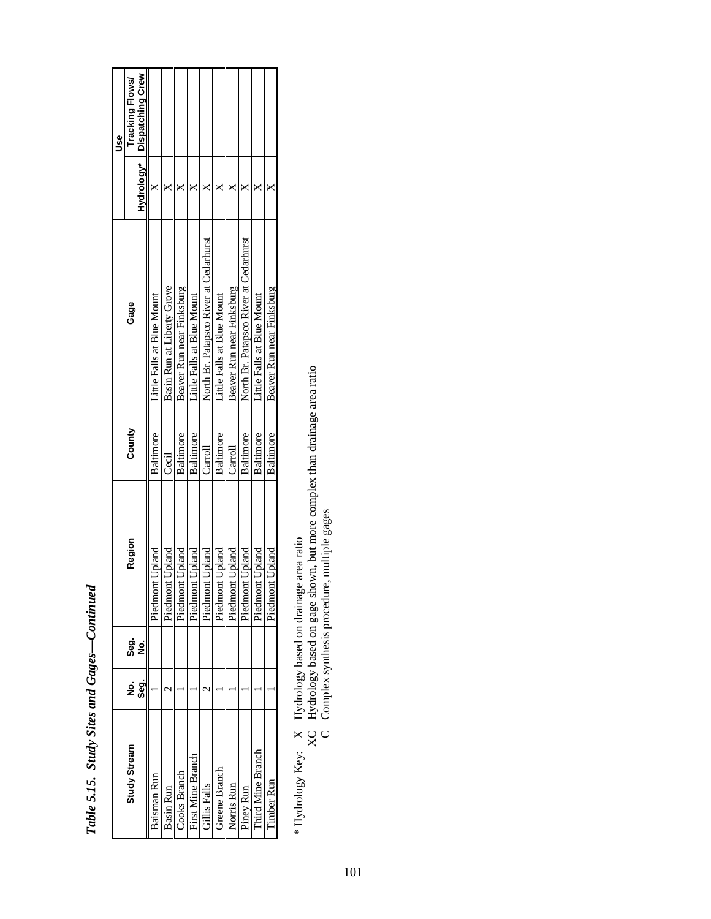|                     |          |              |                     |           |                                        |            | Use              |
|---------------------|----------|--------------|---------------------|-----------|----------------------------------------|------------|------------------|
| <b>Study Stream</b> | ខ្ញុំ ទូ | ခွာ် ၁<br>စီ | Region              | County    | Gage                                   |            | Tracking Flows/  |
|                     |          |              |                     |           |                                        | Hydrology* | Dispatching Crew |
| Baisman Run         |          |              | ont Upland<br>Piedm | Baltimore | Little Falls at Blue Mount             |            |                  |
| Basin Run           |          |              | ont Upland<br>Piedm | Cecil     | Basin Run at Liberty Grove             |            |                  |
| <b>Cooks Branch</b> |          |              | ont Upland<br>Piedm | Baltimore | Beaver Run near Finksburg              |            |                  |
| First Mine Branch   |          |              | ont Upland<br>Piedm | Baltimore | Little Falls at Blue Mount             |            |                  |
| Falls<br>Falls      |          |              | ont Upland<br>Piedm | Carroll   | North Br. Patapsco River at Cedarhurst |            |                  |
| Greene Branch       |          |              | ont Upland<br>Piedm | Baltimore | Little Falls at Blue Mount             |            |                  |
| Vorris Run          |          |              | ont Upland<br>Piedm | Carroll   | Beaver Run near Finksburg              |            |                  |
| iney Run            |          |              | ont Upland<br>Piedm | Baltimore | North Br. Patapsco River at Cedarhurst |            |                  |
| hird Mine Branch    |          |              | ont Upland<br>Piedm | Baltimore | Little Falls at Blue Mount             |            |                  |
| imber Run           |          |              | ont Upland<br>Piedm | Baltimore | Beaver Run near Finksburg              |            |                  |

Table 5.15. Study Sites and Gages-Continued *Table 5.15. Study Sites and Gages—Continued*

\* Hydrology Key: X Hydrology based on drainage area ratio

\* Hydrology Key: X Hydrology based on drainage area ratio<br>XC Hydrology based on gage shown, but more complex than drainage area ratio<br>C Complex synthesis procedure, multiple gages XC Hydrology based on gage shown, but more complex than drainage area ratio

C Complex synthesis procedure, multiple gages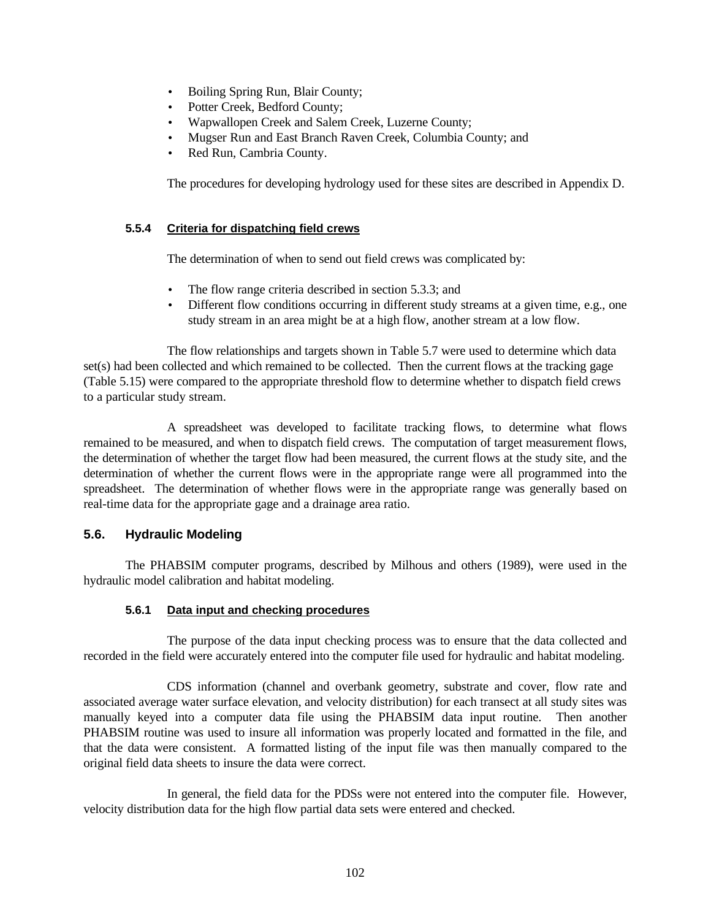- Boiling Spring Run, Blair County;
- Potter Creek, Bedford County;
- Wapwallopen Creek and Salem Creek, Luzerne County;
- Mugser Run and East Branch Raven Creek, Columbia County; and
- Red Run, Cambria County.

The procedures for developing hydrology used for these sites are described in Appendix D.

#### **5.5.4 Criteria for dispatching field crews**

The determination of when to send out field crews was complicated by:

- The flow range criteria described in section 5.3.3; and
- Different flow conditions occurring in different study streams at a given time, e.g., one study stream in an area might be at a high flow, another stream at a low flow.

The flow relationships and targets shown in Table 5.7 were used to determine which data set(s) had been collected and which remained to be collected. Then the current flows at the tracking gage (Table 5.15) were compared to the appropriate threshold flow to determine whether to dispatch field crews to a particular study stream.

A spreadsheet was developed to facilitate tracking flows, to determine what flows remained to be measured, and when to dispatch field crews. The computation of target measurement flows, the determination of whether the target flow had been measured, the current flows at the study site, and the determination of whether the current flows were in the appropriate range were all programmed into the spreadsheet. The determination of whether flows were in the appropriate range was generally based on real-time data for the appropriate gage and a drainage area ratio.

## **5.6. Hydraulic Modeling**

The PHABSIM computer programs, described by Milhous and others (1989), were used in the hydraulic model calibration and habitat modeling.

## **5.6.1 Data input and checking procedures**

The purpose of the data input checking process was to ensure that the data collected and recorded in the field were accurately entered into the computer file used for hydraulic and habitat modeling.

CDS information (channel and overbank geometry, substrate and cover, flow rate and associated average water surface elevation, and velocity distribution) for each transect at all study sites was manually keyed into a computer data file using the PHABSIM data input routine. Then another PHABSIM routine was used to insure all information was properly located and formatted in the file, and that the data were consistent. A formatted listing of the input file was then manually compared to the original field data sheets to insure the data were correct.

In general, the field data for the PDSs were not entered into the computer file. However, velocity distribution data for the high flow partial data sets were entered and checked.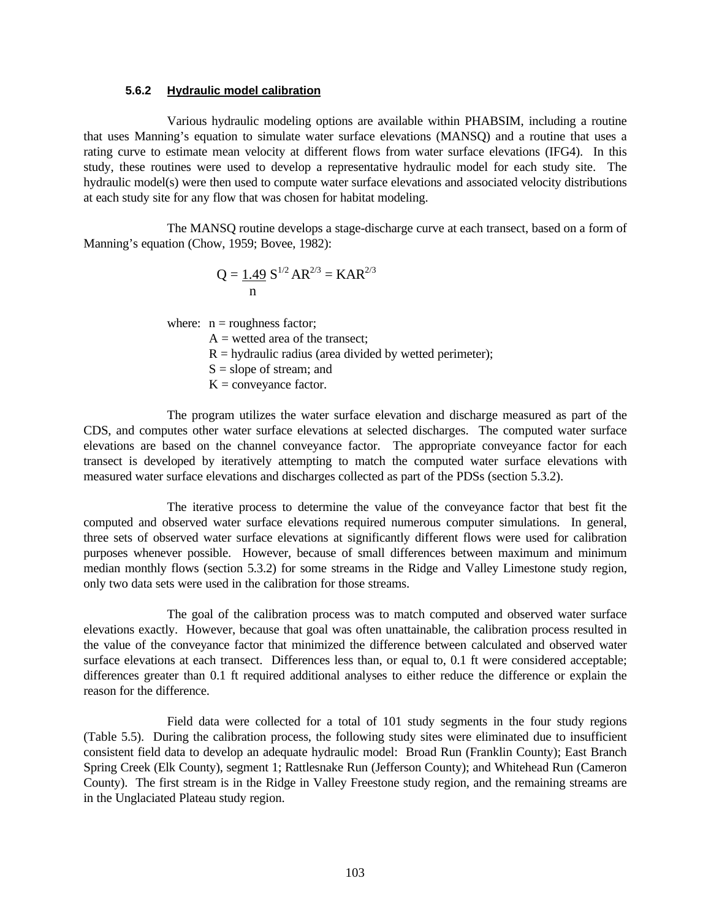#### **5.6.2 Hydraulic model calibration**

Various hydraulic modeling options are available within PHABSIM, including a routine that uses Manning's equation to simulate water surface elevations (MANSQ) and a routine that uses a rating curve to estimate mean velocity at different flows from water surface elevations (IFG4). In this study, these routines were used to develop a representative hydraulic model for each study site. The hydraulic model(s) were then used to compute water surface elevations and associated velocity distributions at each study site for any flow that was chosen for habitat modeling.

The MANSQ routine develops a stage-discharge curve at each transect, based on a form of Manning's equation (Chow, 1959; Bovee, 1982):

$$
Q = \frac{1.49}{n} S^{1/2} AR^{2/3} = KAR^{2/3}
$$

where:  $n =$  roughness factor;

 $A =$  wetted area of the transect;

- $R =$  hydraulic radius (area divided by wetted perimeter);
- $S = slope of stream; and$
- $K =$  conveyance factor.

The program utilizes the water surface elevation and discharge measured as part of the CDS, and computes other water surface elevations at selected discharges. The computed water surface elevations are based on the channel conveyance factor. The appropriate conveyance factor for each transect is developed by iteratively attempting to match the computed water surface elevations with measured water surface elevations and discharges collected as part of the PDSs (section 5.3.2).

The iterative process to determine the value of the conveyance factor that best fit the computed and observed water surface elevations required numerous computer simulations. In general, three sets of observed water surface elevations at significantly different flows were used for calibration purposes whenever possible. However, because of small differences between maximum and minimum median monthly flows (section 5.3.2) for some streams in the Ridge and Valley Limestone study region, only two data sets were used in the calibration for those streams.

The goal of the calibration process was to match computed and observed water surface elevations exactly. However, because that goal was often unattainable, the calibration process resulted in the value of the conveyance factor that minimized the difference between calculated and observed water surface elevations at each transect. Differences less than, or equal to, 0.1 ft were considered acceptable; differences greater than 0.1 ft required additional analyses to either reduce the difference or explain the reason for the difference.

Field data were collected for a total of 101 study segments in the four study regions (Table 5.5). During the calibration process, the following study sites were eliminated due to insufficient consistent field data to develop an adequate hydraulic model: Broad Run (Franklin County); East Branch Spring Creek (Elk County), segment 1; Rattlesnake Run (Jefferson County); and Whitehead Run (Cameron County). The first stream is in the Ridge in Valley Freestone study region, and the remaining streams are in the Unglaciated Plateau study region.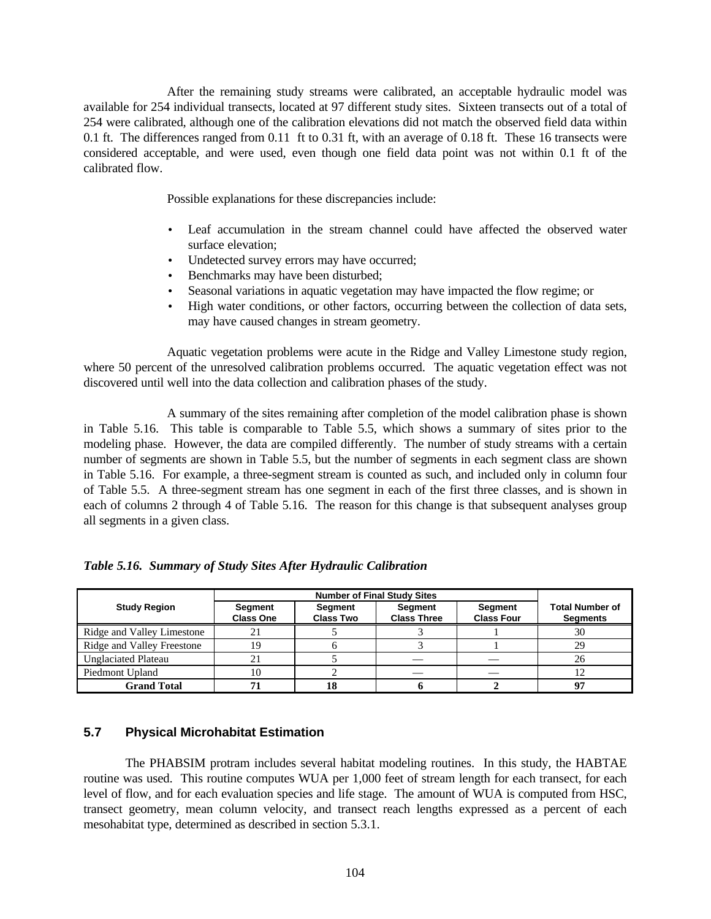After the remaining study streams were calibrated, an acceptable hydraulic model was available for 254 individual transects, located at 97 different study sites. Sixteen transects out of a total of 254 were calibrated, although one of the calibration elevations did not match the observed field data within 0.1 ft. The differences ranged from 0.11 ft to 0.31 ft, with an average of 0.18 ft. These 16 transects were considered acceptable, and were used, even though one field data point was not within 0.1 ft of the calibrated flow.

Possible explanations for these discrepancies include:

- Leaf accumulation in the stream channel could have affected the observed water surface elevation;
- Undetected survey errors may have occurred;
- Benchmarks may have been disturbed;
- Seasonal variations in aquatic vegetation may have impacted the flow regime; or
- High water conditions, or other factors, occurring between the collection of data sets, may have caused changes in stream geometry.

Aquatic vegetation problems were acute in the Ridge and Valley Limestone study region, where 50 percent of the unresolved calibration problems occurred. The aquatic vegetation effect was not discovered until well into the data collection and calibration phases of the study.

A summary of the sites remaining after completion of the model calibration phase is shown in Table 5.16. This table is comparable to Table 5.5, which shows a summary of sites prior to the modeling phase. However, the data are compiled differently. The number of study streams with a certain number of segments are shown in Table 5.5, but the number of segments in each segment class are shown in Table 5.16. For example, a three-segment stream is counted as such, and included only in column four of Table 5.5. A three-segment stream has one segment in each of the first three classes, and is shown in each of columns 2 through 4 of Table 5.16. The reason for this change is that subsequent analyses group all segments in a given class.

|                            |                             | <b>Number of Final Study Sites</b> |                               |                              |                                           |
|----------------------------|-----------------------------|------------------------------------|-------------------------------|------------------------------|-------------------------------------------|
| <b>Study Region</b>        | Segment<br><b>Class One</b> | Segment<br><b>Class Two</b>        | Segment<br><b>Class Three</b> | Segment<br><b>Class Four</b> | <b>Total Number of</b><br><b>Segments</b> |
| Ridge and Valley Limestone |                             |                                    |                               |                              | 30                                        |
| Ridge and Valley Freestone | 19                          |                                    |                               |                              | 29                                        |
| <b>Unglaciated Plateau</b> |                             |                                    |                               |                              | 26                                        |
| Piedmont Upland            | 10                          |                                    |                               |                              | 12                                        |
| <b>Grand Total</b>         |                             | 18                                 |                               |                              | ω,                                        |

*Table 5.16. Summary of Study Sites After Hydraulic Calibration*

## **5.7 Physical Microhabitat Estimation**

The PHABSIM protram includes several habitat modeling routines. In this study, the HABTAE routine was used. This routine computes WUA per 1,000 feet of stream length for each transect, for each level of flow, and for each evaluation species and life stage. The amount of WUA is computed from HSC, transect geometry, mean column velocity, and transect reach lengths expressed as a percent of each mesohabitat type, determined as described in section 5.3.1.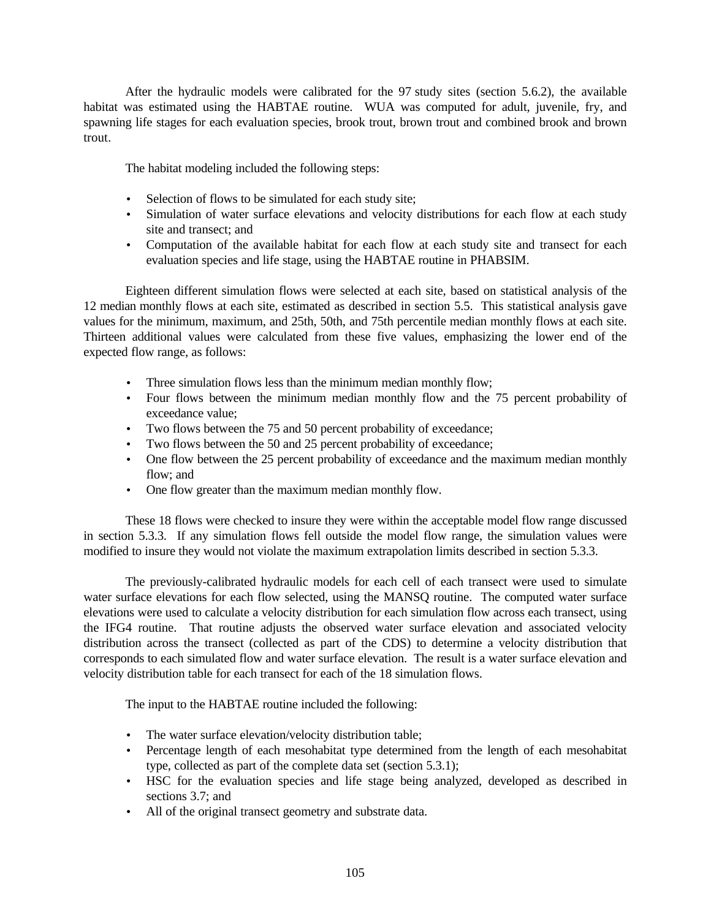After the hydraulic models were calibrated for the 97 study sites (section 5.6.2), the available habitat was estimated using the HABTAE routine. WUA was computed for adult, juvenile, fry, and spawning life stages for each evaluation species, brook trout, brown trout and combined brook and brown trout.

The habitat modeling included the following steps:

- Selection of flows to be simulated for each study site;
- Simulation of water surface elevations and velocity distributions for each flow at each study site and transect; and
- Computation of the available habitat for each flow at each study site and transect for each evaluation species and life stage, using the HABTAE routine in PHABSIM.

Eighteen different simulation flows were selected at each site, based on statistical analysis of the 12 median monthly flows at each site, estimated as described in section 5.5. This statistical analysis gave values for the minimum, maximum, and 25th, 50th, and 75th percentile median monthly flows at each site. Thirteen additional values were calculated from these five values, emphasizing the lower end of the expected flow range, as follows:

- Three simulation flows less than the minimum median monthly flow;
- Four flows between the minimum median monthly flow and the 75 percent probability of exceedance value;
- Two flows between the 75 and 50 percent probability of exceedance;
- Two flows between the 50 and 25 percent probability of exceedance;
- One flow between the 25 percent probability of exceedance and the maximum median monthly flow; and
- One flow greater than the maximum median monthly flow.

These 18 flows were checked to insure they were within the acceptable model flow range discussed in section 5.3.3. If any simulation flows fell outside the model flow range, the simulation values were modified to insure they would not violate the maximum extrapolation limits described in section 5.3.3.

The previously-calibrated hydraulic models for each cell of each transect were used to simulate water surface elevations for each flow selected, using the MANSQ routine. The computed water surface elevations were used to calculate a velocity distribution for each simulation flow across each transect, using the IFG4 routine. That routine adjusts the observed water surface elevation and associated velocity distribution across the transect (collected as part of the CDS) to determine a velocity distribution that corresponds to each simulated flow and water surface elevation. The result is a water surface elevation and velocity distribution table for each transect for each of the 18 simulation flows.

The input to the HABTAE routine included the following:

- The water surface elevation/velocity distribution table;
- Percentage length of each mesohabitat type determined from the length of each mesohabitat type, collected as part of the complete data set (section 5.3.1);
- HSC for the evaluation species and life stage being analyzed, developed as described in sections 3.7; and
- All of the original transect geometry and substrate data.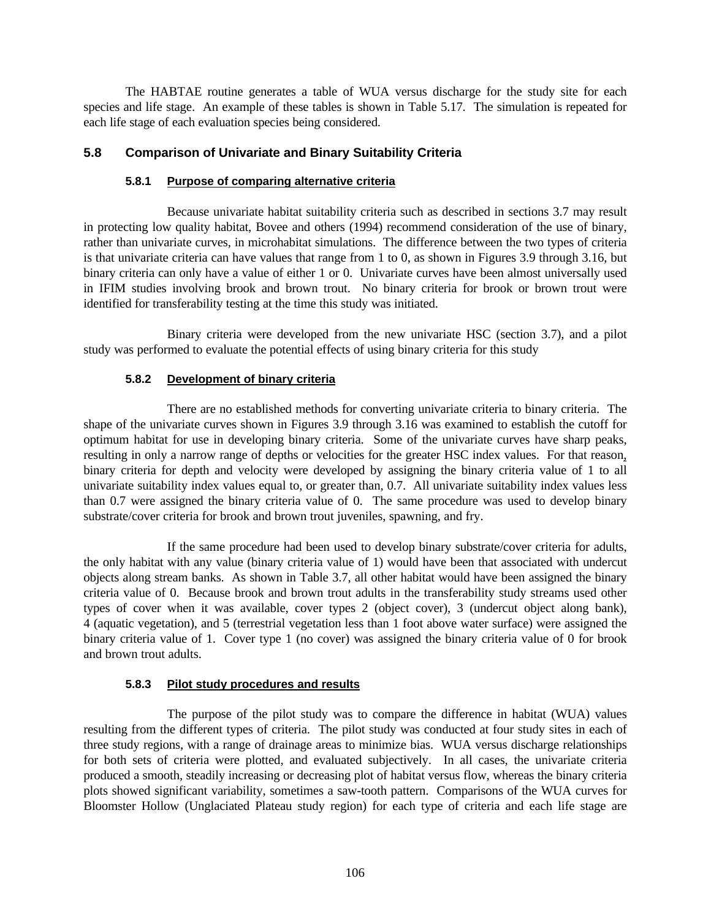The HABTAE routine generates a table of WUA versus discharge for the study site for each species and life stage. An example of these tables is shown in Table 5.17. The simulation is repeated for each life stage of each evaluation species being considered.

## **5.8 Comparison of Univariate and Binary Suitability Criteria**

## **5.8.1 Purpose of comparing alternative criteria**

Because univariate habitat suitability criteria such as described in sections 3.7 may result in protecting low quality habitat, Bovee and others (1994) recommend consideration of the use of binary, rather than univariate curves, in microhabitat simulations. The difference between the two types of criteria is that univariate criteria can have values that range from 1 to 0, as shown in Figures 3.9 through 3.16, but binary criteria can only have a value of either 1 or 0. Univariate curves have been almost universally used in IFIM studies involving brook and brown trout. No binary criteria for brook or brown trout were identified for transferability testing at the time this study was initiated.

Binary criteria were developed from the new univariate HSC (section 3.7), and a pilot study was performed to evaluate the potential effects of using binary criteria for this study

## **5.8.2 Development of binary criteria**

There are no established methods for converting univariate criteria to binary criteria. The shape of the univariate curves shown in Figures 3.9 through 3.16 was examined to establish the cutoff for optimum habitat for use in developing binary criteria. Some of the univariate curves have sharp peaks, resulting in only a narrow range of depths or velocities for the greater HSC index values. For that reason, binary criteria for depth and velocity were developed by assigning the binary criteria value of 1 to all univariate suitability index values equal to, or greater than, 0.7. All univariate suitability index values less than 0.7 were assigned the binary criteria value of 0. The same procedure was used to develop binary substrate/cover criteria for brook and brown trout juveniles, spawning, and fry.

If the same procedure had been used to develop binary substrate/cover criteria for adults, the only habitat with any value (binary criteria value of 1) would have been that associated with undercut objects along stream banks. As shown in Table 3.7, all other habitat would have been assigned the binary criteria value of 0. Because brook and brown trout adults in the transferability study streams used other types of cover when it was available, cover types 2 (object cover), 3 (undercut object along bank), 4 (aquatic vegetation), and 5 (terrestrial vegetation less than 1 foot above water surface) were assigned the binary criteria value of 1. Cover type 1 (no cover) was assigned the binary criteria value of 0 for brook and brown trout adults.

## **5.8.3 Pilot study procedures and results**

The purpose of the pilot study was to compare the difference in habitat (WUA) values resulting from the different types of criteria. The pilot study was conducted at four study sites in each of three study regions, with a range of drainage areas to minimize bias. WUA versus discharge relationships for both sets of criteria were plotted, and evaluated subjectively. In all cases, the univariate criteria produced a smooth, steadily increasing or decreasing plot of habitat versus flow, whereas the binary criteria plots showed significant variability, sometimes a saw-tooth pattern. Comparisons of the WUA curves for Bloomster Hollow (Unglaciated Plateau study region) for each type of criteria and each life stage are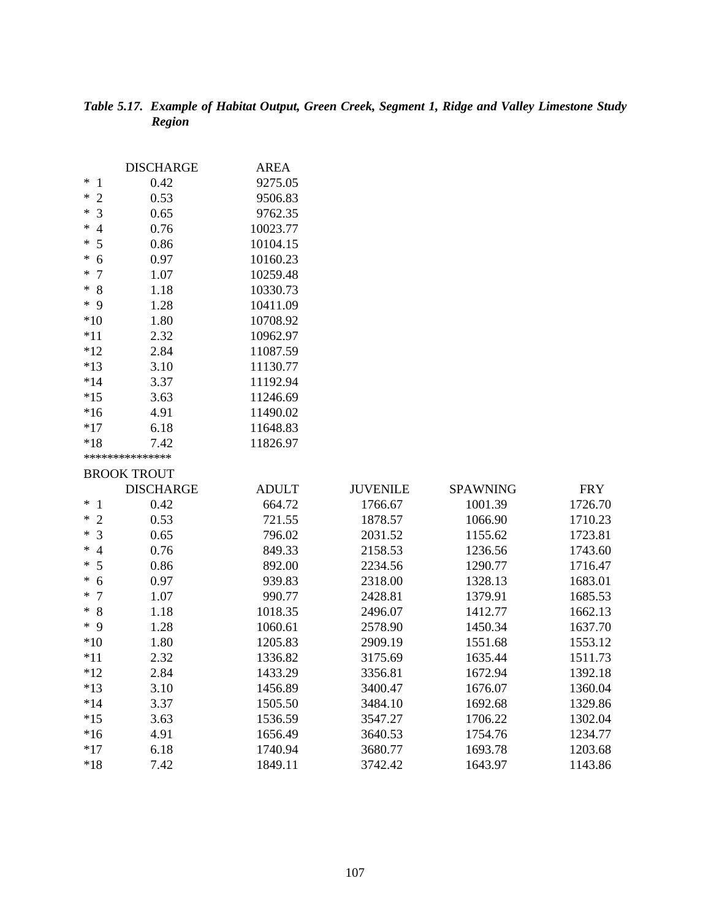# *Table 5.17. Example of Habitat Output, Green Creek, Segment 1, Ridge and Valley Limestone Study Region*

|                          | <b>DISCHARGE</b>   | <b>AREA</b>  |                 |                 |            |
|--------------------------|--------------------|--------------|-----------------|-----------------|------------|
| $\ast$<br>$\mathbf{1}$   | 0.42               | 9275.05      |                 |                 |            |
| $\overline{2}$<br>$\ast$ | 0.53               | 9506.83      |                 |                 |            |
| $\overline{3}$<br>∗      | 0.65               | 9762.35      |                 |                 |            |
| $\ast$<br>$\overline{4}$ | 0.76               | 10023.77     |                 |                 |            |
| 5<br>∗                   | 0.86               | 10104.15     |                 |                 |            |
| 6<br>$\ast$              | 0.97               | 10160.23     |                 |                 |            |
| $\overline{7}$<br>$\ast$ | 1.07               | 10259.48     |                 |                 |            |
| 8<br>$\ast$              | 1.18               | 10330.73     |                 |                 |            |
| $*$ 9                    | 1.28               | 10411.09     |                 |                 |            |
| $*10$                    | 1.80               | 10708.92     |                 |                 |            |
| $*11$                    | 2.32               | 10962.97     |                 |                 |            |
| $*12$                    | 2.84               | 11087.59     |                 |                 |            |
| $*13$                    | 3.10               | 11130.77     |                 |                 |            |
| $*14$                    | 3.37               | 11192.94     |                 |                 |            |
| $*15$                    | 3.63               | 11246.69     |                 |                 |            |
| $*16$                    | 4.91               | 11490.02     |                 |                 |            |
| $*17$                    | 6.18               | 11648.83     |                 |                 |            |
| $*18$                    | 7.42               | 11826.97     |                 |                 |            |
|                          | ***************    |              |                 |                 |            |
|                          | <b>BROOK TROUT</b> |              |                 |                 |            |
|                          | <b>DISCHARGE</b>   | <b>ADULT</b> | <b>JUVENILE</b> | <b>SPAWNING</b> | <b>FRY</b> |
| $*1$                     | 0.42               | 664.72       | 1766.67         | 1001.39         | 1726.70    |
| $\overline{2}$<br>$\ast$ | 0.53               | 721.55       | 1878.57         | 1066.90         | 1710.23    |
| 3<br>$\ast$              | 0.65               | 796.02       | 2031.52         | 1155.62         | 1723.81    |
| ∗<br>$\overline{4}$      | 0.76               | 849.33       | 2158.53         | 1236.56         | 1743.60    |
| 5<br>∗                   | 0.86               | 892.00       | 2234.56         | 1290.77         | 1716.47    |
| 6<br>$\ast$              | 0.97               | 939.83       | 2318.00         | 1328.13         | 1683.01    |
| $\overline{7}$<br>$\ast$ | 1.07               | 990.77       | 2428.81         | 1379.91         | 1685.53    |
| 8<br>$\ast$              | 1.18               | 1018.35      | 2496.07         | 1412.77         | 1662.13    |
| $*$ 9                    | 1.28               | 1060.61      | 2578.90         | 1450.34         | 1637.70    |
| $*10$                    | 1.80               | 1205.83      | 2909.19         | 1551.68         | 1553.12    |
| $*11$                    | 2.32               | 1336.82      | 3175.69         | 1635.44         | 1511.73    |
| $*12$                    | 2.84               | 1433.29      | 3356.81         | 1672.94         | 1392.18    |
| $*13$                    | 3.10               | 1456.89      | 3400.47         | 1676.07         | 1360.04    |
| $*14$                    | 3.37               | 1505.50      | 3484.10         | 1692.68         | 1329.86    |
| $*15$                    | 3.63               | 1536.59      | 3547.27         | 1706.22         | 1302.04    |
| $*16$                    | 4.91               | 1656.49      | 3640.53         | 1754.76         | 1234.77    |
| $*17$                    | 6.18               | 1740.94      | 3680.77         | 1693.78         | 1203.68    |
| $*18$                    | 7.42               | 1849.11      | 3742.42         | 1643.97         | 1143.86    |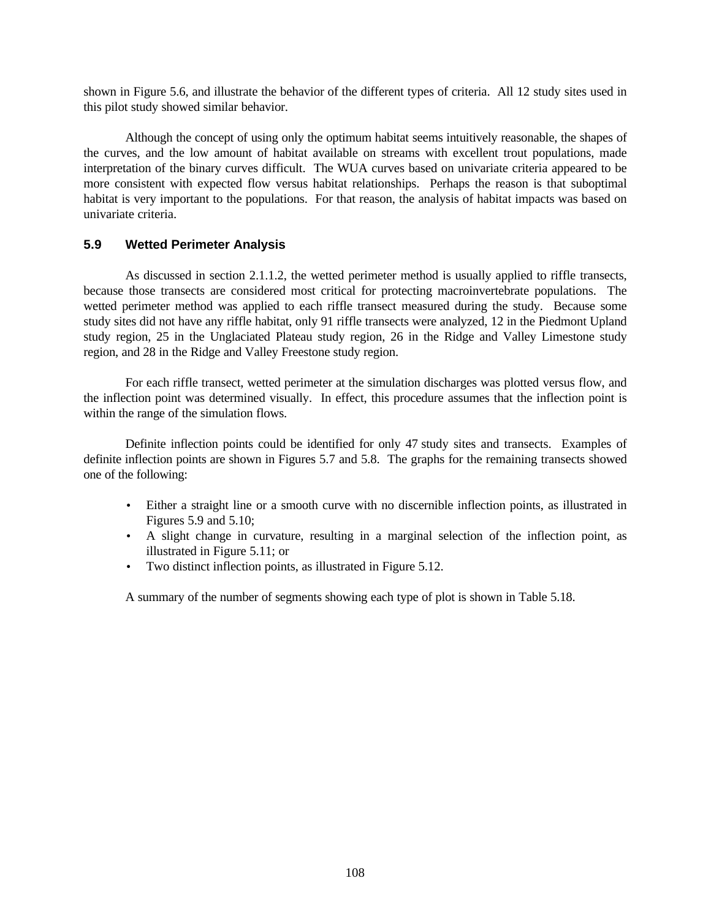shown in Figure 5.6, and illustrate the behavior of the different types of criteria.All 12 study sites used in this pilot study showed similar behavior.

Although the concept of using only the optimum habitat seems intuitively reasonable, the shapes of the curves, and the low amount of habitat available on streams with excellent trout populations, made interpretation of the binary curves difficult. The WUA curves based on univariate criteria appeared to be more consistent with expected flow versus habitat relationships. Perhaps the reason is that suboptimal habitat is very important to the populations. For that reason, the analysis of habitat impacts was based on univariate criteria.

## **5.9 Wetted Perimeter Analysis**

As discussed in section 2.1.1.2, the wetted perimeter method is usually applied to riffle transects, because those transects are considered most critical for protecting macroinvertebrate populations. The wetted perimeter method was applied to each riffle transect measured during the study. Because some study sites did not have any riffle habitat, only 91 riffle transects were analyzed, 12 in the Piedmont Upland study region, 25 in the Unglaciated Plateau study region, 26 in the Ridge and Valley Limestone study region, and 28 in the Ridge and Valley Freestone study region.

For each riffle transect, wetted perimeter at the simulation discharges was plotted versus flow, and the inflection point was determined visually. In effect, this procedure assumes that the inflection point is within the range of the simulation flows.

Definite inflection points could be identified for only 47 study sites and transects. Examples of definite inflection points are shown in Figures 5.7 and 5.8. The graphs for the remaining transects showed one of the following:

- Either a straight line or a smooth curve with no discernible inflection points, as illustrated in Figures 5.9 and 5.10;
- A slight change in curvature, resulting in a marginal selection of the inflection point, as illustrated in Figure 5.11; or
- Two distinct inflection points, as illustrated in Figure 5.12.

A summary of the number of segments showing each type of plot is shown in Table 5.18.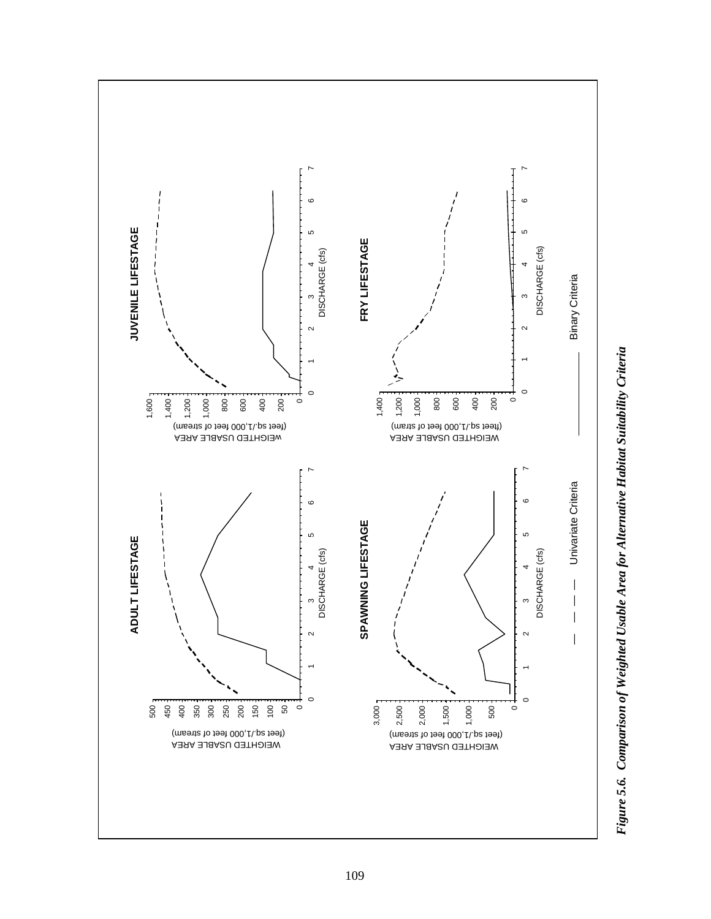

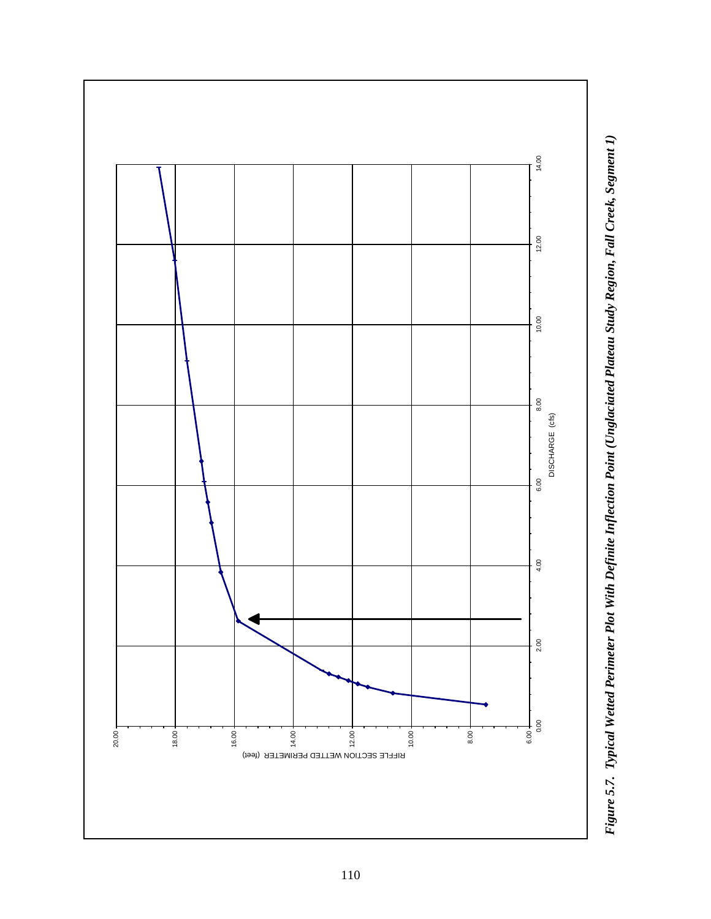

Figure 5.7. Typical Wetted Perimeter Plot With Definite Inflection Point (Unglaciated Plateau Study Region, Fall Creek, Segment 1) *Figure 5.7. Typical Wetted Perimeter Plot With Definite Inflection Point (Unglaciated Plateau Study Region, Fall Creek, Segment 1)*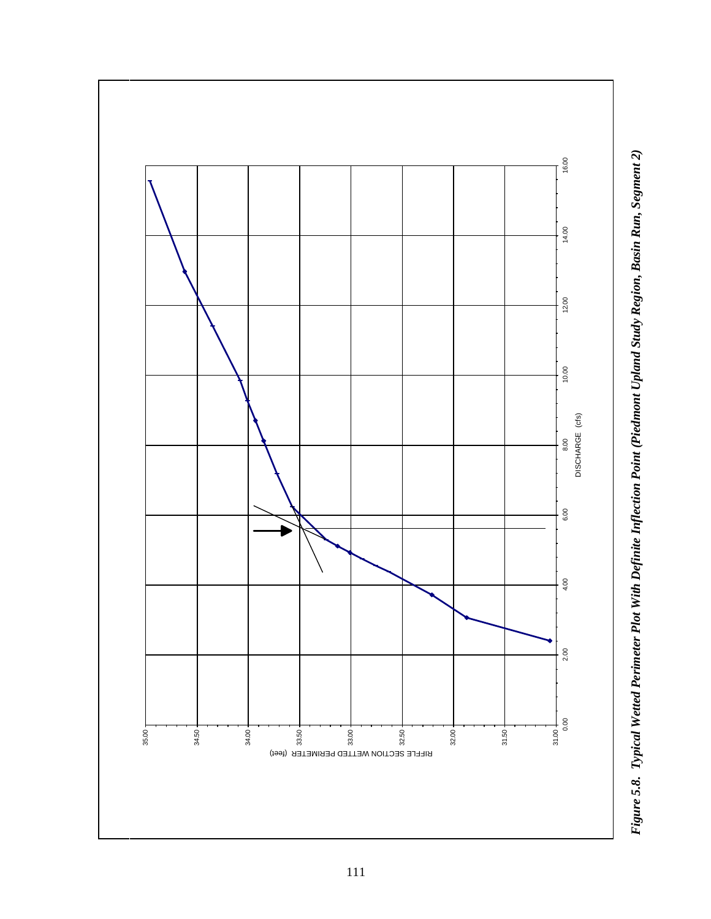

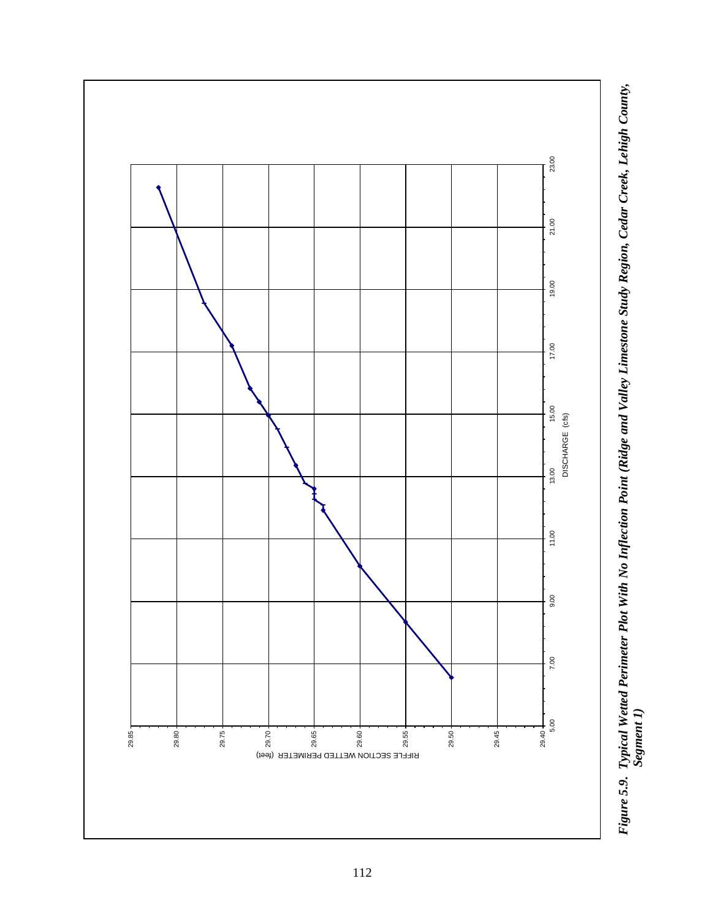

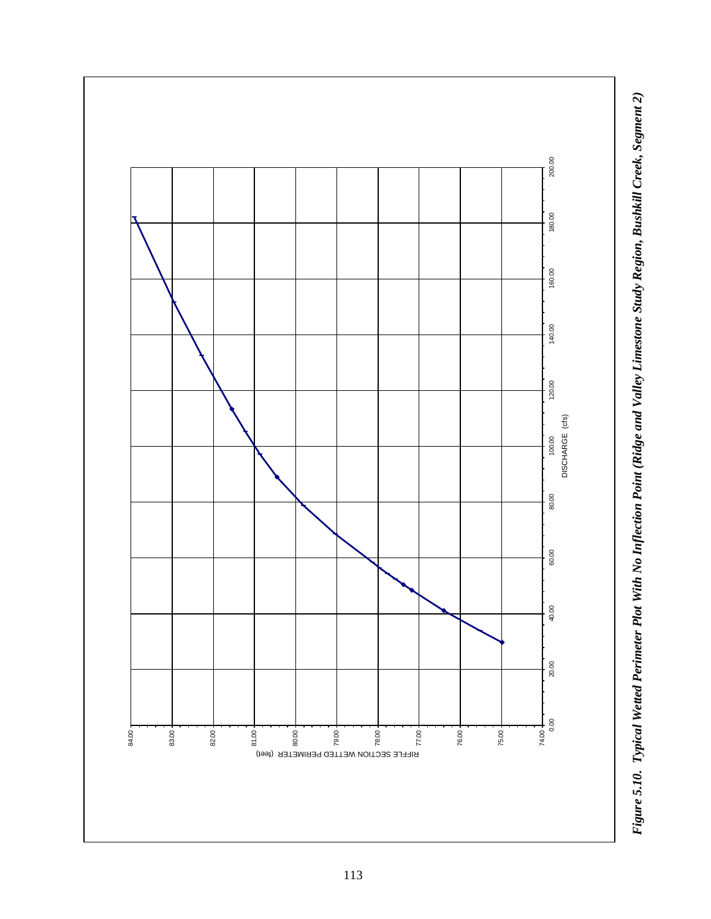

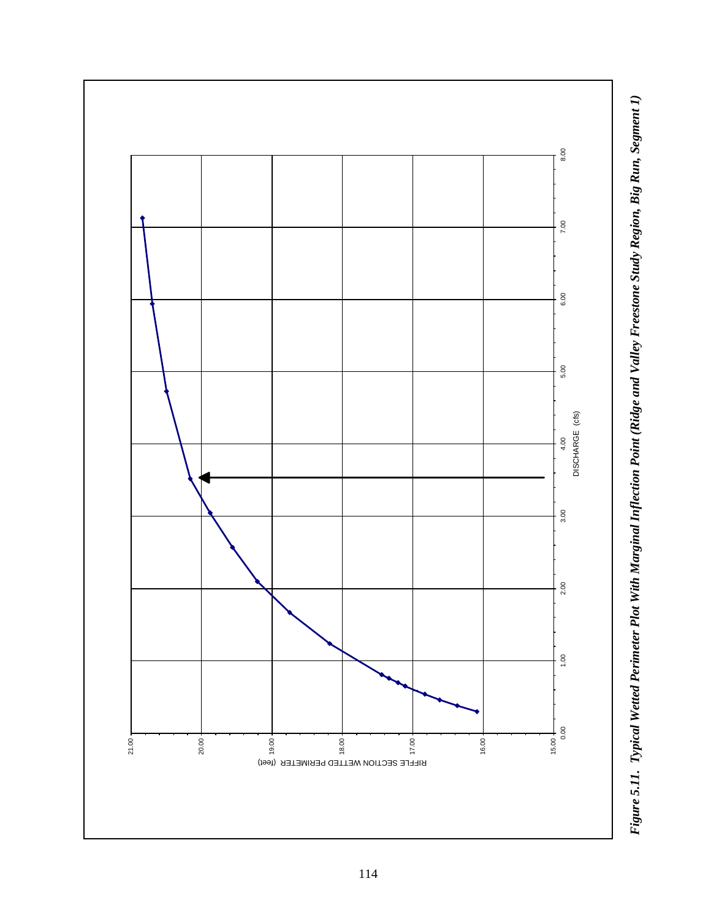

Figure 5.11. Typical Wetted Perimeter Plot With Marginal Inflection Point (Ridge and Valley Freestone Study Region, Big Run, Segment 1) *Figure 5.11. Typical Wetted Perimeter Plot With Marginal Inflection Point (Ridge and Valley Freestone Study Region, Big Run, Segment 1)*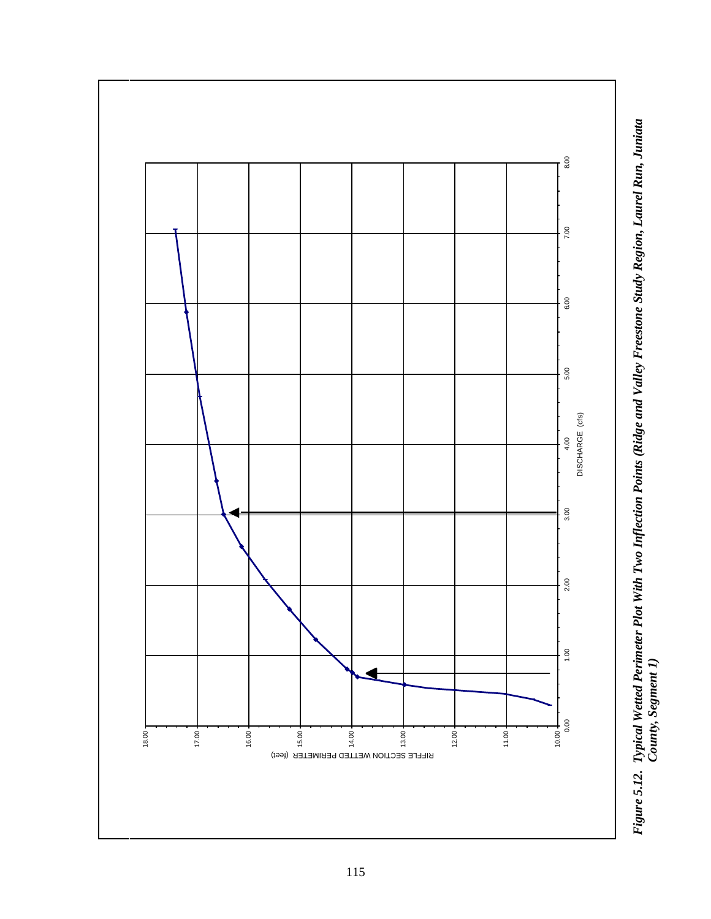

Figure 5.12. Typical Wetted Perimeter Plot With Two Inflection Points (Ridge and Valley Freestone Study Region, Laurel Run, Juniata<br>County, Segment 1) *Figure 5.12. Typical Wetted Perimeter Plot With Two Inflection Points (Ridge and Valley Freestone Study Region, Laurel Run, Juniata County, Segment 1)*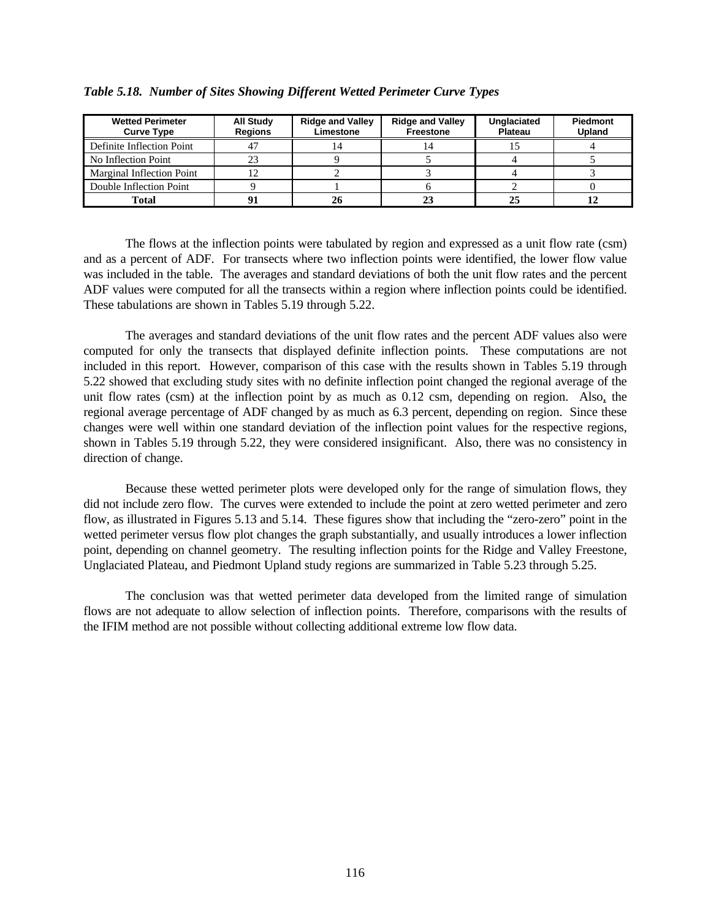| <b>Wetted Perimeter</b><br><b>Curve Type</b> | <b>All Study</b><br><b>Regions</b> | <b>Ridge and Valley</b><br>Limestone | <b>Ridge and Valley</b><br>Freestone | Unglaciated<br>Plateau | <b>Piedmont</b><br>Upland |
|----------------------------------------------|------------------------------------|--------------------------------------|--------------------------------------|------------------------|---------------------------|
| Definite Inflection Point                    |                                    |                                      |                                      |                        |                           |
| No Inflection Point                          |                                    |                                      |                                      |                        |                           |
| Marginal Inflection Point                    |                                    |                                      |                                      |                        |                           |
| Double Inflection Point                      |                                    |                                      |                                      |                        |                           |
| Total                                        |                                    |                                      |                                      |                        |                           |

*Table 5.18. Number of Sites Showing Different Wetted Perimeter Curve Types*

The flows at the inflection points were tabulated by region and expressed as a unit flow rate (csm) and as a percent of ADF. For transects where two inflection points were identified, the lower flow value was included in the table. The averages and standard deviations of both the unit flow rates and the percent ADF values were computed for all the transects within a region where inflection points could be identified. These tabulations are shown in Tables 5.19 through 5.22.

The averages and standard deviations of the unit flow rates and the percent ADF values also were computed for only the transects that displayed definite inflection points. These computations are not included in this report. However, comparison of this case with the results shown in Tables 5.19 through 5.22 showed that excluding study sites with no definite inflection point changed the regional average of the unit flow rates (csm) at the inflection point by as much as 0.12 csm, depending on region. Also, the regional average percentage of ADF changed by as much as 6.3 percent, depending on region. Since these changes were well within one standard deviation of the inflection point values for the respective regions, shown in Tables 5.19 through 5.22, they were considered insignificant. Also, there was no consistency in direction of change.

Because these wetted perimeter plots were developed only for the range of simulation flows, they did not include zero flow.The curves were extended to include the point at zero wetted perimeter and zero flow, as illustrated in Figures 5.13 and 5.14. These figures show that including the "zero-zero" point in the wetted perimeter versus flow plot changes the graph substantially, and usually introduces a lower inflection point, depending on channel geometry. The resulting inflection points for the Ridge and Valley Freestone, Unglaciated Plateau, and Piedmont Upland study regions are summarized in Table 5.23 through 5.25.

The conclusion was that wetted perimeter data developed from the limited range of simulation flows are not adequate to allow selection of inflection points. Therefore, comparisons with the results of the IFIM method are not possible without collecting additional extreme low flow data.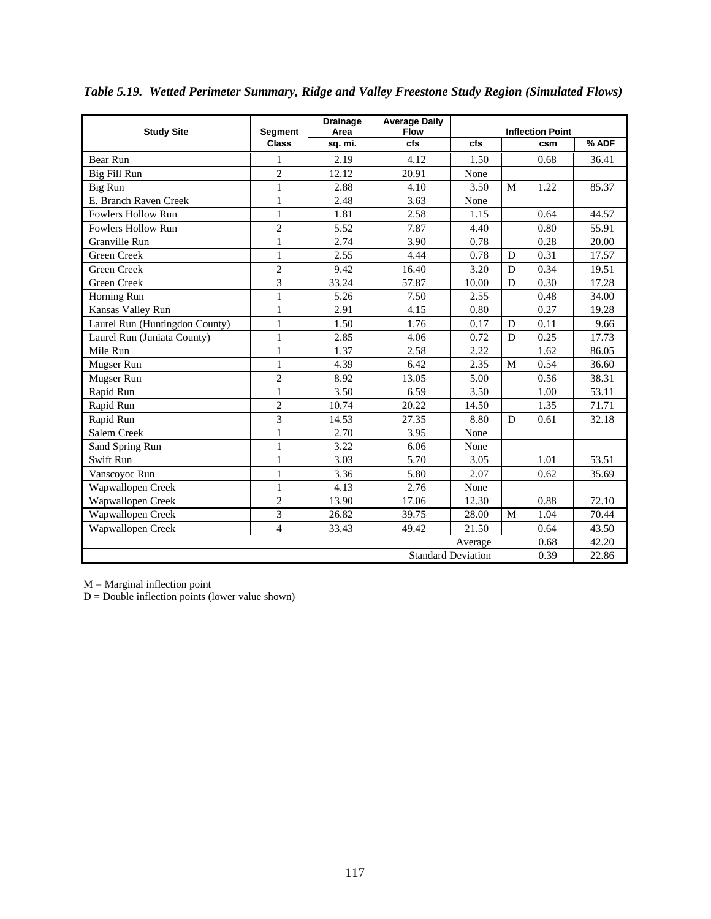| <b>Study Site</b>              | <b>Segment</b>          | <b>Drainage</b><br>Area | <b>Average Daily</b><br><b>Flow</b> |       |   | <b>Inflection Point</b> |       |
|--------------------------------|-------------------------|-------------------------|-------------------------------------|-------|---|-------------------------|-------|
|                                | <b>Class</b>            | sq. mi.                 | cfs                                 | cfs   |   | csm                     | % ADF |
| Bear Run                       | 1                       | 2.19                    | 4.12                                | 1.50  |   | 0.68                    | 36.41 |
| Big Fill Run                   | $\overline{c}$          | 12.12                   | 20.91                               | None  |   |                         |       |
| Big Run                        | $\mathbf{1}$            | 2.88                    | 4.10                                | 3.50  | M | 1.22                    | 85.37 |
| E. Branch Raven Creek          | $\mathbf{1}$            | 2.48                    | 3.63                                | None  |   |                         |       |
| Fowlers Hollow Run             | $\mathbf{1}$            | 1.81                    | 2.58                                | 1.15  |   | 0.64                    | 44.57 |
| <b>Fowlers Hollow Run</b>      | $\overline{c}$          | 5.52                    | 7.87                                | 4.40  |   | 0.80                    | 55.91 |
| Granville Run                  | $\mathbf{1}$            | 2.74                    | 3.90                                | 0.78  |   | 0.28                    | 20.00 |
| Green Creek                    | $\mathbf{1}$            | 2.55                    | 4.44                                | 0.78  | D | 0.31                    | 17.57 |
| <b>Green Creek</b>             | $\overline{c}$          | 9.42                    | 16.40                               | 3.20  | D | 0.34                    | 19.51 |
| <b>Green Creek</b>             | 3                       | 33.24                   | 57.87                               | 10.00 | D | 0.30                    | 17.28 |
| Horning Run                    | $\mathbf{1}$            | 5.26                    | 7.50                                | 2.55  |   | 0.48                    | 34.00 |
| Kansas Valley Run              | $\mathbf{1}$            | 2.91                    | 4.15                                | 0.80  |   | 0.27                    | 19.28 |
| Laurel Run (Huntingdon County) | $\mathbf{1}$            | 1.50                    | 1.76                                | 0.17  | D | 0.11                    | 9.66  |
| Laurel Run (Juniata County)    | $\mathbf{1}$            | 2.85                    | 4.06                                | 0.72  | D | 0.25                    | 17.73 |
| Mile Run                       | 1                       | 1.37                    | 2.58                                | 2.22  |   | 1.62                    | 86.05 |
| Mugser Run                     | $\mathbf{1}$            | 4.39                    | 6.42                                | 2.35  | M | 0.54                    | 36.60 |
| Mugser Run                     | $\overline{c}$          | 8.92                    | 13.05                               | 5.00  |   | 0.56                    | 38.31 |
| Rapid Run                      | $\mathbf{1}$            | 3.50                    | 6.59                                | 3.50  |   | 1.00                    | 53.11 |
| Rapid Run                      | $\overline{2}$          | 10.74                   | 20.22                               | 14.50 |   | 1.35                    | 71.71 |
| Rapid Run                      | $\overline{3}$          | 14.53                   | 27.35                               | 8.80  | D | 0.61                    | 32.18 |
| Salem Creek                    | $\mathbf{1}$            | 2.70                    | 3.95                                | None  |   |                         |       |
| Sand Spring Run                | $\mathbf{1}$            | 3.22                    | 6.06                                | None  |   |                         |       |
| Swift Run                      | $\mathbf{1}$            | 3.03                    | 5.70                                | 3.05  |   | 1.01                    | 53.51 |
| Vanscoyoc Run                  | $\mathbf{1}$            | 3.36                    | 5.80                                | 2.07  |   | 0.62                    | 35.69 |
| Wapwallopen Creek              | $\mathbf{1}$            | 4.13                    | 2.76                                | None  |   |                         |       |
| Wapwallopen Creek              | $\overline{2}$          | 13.90                   | 17.06                               | 12.30 |   | 0.88                    | 72.10 |
| Wapwallopen Creek              | 3                       | 26.82                   | 39.75                               | 28.00 | M | 1.04                    | 70.44 |
| Wapwallopen Creek              | $\overline{\mathbf{4}}$ | 33.43                   | 49.42                               | 21.50 |   | 0.64                    | 43.50 |
| Average                        |                         |                         |                                     |       |   |                         | 42.20 |
| <b>Standard Deviation</b>      |                         |                         |                                     |       |   |                         | 22.86 |

*Table 5.19. Wetted Perimeter Summary, Ridge and Valley Freestone Study Region (Simulated Flows)*

 $M =$  Marginal inflection point

 $D =$  Double inflection points (lower value shown)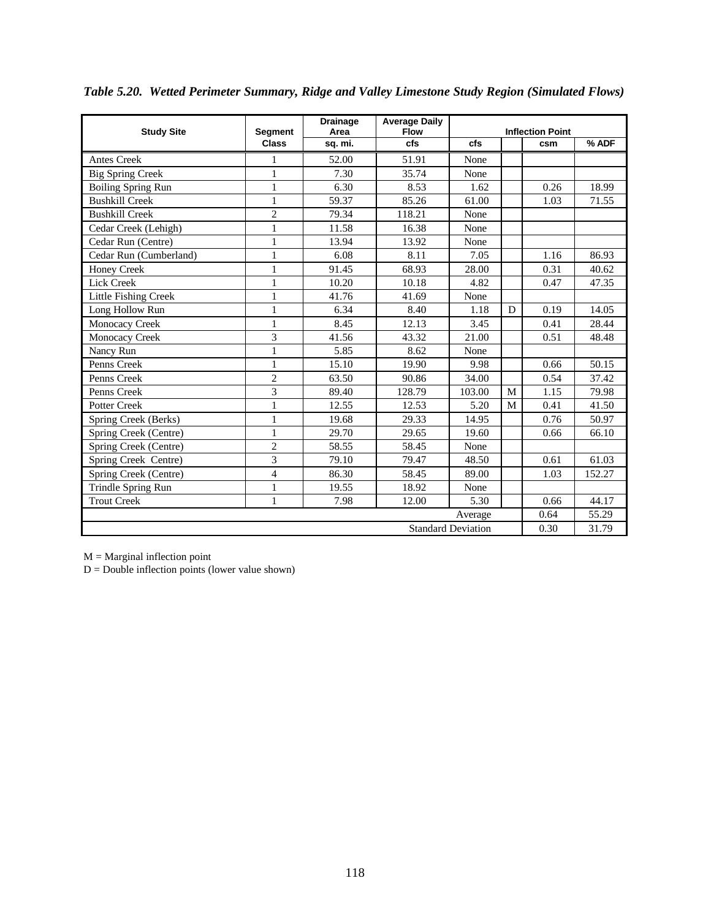| <b>Study Site</b>           | <b>Segment</b> | <b>Drainage</b><br>Area | <b>Average Daily</b><br><b>Flow</b> |        |   | <b>Inflection Point</b> |        |
|-----------------------------|----------------|-------------------------|-------------------------------------|--------|---|-------------------------|--------|
|                             | <b>Class</b>   | sq. mi.                 | cfs                                 | cfs    |   | csm                     | % ADF  |
| Antes Creek                 | 1              | 52.00                   | 51.91                               | None   |   |                         |        |
| <b>Big Spring Creek</b>     | $\mathbf{1}$   | 7.30                    | 35.74                               | None   |   |                         |        |
| <b>Boiling Spring Run</b>   | $\mathbf{1}$   | 6.30                    | 8.53                                | 1.62   |   | 0.26                    | 18.99  |
| <b>Bushkill Creek</b>       | $\mathbf{1}$   | 59.37                   | 85.26                               | 61.00  |   | 1.03                    | 71.55  |
| <b>Bushkill Creek</b>       | $\mathfrak{2}$ | 79.34                   | 118.21                              | None   |   |                         |        |
| Cedar Creek (Lehigh)        | $\mathbf{1}$   | 11.58                   | 16.38                               | None   |   |                         |        |
| Cedar Run (Centre)          | $\mathbf{1}$   | 13.94                   | 13.92                               | None   |   |                         |        |
| Cedar Run (Cumberland)      | $\mathbf{1}$   | 6.08                    | 8.11                                | 7.05   |   | 1.16                    | 86.93  |
| <b>Honey Creek</b>          | $\mathbf{1}$   | 91.45                   | 68.93                               | 28.00  |   | 0.31                    | 40.62  |
| Lick Creek                  | $\mathbf{1}$   | 10.20                   | 10.18                               | 4.82   |   | 0.47                    | 47.35  |
| <b>Little Fishing Creek</b> | $\mathbf{1}$   | 41.76                   | 41.69                               | None   |   |                         |        |
| Long Hollow Run             | 1              | 6.34                    | 8.40                                | 1.18   | D | 0.19                    | 14.05  |
| Monocacy Creek              | $\mathbf{1}$   | 8.45                    | 12.13                               | 3.45   |   | 0.41                    | 28.44  |
| Monocacy Creek              | 3              | 41.56                   | 43.32                               | 21.00  |   | 0.51                    | 48.48  |
| Nancy Run                   | $\,1\,$        | 5.85                    | 8.62                                | None   |   |                         |        |
| Penns Creek                 | $\mathbf{1}$   | 15.10                   | 19.90                               | 9.98   |   | 0.66                    | 50.15  |
| Penns Creek                 | $\mathfrak{2}$ | 63.50                   | 90.86                               | 34.00  |   | 0.54                    | 37.42  |
| Penns Creek                 | 3              | 89.40                   | 128.79                              | 103.00 | M | 1.15                    | 79.98  |
| Potter Creek                | $\,1\,$        | 12.55                   | 12.53                               | 5.20   | M | 0.41                    | 41.50  |
| Spring Creek (Berks)        | $\,1\,$        | 19.68                   | 29.33                               | 14.95  |   | 0.76                    | 50.97  |
| Spring Creek (Centre)       | $\mathbf{1}$   | 29.70                   | 29.65                               | 19.60  |   | 0.66                    | 66.10  |
| Spring Creek (Centre)       | $\overline{c}$ | 58.55                   | 58.45                               | None   |   |                         |        |
| Spring Creek Centre)        | 3              | 79.10                   | 79.47                               | 48.50  |   | 0.61                    | 61.03  |
| Spring Creek (Centre)       | $\overline{4}$ | 86.30                   | 58.45                               | 89.00  |   | 1.03                    | 152.27 |
| Trindle Spring Run          | $\,1\,$        | 19.55                   | 18.92                               | None   |   |                         |        |
| <b>Trout Creek</b>          | $\mathbf{1}$   | 7.98                    | 12.00                               | 5.30   |   | 0.66                    | 44.17  |
| Average                     |                |                         |                                     |        |   |                         | 55.29  |
| <b>Standard Deviation</b>   |                |                         |                                     |        |   |                         | 31.79  |

*Table 5.20. Wetted Perimeter Summary, Ridge and Valley Limestone Study Region (Simulated Flows)*

 $M =$ Marginal inflection point

 $D =$  Double inflection points (lower value shown)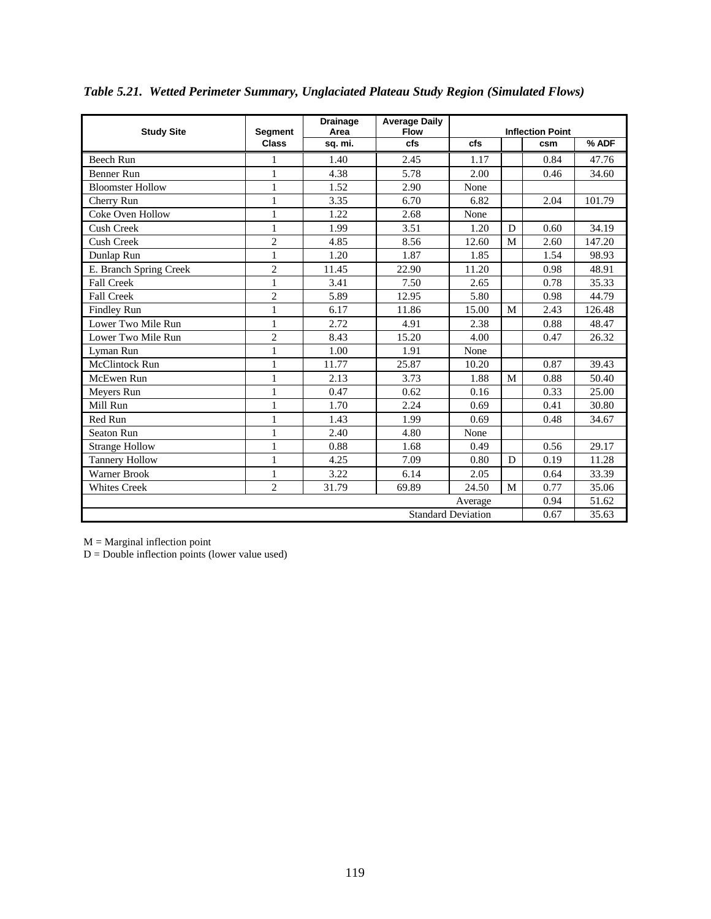| <b>Study Site</b>         | <b>Segment</b> | <b>Drainage</b><br>Area | <b>Average Daily</b><br><b>Flow</b> |       |   | <b>Inflection Point</b> |        |
|---------------------------|----------------|-------------------------|-------------------------------------|-------|---|-------------------------|--------|
|                           | <b>Class</b>   | sq. mi.                 | cfs                                 | cfs   |   | csm                     | % ADF  |
| <b>Beech Run</b>          | 1              | 1.40                    | 2.45                                | 1.17  |   | 0.84                    | 47.76  |
| <b>Benner Run</b>         | $\mathbf{1}$   | 4.38                    | 5.78                                | 2.00  |   | 0.46                    | 34.60  |
| <b>Bloomster Hollow</b>   | $\mathbf{1}$   | 1.52                    | 2.90                                | None  |   |                         |        |
| Cherry Run                | $\mathbf{1}$   | 3.35                    | 6.70                                | 6.82  |   | 2.04                    | 101.79 |
| Coke Oven Hollow          | $\mathbf{1}$   | 1.22                    | 2.68                                | None  |   |                         |        |
| <b>Cush Creek</b>         | $\mathbf{1}$   | 1.99                    | 3.51                                | 1.20  | D | 0.60                    | 34.19  |
| <b>Cush Creek</b>         | $\overline{2}$ | 4.85                    | 8.56                                | 12.60 | M | 2.60                    | 147.20 |
| Dunlap Run                | $\,1$          | 1.20                    | 1.87                                | 1.85  |   | 1.54                    | 98.93  |
| E. Branch Spring Creek    | $\overline{2}$ | 11.45                   | 22.90                               | 11.20 |   | 0.98                    | 48.91  |
| <b>Fall Creek</b>         | $\mathbf{1}$   | 3.41                    | 7.50                                | 2.65  |   | 0.78                    | 35.33  |
| <b>Fall Creek</b>         | $\overline{c}$ | 5.89                    | 12.95                               | 5.80  |   | 0.98                    | 44.79  |
| <b>Findley Run</b>        | $\mathbf{1}$   | 6.17                    | 11.86                               | 15.00 | M | 2.43                    | 126.48 |
| Lower Two Mile Run        | $\mathbf{1}$   | 2.72                    | 4.91                                | 2.38  |   | 0.88                    | 48.47  |
| Lower Two Mile Run        | $\overline{2}$ | 8.43                    | 15.20                               | 4.00  |   | 0.47                    | 26.32  |
| Lyman Run                 | $\mathbf{1}$   | 1.00                    | 1.91                                | None  |   |                         |        |
| McClintock Run            | $\mathbf{1}$   | 11.77                   | 25.87                               | 10.20 |   | 0.87                    | 39.43  |
| McEwen Run                | $\mathbf{1}$   | 2.13                    | 3.73                                | 1.88  | M | 0.88                    | 50.40  |
| Meyers Run                | $\mathbf{1}$   | 0.47                    | 0.62                                | 0.16  |   | 0.33                    | 25.00  |
| Mill Run                  | $\mathbf{1}$   | 1.70                    | 2.24                                | 0.69  |   | 0.41                    | 30.80  |
| Red Run                   | $\mathbf{1}$   | 1.43                    | 1.99                                | 0.69  |   | 0.48                    | 34.67  |
| Seaton Run                | 1              | 2.40                    | 4.80                                | None  |   |                         |        |
| <b>Strange Hollow</b>     | $\mathbf{1}$   | 0.88                    | 1.68                                | 0.49  |   | 0.56                    | 29.17  |
| <b>Tannery Hollow</b>     | $\mathbf{1}$   | 4.25                    | 7.09                                | 0.80  | D | 0.19                    | 11.28  |
| <b>Warner Brook</b>       | $\mathbf{1}$   | 3.22                    | 6.14                                | 2.05  |   | 0.64                    | 33.39  |
| <b>Whites Creek</b>       | $\overline{2}$ | 31.79                   | 69.89                               | 24.50 | M | 0.77                    | 35.06  |
| Average                   |                |                         |                                     |       |   |                         | 51.62  |
| <b>Standard Deviation</b> |                |                         |                                     |       |   |                         | 35.63  |

*Table 5.21. Wetted Perimeter Summary, Unglaciated Plateau Study Region (Simulated Flows)*

 $M =$ Marginal inflection point

 $D =$  Double inflection points (lower value used)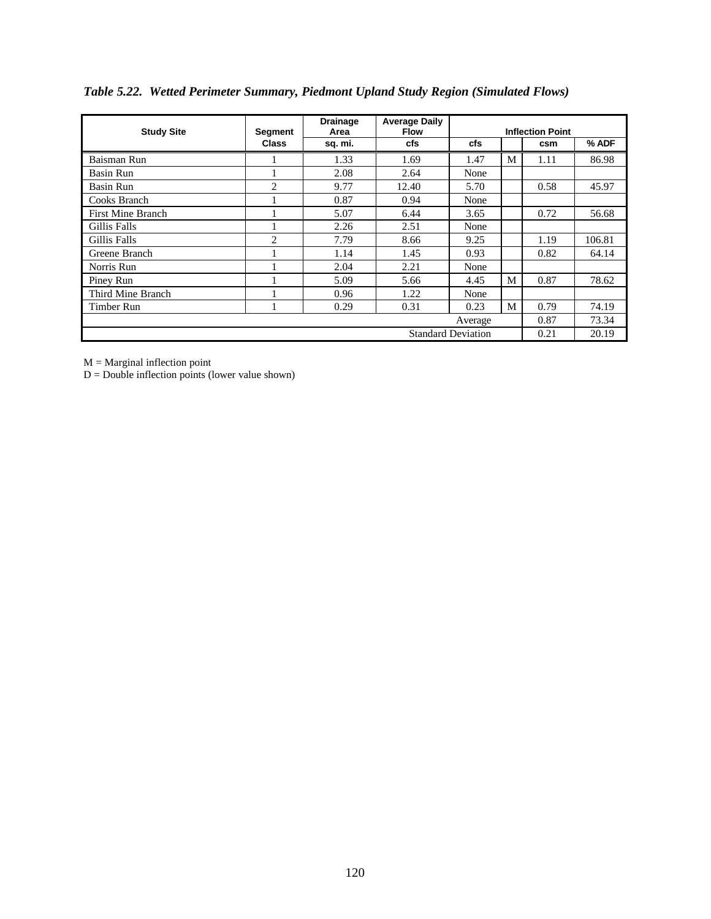| <b>Study Site</b>         | <b>Segment</b> | <b>Drainage</b><br>Area | <b>Average Daily</b><br><b>Flow</b> |      |   | <b>Inflection Point</b> |        |
|---------------------------|----------------|-------------------------|-------------------------------------|------|---|-------------------------|--------|
|                           | <b>Class</b>   | sq. mi.                 | cfs                                 | cfs  |   | csm                     | % ADF  |
| Baisman Run               |                | 1.33                    | 1.69                                | 1.47 | M | 1.11                    | 86.98  |
| Basin Run                 |                | 2.08                    | 2.64                                | None |   |                         |        |
| Basin Run                 | $\overline{c}$ | 9.77                    | 12.40                               | 5.70 |   | 0.58                    | 45.97  |
| Cooks Branch              |                | 0.87                    | 0.94                                | None |   |                         |        |
| First Mine Branch         |                | 5.07                    | 6.44                                | 3.65 |   | 0.72                    | 56.68  |
| Gillis Falls              |                | 2.26                    | 2.51                                | None |   |                         |        |
| Gillis Falls              | $\overline{c}$ | 7.79                    | 8.66                                | 9.25 |   | 1.19                    | 106.81 |
| Greene Branch             |                | 1.14                    | 1.45                                | 0.93 |   | 0.82                    | 64.14  |
| Norris Run                |                | 2.04                    | 2.21                                | None |   |                         |        |
| Piney Run                 |                | 5.09                    | 5.66                                | 4.45 | M | 0.87                    | 78.62  |
| Third Mine Branch         |                | 0.96                    | 1.22                                | None |   |                         |        |
| Timber Run                |                | 0.29                    | 0.31                                | 0.23 | M | 0.79                    | 74.19  |
| Average                   |                |                         |                                     |      |   |                         | 73.34  |
| <b>Standard Deviation</b> |                |                         |                                     |      |   |                         | 20.19  |

# *Table 5.22. Wetted Perimeter Summary, Piedmont Upland Study Region (Simulated Flows)*

 $M =$  Marginal inflection point

 $D =$  Double inflection points (lower value shown)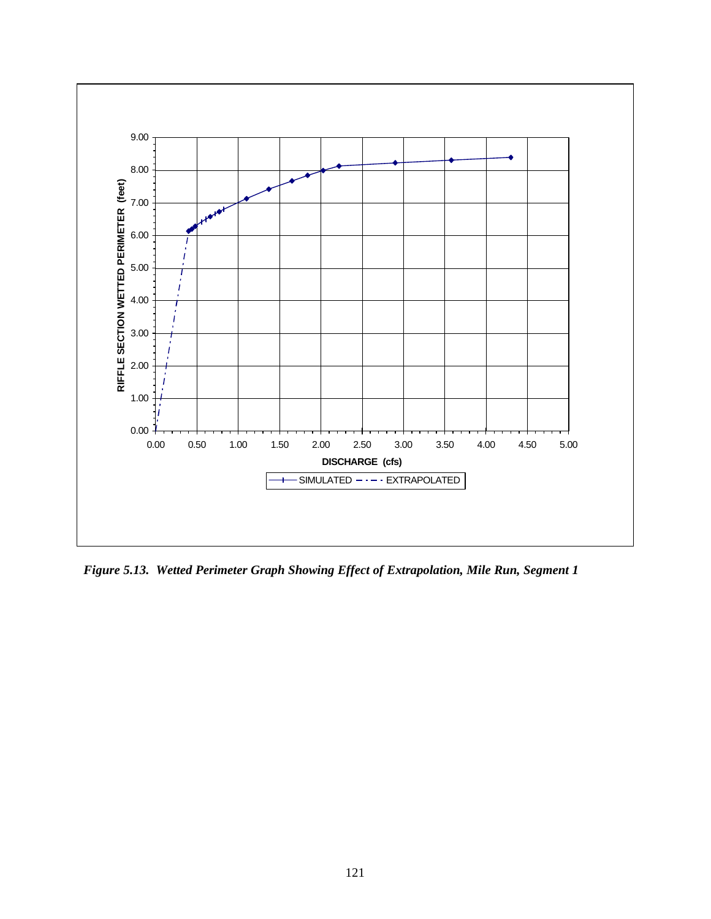

*Figure 5.13. Wetted Perimeter Graph Showing Effect of Extrapolation, Mile Run, Segment 1*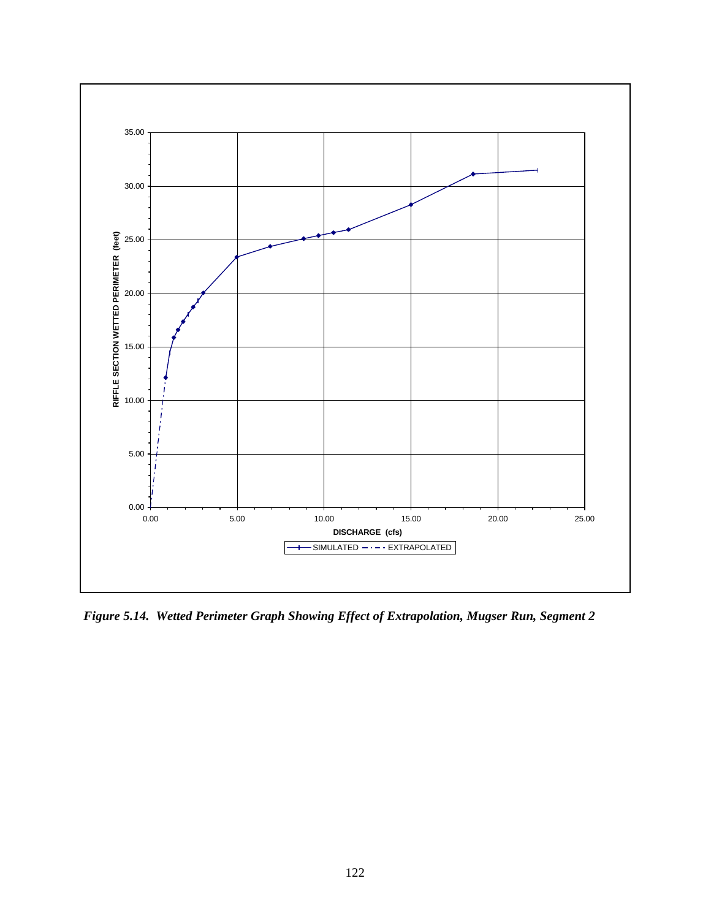

*Figure 5.14. Wetted Perimeter Graph Showing Effect of Extrapolation, Mugser Run, Segment 2*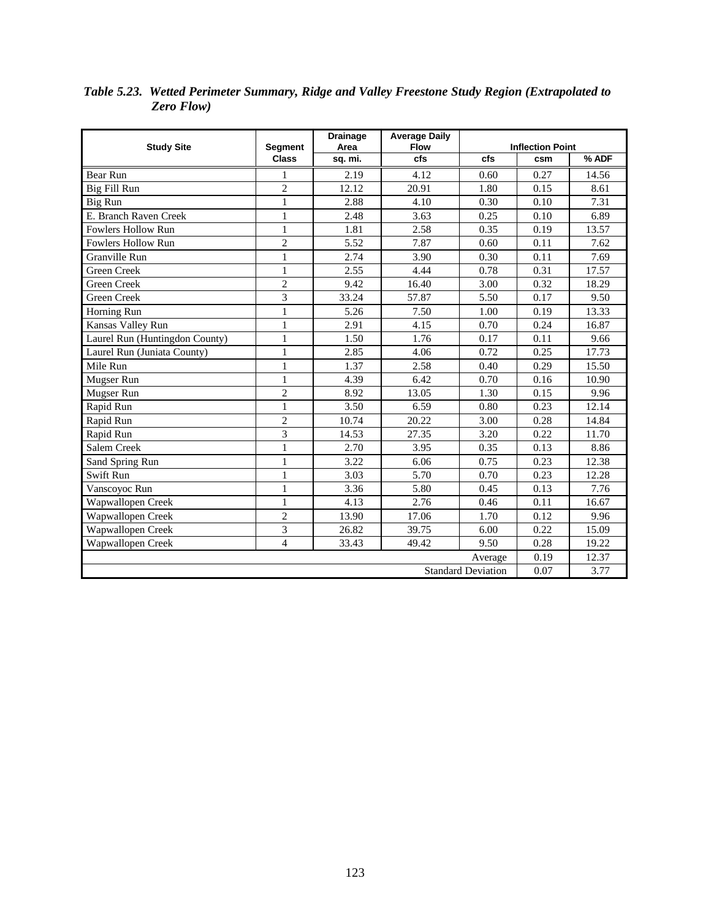| <b>Study Site</b>              | <b>Segment</b> | <b>Drainage</b><br>Area | <b>Average Daily</b><br><b>Flow</b> |      | <b>Inflection Point</b> |       |
|--------------------------------|----------------|-------------------------|-------------------------------------|------|-------------------------|-------|
|                                | <b>Class</b>   | sq. mi.                 | cfs                                 | cfs  | csm                     | % ADF |
| Bear Run                       | 1              | 2.19                    | 4.12                                | 0.60 | 0.27                    | 14.56 |
| Big Fill Run                   | $\overline{2}$ | 12.12                   | 20.91                               | 1.80 | 0.15                    | 8.61  |
| Big Run                        | $\mathbf{1}$   | 2.88                    | 4.10                                | 0.30 | 0.10                    | 7.31  |
| E. Branch Raven Creek          | $\mathbf{1}$   | 2.48                    | 3.63                                | 0.25 | 0.10                    | 6.89  |
| Fowlers Hollow Run             | $\mathbf{1}$   | 1.81                    | 2.58                                | 0.35 | 0.19                    | 13.57 |
| Fowlers Hollow Run             | $\overline{c}$ | 5.52                    | 7.87                                | 0.60 | 0.11                    | 7.62  |
| Granville Run                  | 1              | 2.74                    | 3.90                                | 0.30 | 0.11                    | 7.69  |
| Green Creek                    | $\mathbf{1}$   | 2.55                    | 4.44                                | 0.78 | 0.31                    | 17.57 |
| <b>Green Creek</b>             | $\overline{c}$ | 9.42                    | 16.40                               | 3.00 | 0.32                    | 18.29 |
| <b>Green Creek</b>             | $\overline{3}$ | 33.24                   | 57.87                               | 5.50 | 0.17                    | 9.50  |
| Horning Run                    | $\mathbf{1}$   | 5.26                    | 7.50                                | 1.00 | 0.19                    | 13.33 |
| Kansas Valley Run              | $\mathbf{1}$   | 2.91                    | 4.15                                | 0.70 | 0.24                    | 16.87 |
| Laurel Run (Huntingdon County) | $\mathbf{1}$   | 1.50                    | 1.76                                | 0.17 | 0.11                    | 9.66  |
| Laurel Run (Juniata County)    | $\mathbf{1}$   | 2.85                    | 4.06                                | 0.72 | 0.25                    | 17.73 |
| Mile Run                       | 1              | 1.37                    | 2.58                                | 0.40 | 0.29                    | 15.50 |
| Mugser Run                     | $\mathbf{1}$   | 4.39                    | 6.42                                | 0.70 | 0.16                    | 10.90 |
| Mugser Run                     | $\overline{c}$ | 8.92                    | 13.05                               | 1.30 | 0.15                    | 9.96  |
| Rapid Run                      | $\mathbf{1}$   | 3.50                    | 6.59                                | 0.80 | 0.23                    | 12.14 |
| Rapid Run                      | $\overline{c}$ | 10.74                   | 20.22                               | 3.00 | 0.28                    | 14.84 |
| Rapid Run                      | 3              | 14.53                   | 27.35                               | 3.20 | 0.22                    | 11.70 |
| Salem Creek                    | $\mathbf{1}$   | 2.70                    | 3.95                                | 0.35 | 0.13                    | 8.86  |
| Sand Spring Run                | $\mathbf{1}$   | 3.22                    | 6.06                                | 0.75 | 0.23                    | 12.38 |
| Swift Run                      | 1              | 3.03                    | 5.70                                | 0.70 | 0.23                    | 12.28 |
| Vanscoyoc Run                  | $\mathbf{1}$   | 3.36                    | 5.80                                | 0.45 | 0.13                    | 7.76  |
| Wapwallopen Creek              | 1              | 4.13                    | 2.76                                | 0.46 | 0.11                    | 16.67 |
| Wapwallopen Creek              | $\overline{c}$ | 13.90                   | 17.06                               | 1.70 | 0.12                    | 9.96  |
| Wapwallopen Creek              | 3              | 26.82                   | 39.75                               | 6.00 | 0.22                    | 15.09 |
| Wapwallopen Creek              | 4              | 33.43                   | 49.42                               | 9.50 | 0.28                    | 19.22 |
|                                | 0.19           | 12.37                   |                                     |      |                         |       |
|                                | 0.07           | 3.77                    |                                     |      |                         |       |

*Table 5.23. Wetted Perimeter Summary, Ridge and Valley Freestone Study Region (Extrapolated to Zero Flow)*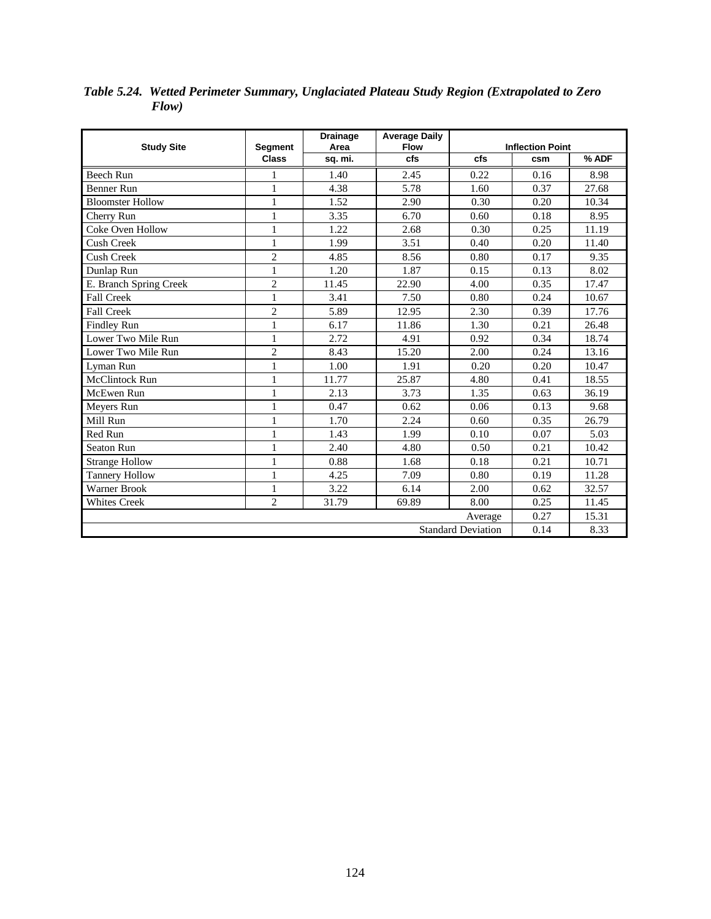| <b>Study Site</b>       | <b>Segment</b> | <b>Drainage</b><br>Area | <b>Average Daily</b><br><b>Flow</b> |      | <b>Inflection Point</b> |       |
|-------------------------|----------------|-------------------------|-------------------------------------|------|-------------------------|-------|
|                         | <b>Class</b>   | sq. mi.                 | cfs                                 | cfs  | csm                     | % ADF |
| Beech Run               | 1              | 1.40                    | 2.45                                | 0.22 | 0.16                    | 8.98  |
| <b>Benner Run</b>       | 1              | 4.38                    | 5.78                                | 1.60 | 0.37                    | 27.68 |
| <b>Bloomster Hollow</b> | $\mathbf{1}$   | 1.52                    | 2.90                                | 0.30 | 0.20                    | 10.34 |
| Cherry Run              | $\mathbf{1}$   | 3.35                    | 6.70                                | 0.60 | 0.18                    | 8.95  |
| Coke Oven Hollow        | $\mathbf{1}$   | 1.22                    | 2.68                                | 0.30 | 0.25                    | 11.19 |
| <b>Cush Creek</b>       | $\mathbf{1}$   | 1.99                    | 3.51                                | 0.40 | 0.20                    | 11.40 |
| Cush Creek              | $\overline{c}$ | 4.85                    | 8.56                                | 0.80 | 0.17                    | 9.35  |
| Dunlap Run              | $\mathbf{1}$   | 1.20                    | 1.87                                | 0.15 | 0.13                    | 8.02  |
| E. Branch Spring Creek  | $\overline{2}$ | 11.45                   | 22.90                               | 4.00 | 0.35                    | 17.47 |
| Fall Creek              | $\mathbf{1}$   | 3.41                    | 7.50                                | 0.80 | 0.24                    | 10.67 |
| <b>Fall Creek</b>       | $\overline{c}$ | 5.89                    | 12.95                               | 2.30 | 0.39                    | 17.76 |
| Findley Run             | $\mathbf{1}$   | 6.17                    | 11.86                               | 1.30 | 0.21                    | 26.48 |
| Lower Two Mile Run      | $\mathbf{1}$   | 2.72                    | 4.91                                | 0.92 | 0.34                    | 18.74 |
| Lower Two Mile Run      | $\overline{c}$ | 8.43                    | 15.20                               | 2.00 | 0.24                    | 13.16 |
| Lyman Run               | $\mathbf{1}$   | 1.00                    | 1.91                                | 0.20 | 0.20                    | 10.47 |
| McClintock Run          | $\,1$          | 11.77                   | 25.87                               | 4.80 | 0.41                    | 18.55 |
| McEwen Run              | $\mathbf{1}$   | 2.13                    | 3.73                                | 1.35 | 0.63                    | 36.19 |
| Meyers Run              | $\mathbf{1}$   | 0.47                    | 0.62                                | 0.06 | 0.13                    | 9.68  |
| Mill Run                | $\mathbf{1}$   | 1.70                    | 2.24                                | 0.60 | 0.35                    | 26.79 |
| Red Run                 | $\mathbf{1}$   | 1.43                    | 1.99                                | 0.10 | 0.07                    | 5.03  |
| Seaton Run              | $\mathbf{1}$   | 2.40                    | 4.80                                | 0.50 | 0.21                    | 10.42 |
| <b>Strange Hollow</b>   | $\mathbf{1}$   | 0.88                    | 1.68                                | 0.18 | 0.21                    | 10.71 |
| <b>Tannery Hollow</b>   | $\mathbf{1}$   | 4.25                    | 7.09                                | 0.80 | 0.19                    | 11.28 |
| Warner Brook            | 1              | 3.22                    | 6.14                                | 2.00 | 0.62                    | 32.57 |
| <b>Whites Creek</b>     | $\overline{2}$ | 31.79                   | 69.89                               | 8.00 | 0.25                    | 11.45 |
|                         | 0.27           | 15.31                   |                                     |      |                         |       |
|                         | 0.14           | 8.33                    |                                     |      |                         |       |

*Table 5.24. Wetted Perimeter Summary, Unglaciated Plateau Study Region (Extrapolated to Zero Flow)*